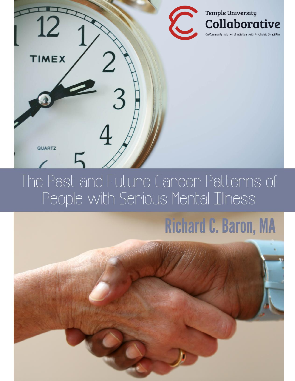

## The Past and Future Career Patterns of People with Serious Mental Illness

# **Richard C. Baron, MA**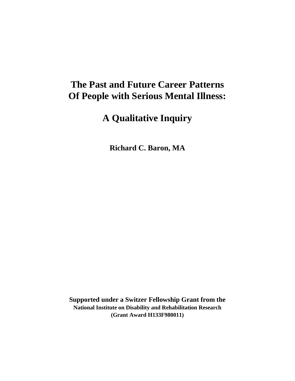## **The Past and Future Career Patterns Of People with Serious Mental Illness:**

## **A Qualitative Inquiry**

**Richard C. Baron, MA**

**Supported under a Switzer Fellowship Grant from the National Institute on Disability and Rehabilitation Research (Grant Award H133F980011)**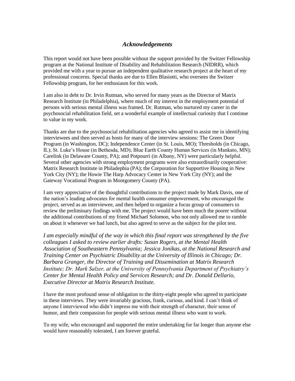#### *Acknowledgements*

This report would not have been possible without the support provided by the Switzer Fellowship program at the National Institute of Disability and Rehabilitation Research (NIDRR), which provided me with a year to pursue an independent qualitative research project at the heart of my professional concerns. Special thanks are due to Ellen Blasiotti, who oversees the Switzer Fellowship program, for her enthusiasm for this work.

I am also in debt to Dr. Irvin Rutman, who served for many years as the Director of Matrix Research Institute (in Philadelphia), where much of my interest in the employment potential of persons with serious mental illness was framed. Dr. Rutman, who nurtured my career in the psychosocial rehabilitation field, set a wonderful example of intellectual curiosity that I continue to value in my work.

Thanks are due to the psychosocial rehabilitation agencies who agreed to assist me in identifying interviewees and then served as hosts for many of the interview sessions: The Green Door Program (in Washington, DC); Independence Center (in St. Louis, MO); Thresholds (in Chicago, IL); St. Luke's House (in Bethesda, MD); Blue Earth County Human Services (in Mankato, MN); Carelink (in Delaware County, PA); and Potpourri (in Albany, NY) were particularly helpful. Several other agencies with strong employment programs were also extraordinarily cooperative: Matrix Research Institute in Philadephia (PA); the Corporation for Supportive Housing in New York City (NY); the Howie The Harp Advocacy Center in New York City (NY); and the Gateway Vocational Program in Montgomery County (PA).

I am very appreciative of the thoughtful contributions to the project made by Mark Davis, one of the nation's leading advocates for mental health consumer empowerment, who encouraged the project, served as an interviewee, and then helped to organize a focus group of consumers to review the preliminary findings with me. The project would have been much the poorer without the additional contributions of my friend Michael Solomon, who not only allowed me to ramble on about it whenever we had lunch, but also agreed to serve as the subject for the pilot test.

*I am especially mindful of the way in which this final report was strengthened by the five colleagues I asked to review earlier drafts: Susan Rogers, at the Mental Health Association of Southeastern Pennsylvania; Jessica Jonikas, at the National Research and Training Center on Psychiatric Disability at the University of Illinois in Chicago; Dr. Barbara Granger, the Director of Training and Dissemination at Matrix Research Institute; Dr. Mark Salzer, at the University of Pennsylvania Department of Psychiatry's Center for Mental Health Policy and Services Research; and Dr. Donald Dellario, Executive Director at Matrix Research Institute.*

I have the most profound sense of obligation to the thirty-eight people who agreed to participate in these interviews. They were invariably gracious, frank, curious, and kind. I can't think of anyone I interviewed who didn't impress me with their strength of character, their sense of humor, and their compassion for people with serious mental illness who want to work.

To my wife, who encouraged and supported the entire undertaking for far longer than anyone else would have reasonably tolerated, I am forever grateful.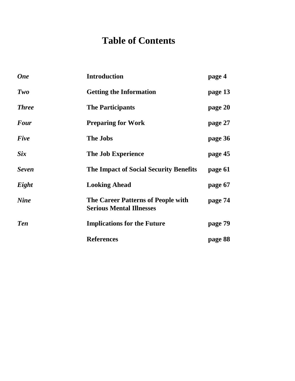## **Table of Contents**

| <b>One</b>   | <b>Introduction</b>                                                   | page 4  |
|--------------|-----------------------------------------------------------------------|---------|
| Two          | <b>Getting the Information</b>                                        | page 13 |
| <b>Three</b> | <b>The Participants</b>                                               | page 20 |
| <b>Four</b>  | <b>Preparing for Work</b>                                             | page 27 |
| Five         | <b>The Jobs</b>                                                       | page 36 |
| <i>Six</i>   | <b>The Job Experience</b>                                             | page 45 |
| <b>Seven</b> | The Impact of Social Security Benefits                                | page 61 |
| Eight        | <b>Looking Ahead</b>                                                  | page 67 |
| <b>Nine</b>  | The Career Patterns of People with<br><b>Serious Mental Illnesses</b> | page 74 |
| <b>Ten</b>   | <b>Implications for the Future</b>                                    | page 79 |
|              | <b>References</b>                                                     | page 88 |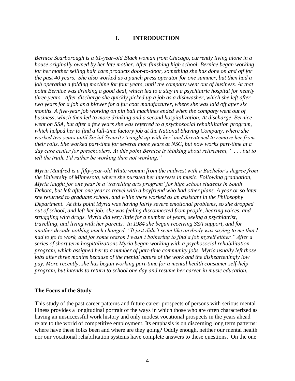#### **I. INTRODUCTION**

*Bernice Scarborough is a 61-year-old Black woman from Chicago, currently living alone in a house originally owned by her late mother. After finishing high school, Bernice began working for her mother selling hair care products door-to-door, something she has done on and off for the past 40 years. She also worked as a punch press operator for one summer, but then had a job operating a folding machine for four years, until the company went out of business. At that point Bernice was drinking a good deal, which led to a stay in a psychiatric hospital for nearly three years. After discharge she quickly picked up a job as a dishwasher, which she left after two years for a job as a blower for a fur coat manufacturer, where she was laid off after six months. A five-year job working on pin ball machines ended when the company went out of business, which then led to more drinking and a second hospitalization. At discharge, Bernice went on SSA, but after a few years she was referred to a psychosocial rehabilitation program, which helped her to find a full-time factory job at the National Shaving Company, where she worked two years until Social Security 'caught up with her' and threatened to remove her from their rolls. She worked part-time for several more years at NSC, but now works part-time at a day care center for preschoolers. At this point Bernice is thinking about retirement, " . . . but to tell the truth, I'd rather be working than not working."*

*Myria Manfred is a fifty-year-old White woman from the midwest with a Bachelor's degree from the University of Minnesota, where she pursued her interests in music. Following graduation, Myria taught for one year in a 'travelling arts program' for high school students in South Dakota, but left after one year to travel with a boyfriend who had other plans. A year or so later she returned to graduate school, and while there worked as an assistant in the Philosophy Department. At this point Myria was having fairly severe emotional problems, so she dropped out of school, and left her job: she was feeling disconnected from people, hearing voices, and struggling with drugs. Myria did very little for a number of years, seeing a psychiatrist, travelling, and living with her parents. In 1984 she began receiving SSA support, and for another decade nothing much changed. "It just didn't seem like anybody was saying to me that I had to go to work, and for some reason I wasn't bothering to find a job myself either." After a series of short term hospitalizations Myria began working with a psychosocial rehabilitation program, which assigned her to a number of part-time community jobs. Myria usually left those jobs after three months because of the menial nature of the work and the dishearteningly low pay. More recently, she has begun working part-time for a mental health consumer self-help program, but intends to return to school one day and resume her career in music education.*

#### **The Focus of the Study**

This study of the past career patterns and future career prospects of persons with serious mental illness provides a longitudinal portrait of the ways in which those who are often characterized as having an unsuccessful work history and only modest vocational prospects in the years ahead relate to the world of competitive employment. Its emphasis is on discerning long term patterns: where have these folks been and where are they going? Oddly enough, neither our mental health nor our vocational rehabilitation systems have complete answers to these questions. On the one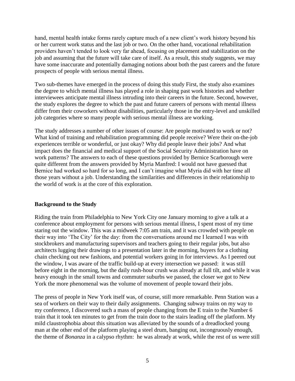hand, mental health intake forms rarely capture much of a new client's work history beyond his or her current work status and the last job or two. On the other hand, vocational rehabilitation providers haven't tended to look very far ahead, focusing on placement and stabilization on the job and assuming that the future will take care of itself. As a result, this study suggests, we may have some inaccurate and potentially damaging notions about both the past careers and the future prospects of people with serious mental illness.

Two sub-themes have emerged in the process of doing this study First, the study also examines the degree to which mental illness has played a role in shaping past work histories and whether interviewees anticipate mental illness intruding into their careers in the future. Second, however, the study explores the degree to which the past and future careers of persons with mental illness differ from their coworkers without disabilities, particularly those in the entry-level and unskilled job categories where so many people with serious mental illness are working.

The study addresses a number of other issues of course: Are people motivated to work or not? What kind of training and rehabilitation programming did people receive? Were their on-the-job experiences terrible or wonderful, or just okay? Why did people leave their jobs? And what impact does the financial and medical support of the Social Security Administration have on work patterns? The answers to each of these questions provided by Bernice Scarborough were quite different from the answers provided by Myria Manfred: I would not have guessed that Bernice had worked so hard for so long, and I can't imagine what Myria did with her time all those years without a job. Understanding the similarities and differences in their relationship to the world of work is at the core of this exploration.

#### **Background to the Study**

Riding the train from Philadelphia to New York City one January morning to give a talk at a conference about employment for persons with serious mental illness, I spent most of my time staring out the window. This was a midweek 7:05 am train, and it was crowded with people on their way into 'The City' for the day: from the conversations around me I learned I was with stockbrokers and manufacturing supervisors and teachers going to their regular jobs, but also architects lugging their drawings to a presentation later in the morning, buyers for a clothing chain checking out new fashions, and potential workers going in for interviews. As I peered out the window, I was aware of the traffic build-up at every intersection we passed: it was still before eight in the morning, but the daily rush-hour crush was already at full tilt, and while it was heavy enough in the small towns and commuter suburbs we passed, the closer we got to New York the more phenomenal was the volume of movement of people toward their jobs.

The press of people in New York itself was, of course, still more remarkable. Penn Station was a sea of workers on their way to their daily assignments. Changing subway trains on my way to my conference, I discovered such a mass of people changing from the E train to the Number 6 train that it took ten minutes to get from the train door to the stairs leading off the platform. My mild claustrophobia about this situation was alleviated by the sounds of a dreadlocked young man at the other end of the platform playing a steel drum, banging out, incongruously enough, the theme of *Bonanza* in a calypso rhythm: he was already at work, while the rest of us were still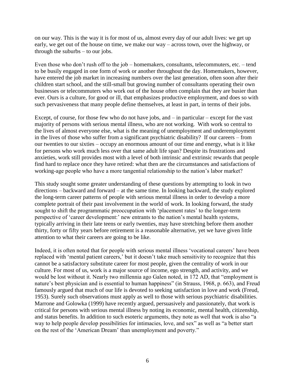on our way. This is the way it is for most of us, almost every day of our adult lives: we get up early, we get out of the house on time, we make our way – across town, over the highway, or through the suburbs – to our jobs.

Even those who don't rush off to the job – homemakers, consultants, telecommuters, etc. – tend to be busily engaged in one form of work or another throughout the day. Homemakers, however, have entered the job market in increasing numbers over the last generation, often soon after their children start school, and the still-small but growing number of consultants operating their own businesses or telecommuters who work out of the house often complain that they are busier than ever. Ours is a culture, for good or ill, that emphasizes productive employment, and does so with such pervasiveness that many people define themselves, at least in part, in terms of their jobs.

Except, of course, for those few who do not have jobs, and – in particular – except for the vast majority of persons with serious mental illness, who are not working. With work so central to the lives of almost everyone else, what is the meaning of unemployment and underemployment in the lives of those who suffer from a significant psychiatric disability? If our careers – from our twenties to our sixties – occupy an enormous amount of our time and energy, what is it like for persons who work much less over that same adult life span? Despite its frustrations and anxieties, work still provides most with a level of both intrinsic and extrinsic rewards that people find hard to replace once they have retired: what then are the circumstances and satisfactions of working-age people who have a more tangential relationship to the nation's labor market?

This study sought some greater understanding of these questions by attempting to look in two directions – backward and forward – at the same time. In looking backward, the study explored the long-term career patterns of people with serious mental illness in order to develop a more complete portrait of their past involvement in the world of work. In looking forward, the study sought to shift the programmatic preoccupation with 'placement rates' to the longer-term perspective of 'career development:' new entrants to the nation's mental health systems, typically arriving in their late teens or early twenties, may have stretching before them another thirty, forty or fifty years before retirement is a reasonable alternative, yet we have given little attention to what their careers are going to be like.

Indeed, it is often noted that for people with serious mental illness 'vocational careers' have been replaced with 'mental patient careers,' but it doesn't take much sensitivity to recognize that this cannot be a satisfactory substitute career for most people, given the centrality of work in our culture. For most of us, work is a major source of income, ego strength, and activity, and we would be lost without it. Nearly two millennia ago Galen noted, in 172 AD, that "employment is nature's best physician and is essential to human happiness" (in Strauss, 1968, p. 663), and Freud famously argued that much of our life is devoted to seeking satisfaction in love and work (Freud, 1953). Surely such observations must apply as well to those with serious psychiatric disabilities. Marrone and Golowka (1999) have recently argued, persuasively and passionately, that work is critical for persons with serious mental illness by noting its economic, mental health, citizenship, and status benefits. In addition to such esoteric arguments, they note as well that work is also "a way to help people develop possibilities for intimacies, love, and sex" as well as "a better start on the rest of the 'American Dream' than unemployment and poverty."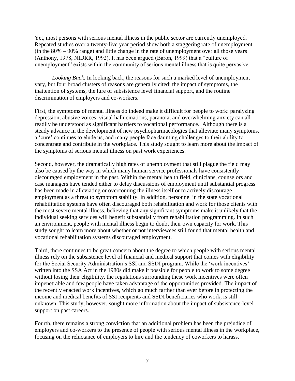Yet, most persons with serious mental illness in the public sector are currently unemployed. Repeated studies over a twenty-five year period show both a staggering rate of unemployment (in the 80% – 90% range) and little change in the rate of unemployment over all those years (Anthony, 1978, NIDRR, 1992). It has been argued (Baron, 1999) that a "culture of unemployment" exists within the community of serious mental illness that is quite pervasive.

*Looking Back.* In looking back, the reasons for such a marked level of unemployment vary, but four broad clusters of reasons are generally cited: the impact of symptoms, the inattention of systems, the lure of subsistence level financial support, and the routine discrimination of employers and co-workers.

First, the symptoms of mental illness do indeed make it difficult for people to work: paralyzing depression, abusive voices, visual hallucinations, paranoia, and overwhelming anxiety can all readily be understood as significant barriers to vocational performance. Although there is a steady advance in the development of new psychopharmacologies that alleviate many symptoms, a 'cure' continues to elude us, and many people face daunting challenges to their ability to concentrate and contribute in the workplace. This study sought to learn more about the impact of the symptoms of serious mental illness on past work experiences.

Second, however, the dramatically high rates of unemployment that still plague the field may also be caused by the way in which many human service professionals have consistently discouraged employment in the past. Within the mental health field, clinicians, counselors and case managers have tended either to delay discussions of employment until substantial progress has been made in alleviating or overcoming the illness itself or to actively discourage employment as a threat to symptom stability. In addition, personnel in the state vocational rehabilitation systems have often discouraged both rehabilitation and work for those clients with the most severe mental illness, believing that any significant symptoms make it unlikely that the individual seeking services will benefit substantially from rehabilitation programming. In such an environment, people with mental illness begin to doubt their own capacity for work. This study sought to learn more about whether or not interviewees still found that mental health and vocational rehabilitation systems discouraged employment.

Third, there continues to be great concern about the degree to which people with serious mental illness rely on the subsistence level of financial and medical support that comes with eligibility for the Social Security Administration's SSI and SSDI program. While the 'work incentives' written into the SSA Act in the 1980s did make it possible for people to work to some degree without losing their eligibility, the regulations surrounding these work incentives were often impenetrable and few people have taken advantage of the opportunities provided. The impact of the recently enacted work incentives, which go much farther than ever before in protecting the income and medical benefits of SSI recipients and SSDI beneficiaries who work, is still unknown. This study, however, sought more information about the impact of subsistence-level support on past careers.

Fourth, there remains a strong conviction that an additional problem has been the prejudice of employers and co-workers to the presence of people with serious mental illness in the workplace, focusing on the reluctance of employers to hire and the tendency of coworkers to harass.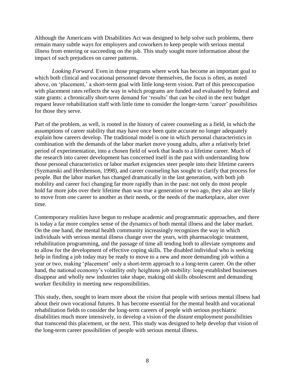Although the Americans with Disabilities Act was designed to help solve such problems, there remain many subtle ways for employers and coworkers to keep people with serious mental illness from entering or succeeding on the job. This study sought more information about the impact of such prejudices on career patterns.

*Looking Forward.* Even in those programs where work has become an important goal to which both clinical and vocational personnel devote themselves, the focus is often, as noted above, on 'placement,' a short-term goal with little long-term vision. Part of this preoccupation with placement rates reflects the way in which programs are funded and evaluated by federal and state grants: a chronically short-term demand for 'results' that can be cited in the next budget request leave rehabilitation staff with little time to consider the longer-term 'career' possibilities for those they serve.

Part of the problem, as well, is rooted in the history of career counseling as a field, in which the assumptions of career stability that may have once been quite accurate no longer adequately explain how careers develop. The traditional model is one in which personal characteristics in combination with the demands of the labor market move young adults, after a relatively brief period of experimentation, into a chosen field of work that leads to a lifetime career. Much of the research into career development has concerned itself in the past with understanding how those personal characteristics or labor market exigencies steer people into their lifetime careers (Syzmanski and Hershenson, 1998), and career counseling has sought to clarify that process for people. But the labor market has changed dramatically in the last generation, with both job mobility and career foci changing far more rapidly than in the past: not only do most people hold far more jobs over their lifetime than was true a generation or two ago, they also are likely to move from one career to another as their needs, or the needs of the marketplace, alter over time.

Contemporary realities have begun to reshape academic and programmatic approaches, and there is today a far more complex sense of the dynamics of both mental illness and the labor market. On the one hand, the mental health community increasingly recognizes the way in which individuals with serious mental illness change over the years, with pharmacologic treatment, rehabilitation programming, and the passage of time all tending both to alleviate symptoms and to allow for the development of effective coping skills. The disabled individual who is seeking help in finding a job today may be ready to move to a new and more demanding job within a year or two, making 'placement' only a short-term approach to a long-term career. On the other hand, the national economy's volatility only heightens job mobility: long-established businesses disappear and wholly new industries take shape, making old skills obsolescent and demanding worker flexibility in meeting new responsibilities.

This study, then, sought to learn more about the *vision* that people with serious mental illness had about their own vocational futures. It has become essential for the mental health and vocational rehabilitation fields to consider the long-term careers of people with serious psychiatric disabilities much more intensively, to develop a vision of the *distant* employment possibilities that transcend this placement, or the next. This study was designed to help develop that vision of the long-term career possibilities of people with serious mental illness.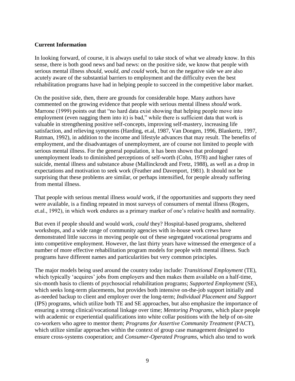#### **Current Information**

In looking forward, of course, it is always useful to take stock of what we already know. In this sense, there is both good news and bad news: on the positive side, we know that people with serious mental illness *should, would, and could* work, but on the negative side we are also acutely aware of the substantial barriers to employment and the difficulty even the best rehabilitation programs have had in helping people to succeed in the competitive labor market.

On the positive side, then, there are grounds for considerable hope. Many authors have commented on the growing evidence that people with serious mental illness *should* work. Marrone (1999) points out that "no hard data exist showing that helping people move into employment (even nagging them into it) is bad," while there is sufficient data that work is valuable in strengthening positive self-concepts, improving self-mastery, increasing life satisfaction, and relieving symptoms (Harding, et.al, 1987, Van Dongen, 1996, Blankertz, 1997, Rutman, 1992), in addition to the income and lifestyle advances that may result. The benefits of employment, and the disadvantages of unemployment, are of course not limited to people with serious mental illness. For the general population, it has been shown that prolonged unemployment leads to diminished perceptions of self-worth (Cohn, 1978) and higher rates of suicide, mental illness and substance abuse (Mallinckrodt and Fretz, 1988), as well as a drop in expectations and motivation to seek work (Feather and Davenport, 1981). It should not be surprising that these problems are similar, or perhaps intensified, for people already suffering from mental illness.

That people with serious mental illness *would* work, if the opportunities and supports they need were available, is a finding repeated in most surveys of consumers of mental illness (Rogers, et.al., 1992), in which work endures as a primary marker of one's relative health and normality.

But even if people should and would work, *could* they? Hospital-based programs, sheltered workshops, and a wide range of community agencies with in-house work crews have demonstrated little success in moving people out of these segregated vocational programs and into competitive employment. However, the last thirty years have witnessed the emergence of a number of more effective rehabilitation program models for people with mental illness. Such programs have different names and particularities but very common principles.

The major models being used around the country today include: *Transitional Employment* (TE), which typically 'acquires' jobs from employers and then makes them available on a half-time, six-month basis to clients of psychosocial rehabilitation programs; *Supported Employment* (SE), which seeks long-term placements, but provides both intensive on-the-job support initially and as-needed backup to client and employer over the long-term; *Individual Placement and Support*  (IPS) programs, which utilize both TE and SE approaches, but also emphasize the importance of ensuring a strong clinical/vocational linkage over time; *Mentoring Programs,* which place people with academic or experiential qualifications into white collar positions with the help of on-site co-workers who agree to mentor them; *Programs for Assertive Community Treatment* (PACT), which utilize similar approaches within the context of group case management designed to ensure cross-systems cooperation; and *Consumer-Operated Programs*, which also tend to work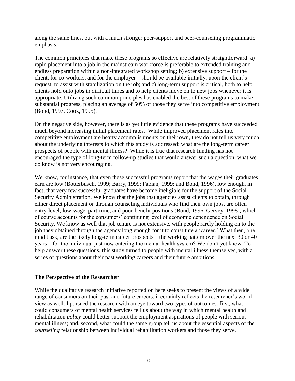along the same lines, but with a much stronger peer-support and peer-counseling programmatic emphasis.

The common principles that make these programs so effective are relatively straightforward: a) rapid placement into a job in the mainstream workforce is preferable to extended training and endless preparation within a non-integrated workshop setting; b) extensive support – for the client, for co-workers, and for the employer – should be available initially, upon the client's request, to assist with stabilization on the job; and c) long-term support is critical, both to help clients hold onto jobs in difficult times and to help clients move on to new jobs whenever it is appropriate. Utilizing such common principles has enabled the best of these programs to make substantial progress, placing an average of 50% of those they serve into competitive employment (Bond, 1997, Cook, 1995).

On the negative side, however, there is as yet little evidence that these programs have succeeded much beyond increasing initial placement rates. While improved placement rates into competitive employment are hearty accomplishments on their own, they do not tell us very much about the underlying interests to which this study is addressed: what are the long-term career prospects of people with mental illness? While it is true that research funding has not encouraged the type of long-term follow-up studies that would answer such a question, what we do know is not very encouraging.

We know, for instance, that even these successful programs report that the wages their graduates earn are low (Botterbusch, 1999; Barry, 1999; Fabian, 1999; and Bond, 1996), low enough, in fact, that very few successful graduates have become ineligible for the support of the Social Security Administration. We know that the jobs that agencies assist clients to obtain, through either direct placement or through counseling individuals who find their own jobs, are often entry-level, low-wage, part-time, and poor-benefit positions (Bond, 1996, Gervey, 1998), which of course accounts for the consumers' continuing level of economic dependence on Social Security. We know as well that job tenure is not extensive, with people rarely holding on to the job they obtained through the agency long enough for it to constitute a 'career.' What then, one might ask, are the likely long-term career prospects – the working pattern over the next 30 or 40 years – for the individual just now entering the mental health system? We don't yet know. To help answer these questions, this study turned to people with mental illness themselves, with a series of questions about their past working careers and their future ambitions.

#### **The Perspective of the Researcher**

While the qualitative research initiative reported on here seeks to present the views of a wide range of consumers on their past and future careers, it certainly reflects the researcher's world view as well. I pursued the research with an eye toward two types of outcomes: first, what could consumers of mental health services tell us about the way in which mental health and rehabilitation *policy* could better support the employment aspirations of people with serious mental illness; and, second, what could the same group tell us about the essential aspects of the *counseling* relationship between individual rehabilitation workers and those they serve.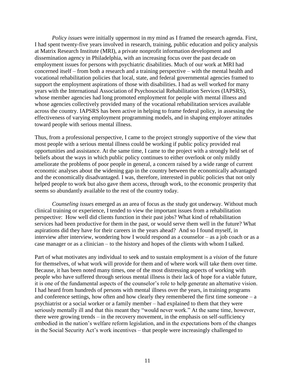*Policy issues* were initially uppermost in my mind as I framed the research agenda. First, I had spent twenty-five years involved in research, training, public education and policy analysis at Matrix Research Institute (MRI), a private nonprofit information development and dissemination agency in Philadelphia, with an increasing focus over the past decade on employment issues for persons with psychiatric disabilities. Much of our work at MRI had concerned itself – from both a research and a training perspective – with the mental health and vocational rehabilitation policies that local, state, and federal governmental agencies framed to support the employment aspirations of those with disabilities. I had as well worked for many years with the International Association of Psychosocial Rehabilitation Services (IAPSRS), whose member agencies had long promoted employment for people with mental illness and whose agencies collectively provided many of the vocational rehabilitation services available across the country. IAPSRS has been active in helping to frame federal policy, in assessing the effectiveness of varying employment programming models, and in shaping employer attitudes toward people with serious mental illness.

Thus, from a professional perspective, I came to the project strongly supportive of the view that most people with a serious mental illness could be working if public policy provided real opportunities and assistance. At the same time, I came to the project with a strongly held set of beliefs about the ways in which public policy continues to either overlook or only mildly ameliorate the problems of poor people in general, a concern raised by a wide range of current economic analyses about the widening gap in the country between the economically advantaged and the economically disadvantaged. I was, therefore, interested in public policies that not only helped people to work but also gave them access, through work, to the economic prosperity that seems so abundantly available to the rest of the country today.

*Counseling issues* emerged as an area of focus as the study got underway. Without much clinical training or experience, I tended to view the important issues from a rehabilitation perspective: How well did clients function in their past jobs? What kind of rehabilitation services had been productive for them in the past, or would serve them well in the future? What aspirations did they have for their careers in the years ahead? And so I found myself, in interview after interview, wondering how I would respond as a counselor – as a job coach or as a case manager or as a clinician – to the history and hopes of the clients with whom I talked.

Part of what motivates any individual to seek and to sustain employment is a *vision* of the future for themselves, of what work will provide for them and of where work will take them over time. Because, it has been noted many times, one of the most distressing aspects of working with people who have suffered through serious mental illness is their lack of hope for a viable future, it is one of the fundamental aspects of the counselor's role to help generate an alternative vision. I had heard from hundreds of persons with mental illness over the years, in training programs and conference settings, how often and how clearly they remembered the first time someone  $-a$ psychiatrist or a social worker or a family member – had explained to them that they were seriously mentally ill and that this meant they "would never work." At the same time, however, there were growing trends – in the recovery movement, in the emphasis on self-sufficiency embodied in the nation's welfare reform legislation, and in the expectations born of the changes in the Social Security Act's work incentives – that people were increasingly challenged to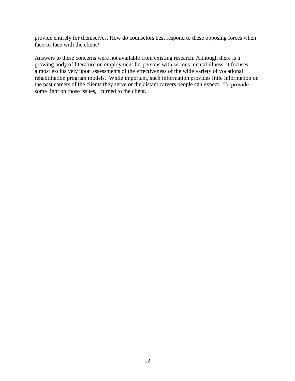provide entirely for themselves. How do counselors best respond to these opposing forces when face-to-face with the client?

Answers to these concerns were not available from existing research. Although there is a growing body of literature on employment for persons with serious mental illness, it focuses almost exclusively upon assessments of the effectiveness of the wide variety of vocational rehabilitation program models. While important, such information provides little information on the past careers of the clients they serve or the distant careers people can expect. To provide some light on those issues, I turned to the client.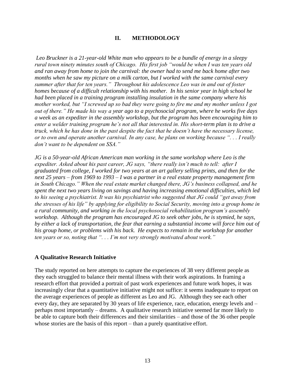#### **II. METHODOLOGY**

*Leo Bruckner is a 21-year-old White man who appears to be a bundle of energy in a sleepy rural town ninety minutes south of Chicago. His first job "would be when I was ten years old and ran away from home to join the carnival: the owner had to send me back home after two months when he saw my picture on a milk carton, but I worked with the same carnival every summer after that for ten years." Throughout his adolescence Leo was in and out of foster homes because of a difficult relationship with his mother. In his senior year in high school he had been placed in a training program installing insulation in the same company where his mother worked, but "I screwed up so bad they were going to fire me and my mother unless I got out of there." He made his way a year ago to a psychosocial program, where he works five days a week as an expediter in the assembly workshop, but the program has been encouraging him to enter a welder training program he's not all that interested in. His short-term plan is to drive a truck, which he has done in the past despite the fact that he doesn't have the necessary license, or to own and operate another carnival. In any case, he plans on working because ". . . I really don't want to be dependent on SSA."*

*JG is a 50-year-old African American man working in the same workshop where Leo is the expediter. Asked about his past career, JG says, "there really isn't much to tell: after I graduated from college, I worked for two years at an art gallery selling prints, and then for the next 25 years – from 1969 to 1993 – I was a partner in a real estate property management firm in South Chicago." When the real estate market changed there, JG's business collapsed, and he spent the next two years living on savings and having increasing emotional difficulties, which led to his seeing a psychiatrist. It was his psychiatrist who suggested that JG could "get away from the stresses of his life" by applying for eligibility to Social Security, moving into a group home in a rural community, and working in the local psychosocial rehabilitation program's assembly workshop. Although the program has encouraged JG to seek other jobs, he is stymied, he says, by either a lack of transportation, the fear that earning a substantial income will force him out of his group home, or problems with his back. He expects to remain in the workshop for another ten years or so, noting that ". . . I'm not very strongly motivated about work."*

#### **A Qualitative Research Initiative**

The study reported on here attempts to capture the experiences of 38 very different people as they each struggled to balance their mental illness with their work aspirations. In framing a research effort that provided a portrait of past work experiences and future work hopes, it was increasingly clear that a quantitative initiative might not suffice: it seems inadequate to report on the average experiences of people as different as Leo and JG. Although they see each other every day, they are separated by 30 years of life experience, race, education, energy levels and – perhaps most importantly – dreams. A qualitative research initiative seemed far more likely to be able to capture both their differences and their similarities – and those of the 36 other people whose stories are the basis of this report – than a purely quantitative effort.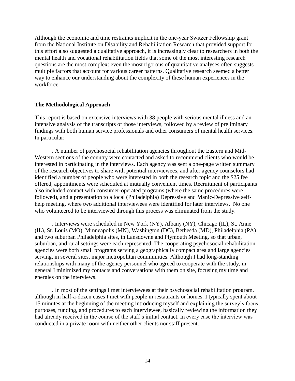Although the economic and time restraints implicit in the one-year Switzer Fellowship grant from the National Institute on Disability and Rehabilitation Research that provided support for this effort also suggested a qualitative approach, it is increasingly clear to researchers in both the mental health and vocational rehabilitation fields that some of the most interesting research questions are the most complex: even the most rigorous of quantitative analyses often suggests multiple factors that account for various career patterns. Qualitative research seemed a better way to enhance our understanding about the complexity of these human experiences in the workforce.

#### **The Methodological Approach**

This report is based on extensive interviews with 38 people with serious mental illness and an intensive analysis of the transcripts of those interviews, followed by a review of preliminary findings with both human service professionals and other consumers of mental health services. In particular:

. A number of psychosocial rehabilitation agencies throughout the Eastern and Mid-Western sections of the country were contacted and asked to recommend clients who would be interested in participating in the interviews. Each agency was sent a one-page written summary of the research objectives to share with potential interviewees, and after agency counselors had identified a number of people who were interested in both the research topic and the \$25 fee offered, appointments were scheduled at mutually convenient times. Recruitment of participants also included contact with consumer-operated programs (where the same procedures were followed), and a presentation to a local (Philadelphia) Depressive and Manic-Depressive selfhelp meeting, where two additional interviewees were identified for later interviews. No one who volunteered to be interviewed through this process was eliminated from the study.

. Interviews were scheduled in New York (NY), Albany (NY), Chicago (IL), St. Anne (IL), St. Louis (MO), Minneapolis (MN), Washington (DC), Bethesda (MD), Philadelphia (PA) and two suburban Philadelphia sites, in Lansdowne and Plymouth Meeting, so that urban, suburban, and rural settings were each represented. The cooperating psychosocial rehabilitation agencies were both small programs serving a geographically compact area and large agencies serving, in several sites, major metropolitan communities. Although I had long-standing relationships with many of the agency personnel who agreed to cooperate with the study, in general I minimized my contacts and conversations with them on site, focusing my time and energies on the interviews.

. In most of the settings I met interviewees at their psychosocial rehabilitation program, although in half-a-dozen cases I met with people in restaurants or homes. I typically spent about 15 minutes at the beginning of the meeting introducing myself and explaining the survey's focus, purposes, funding, and procedures to each interviewee, basically reviewing the information they had already received in the course of the staff's initial contact. In every case the interview was conducted in a private room with neither other clients nor staff present.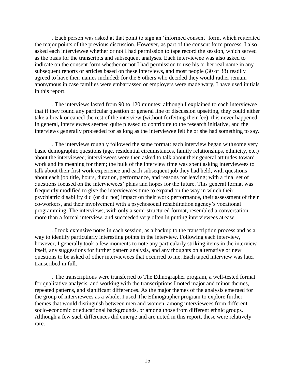. Each person was asked at that point to sign an 'informed consent' form, which reiterated the major points of the previous discussion. However, as part of the consent form process, I also asked each interviewee whether or not I had permission to tape record the session, which served as the basis for the transcripts and subsequent analyses. Each interviewee was also asked to indicate on the consent form whether or not I had permission to use his or her real name in any subsequent reports or articles based on these interviews, and most people (30 of 38) readily agreed to have their names included: for the 8 others who decided they would rather remain anonymous in case families were embarrassed or employers were made wary, I have used initials in this report.

. The interviews lasted from 90 to 120 minutes: although I explained to each interviewee that if they found any particular question or general line of discussion upsetting, they could either take a break or cancel the rest of the interview (without forfeiting their fee), this never happened. In general, interviewees seemed quite pleased to contribute to the research initiative, and the interviews generally proceeded for as long as the interviewee felt he or she had something to say.

. The interviews roughly followed the same format: each interview began with some very basic demographic questions (age, residential circumstances, family relationships, ethnicity, etc.) about the interviewee; interviewees were then asked to talk about their general attitudes toward work and its meaning for them; the bulk of the interview time was spent asking interviewees to talk about their first work experience and each subsequent job they had held, with questions about each job title, hours, duration, performance, and reasons for leaving; with a final set of questions focused on the interviewees' plans and hopes for the future. This general format was frequently modified to give the interviewees time to expand on the way in which their psychiatric disability did (or did not) impact on their work performance, their assessment of their co-workers, and their involvement with a psychosocial rehabilitation agency's vocational programming. The interviews, with only a semi-structured format, resembled a conversation more than a formal interview, and succeeded very often in putting interviewees at ease.

. I took extensive notes in each session, as a backup to the transcription process and as a way to identify particularly interesting points in the interview. Following each interview, however, I generally took a few moments to note any particularly striking items in the interview itself, any suggestions for further pattern analysis, and any thoughts on alternative or new questions to be asked of other interviewees that occurred to me. Each taped interview was later transcribed in full.

. The transcriptions were transferred to The Ethnographer program, a well-tested format for qualitative analysis, and working with the transcriptions I noted major and minor themes, repeated patterns, and significant differences. As the major themes of the analysis emerged for the group of interviewees as a whole, I used The Ethnographer program to explore further themes that would distinguish between men and women, among interviewees from different socio-economic or educational backgrounds, or among those from different ethnic groups. Although a few such differences did emerge and are noted in this report, these were relatively rare.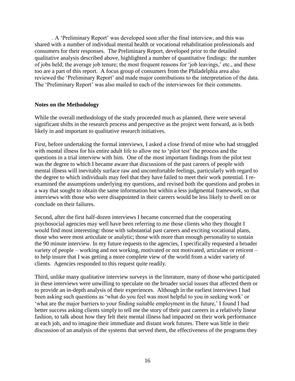. A 'Preliminary Report' was developed soon after the final interview, and this was shared with a number of individual mental health or vocational rehabilitation professionals and consumers for their responses. The Preliminary Report, developed prior to the detailed qualitative analysis described above, highlighted a number of quantitative findings: the number of jobs held; the average job tenure; the most frequent reasons for 'job leavings,' etc., and these too are a part of this report. A focus group of consumers from the Philadelphia area also reviewed the 'Preliminary Report' and made major contributions to the interpretation of the data. The 'Preliminary Report' was also mailed to each of the interviewees for their comments.

#### **Notes on the Methodology**

While the overall methodology of the study proceeded much as planned, there were several significant shifts in the research process and perspective as the project went forward, as is both likely in and important to qualitative research initiatives.

First, before undertaking the formal interviews, I asked a close friend of mine who had struggled with mental illness for his entire adult life to allow me to 'pilot test' the process and the questions in a trial interview with him. One of the most important findings from the pilot test was the degree to which I became aware that discussions of the past careers of people with mental illness will inevitably surface raw and uncomfortable feelings, particularly with regard to the degree to which individuals may feel that they have failed to meet their work potential. I reexamined the assumptions underlying my questions, and revised both the questions and probes in a way that sought to obtain the same information but within a less judgmental framework, so that interviews with those who were disappointed in their careers would be less likely to dwell on or conclude on their failures.

Second, after the first half-dozen interviews I became concerned that the cooperating psychosocial agencies may well have been referring to me those clients who they thought I would find most interesting: those with substantial past careers and exciting vocational plans, those who were most articulate or analytic; those with more than enough personality to sustain the 90 minute interview. In my future requests to the agencies, I specifically requested a broader variety of people – working and not working, motivated or not motivated, articulate or reticent – to help insure that I was getting a more complete view of the world from a wider variety of clients. Agencies responded to this request quite readily.

Third, unlike many qualitative interview surveys in the literature, many of those who participated in these interviews were unwilling to speculate on the broader social issues that affected them or to provide an in-depth analysis of their experiences. Although in the earliest interviews I had been asking such questions as 'what do you feel was most helpful to you in seeking work' or 'what are the major barriers to your finding suitable employment in the future,' I found I had better success asking clients simply to tell me the story of their past careers in a relatively linear fashion, to talk about how they felt their mental illness had impacted on their work performance at each job, and to imagine their immediate and distant work futures. There was little in their discussion of an analysis of the systems that served them, the effectiveness of the programs they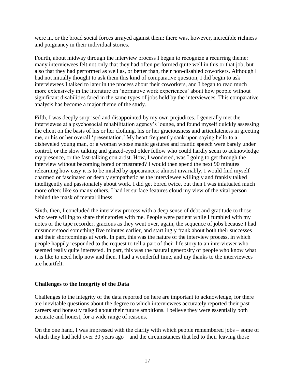were in, or the broad social forces arrayed against them: there was, however, incredible richness and poignancy in their individual stories.

Fourth, about midway through the interview process I began to recognize a recurring theme: many interviewees felt not only that they had often performed quite well in this or that job, but also that they had performed as well as, or better than, their non-disabled coworkers. Although I had not initially thought to ask them this kind of comparative question, I did begin to ask interviewees I talked to later in the process about their coworkers, and I began to read much more extensively in the literature on 'normative work experiences' about how people without significant disabilities fared in the same types of jobs held by the interviewees. This comparative analysis has become a major theme of the study.

Fifth, I was deeply surprised and disappointed by my own prejudices. I generally met the interviewee at a psychosocial rehabilitation agency's lounge, and found myself quickly assessing the client on the basis of his or her clothing, his or her graciousness and articulateness in greeting me, or his or her overall 'presentation.' My heart frequently sank upon saying hello to a disheveled young man, or a woman whose manic gestures and frantic speech were barely under control, or the slow talking and glazed-eyed older fellow who could hardly seem to acknowledge my presence, or the fast-talking con artist. How, I wondered, was I going to get through the interview without becoming bored or frustrated? I would then spend the next 90 minutes relearning how easy it is to be misled by appearances: almost invariably, I would find myself charmed or fascinated or deeply sympathetic as the interviewee willingly and frankly talked intelligently and passionately about work. I did get bored twice, but then I was infatuated much more often: like so many others, I had let surface features cloud my view of the vital person behind the mask of mental illness.

Sixth, then, I concluded the interview process with a deep sense of debt and gratitude to those who were willing to share their stories with me. People were patient while I fumbled with my notes or the tape recorder, gracious as they went over, again, the sequence of jobs because I had misunderstood something five minutes earlier, and startlingly frank about both their successes and their shortcomings at work. In part, this was the nature of the interview process, in which people happily responded to the request to tell a part of their life story to an interviewer who seemed really quite interested. In part, this was the natural generosity of people who know what it is like to need help now and then. I had a wonderful time, and my thanks to the interviewees are heartfelt.

#### **Challenges to the Integrity of the Data**

Challenges to the integrity of the data reported on here are important to acknowledge, for there are inevitable questions about the degree to which interviewees accurately reported their past careers and honestly talked about their future ambitions. I believe they were essentially both accurate and honest, for a wide range of reasons.

On the one hand, I was impressed with the clarity with which people remembered jobs – some of which they had held over 30 years ago – and the circumstances that led to their leaving those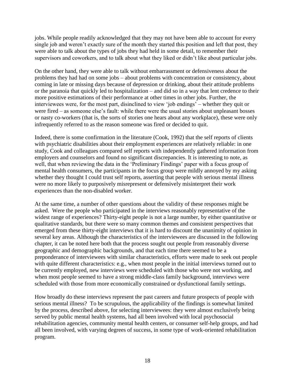jobs. While people readily acknowledged that they may not have been able to account for every single job and weren't exactly sure of the month they started this position and left that post, they were able to talk about the types of jobs they had held in some detail, to remember their supervisors and coworkers, and to talk about what they liked or didn't like about particular jobs.

On the other hand, they were able to talk without embarrassment or defensiveness about the problems they had had on some jobs – about problems with concentration or consistency, about coming in late or missing days because of depression or drinking, about their attitude problems or the paranoia that quickly led to hospitalization – and did so in a way that lent credence to their more positive estimations of their performance at other times in other jobs. Further, the interviewees were, for the most part, disinclined to view 'job endings' – whether they quit or were fired – as someone else's fault: while there were the usual stories about unpleasant bosses or nasty co-workers (that is, the sorts of stories one hears about any workplace), these were only infrequently referred to as the reason someone was fired or decided to quit.

Indeed, there is some confirmation in the literature (Cook, 1992) that the self reports of clients with psychiatric disabilities about their employment experiences are relatively reliable: in one study, Cook and colleagues compared self reports with independently gathered information from employers and counselors and found no significant discrepancies. It is interesting to note, as well, that when reviewing the data in the 'Preliminary Findings' paper with a focus group of mental health consumers, the participants in the focus group were mildly annoyed by my asking whether they thought I could trust self reports, asserting that people with serious mental illness were no more likely to purposively misrepresent or defensively misinterpret their work experiences than the non-disabled worker.

At the same time, a number of other questions about the validity of these responses might be asked. Were the people who participated in the interviews reasonably representative of the widest range of experiences? Thirty-eight people is not a large number, by either quantitative or qualitative standards, but there were so many common themes and consistent perspectives that emerged from these thirty-eight interviews that it is hard to discount the unanimity of opinion in several key areas. Although the characteristics of the interviewees are discussed in the following chapter, it can be noted here both that the process sought out people from reasonably diverse geographic and demographic backgrounds, and that each time there seemed to be a preponderance of interviewees with similar characteristics, efforts were made to seek out people with quite different characteristics: e.g., when most people in the initial interviews turned out to be currently employed, new interviews were scheduled with those who were not working, and when most people seemed to have a strong middle-class family background, interviews were scheduled with those from more economically constrained or dysfunctional family settings.

How broadly do these interviews represent the past careers and future prospects of people with serious mental illness? To be scrupulous, the applicability of the findings is somewhat limited by the process, described above, for selecting interviewees: they were almost exclusively being served by public mental health systems, had all been involved with local psychosocial rehabilitation agencies, community mental health centers, or consumer self-help groups, and had all been involved, with varying degrees of success, in some type of work-oriented rehabilitation program.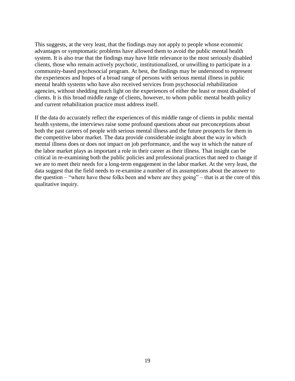This suggests, at the very least, that the findings may not apply to people whose economic advantages or symptomatic problems have allowed them to avoid the public mental health system. It is also true that the findings may have little relevance to the most seriously disabled clients, those who remain actively psychotic, institutionalized, or unwilling to participate in a community-based psychosocial program. At best, the findings may be understood to represent the experiences and hopes of a broad range of persons with serious mental illness in public mental health systems who have also received services from psychosocial rehabilitation agencies, without shedding much light on the experiences of either the least or most disabled of clients. It is this broad middle range of clients, however, to whom public mental health policy and current rehabilitation practice must address itself.

If the data do accurately reflect the experiences of this middle range of clients in public mental health systems, the interviews raise some profound questions about our preconceptions about both the past careers of people with serious mental illness and the future prospects for them in the competitive labor market. The data provide considerable insight about the way in which mental illness does or does not impact on job performance, and the way in which the nature of the labor market plays as important a role in their career as their illness. That insight can be critical in re-examining both the public policies and professional practices that need to change if we are to meet their needs for a long-term engagement in the labor market. At the very least, the data suggest that the field needs to re-examine a number of its assumptions about the answer to the question – "where have these folks been and where are they going" – that is at the core of this qualitative inquiry.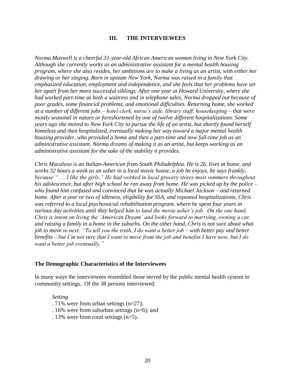#### **III. THE INTERVIEWEES**

*Norma Maxwell is a cheerful 31-year-old African American woman living in New York City. Although she currently works as an administrative assistant for a mental health housing program, where she also resides, her ambitions are to make a living as an artist, with either her drawing or her singing. Born in upstate New York, Norma was raised in a family that emphasized education, employment and independence, and she feels that her problems have set her apart from her more successful siblings. After one year at Howard University, where she had worked part-time as both a waitress and in telephone sales, Norma dropped out because of poor grades, some financial problems, and emotional difficulties. Returning home, she worked at a number of different jobs – hotel clerk, nurse's aide, library staff, housekeeping – that were mostly seasonal in nature or foreshortened by one of twelve different hospitalizations. Some years ago she moved to New York City to pursue the life of an artist, but shortly found herself homeless and then hospitalized, eventually making her way toward a major mental health housing provider, who provided a home and then a part-time and now full-time job as an administrative assistant. Norma dreams of making it as an artist, but keeps working as an administrative assistant for the sake of the stability it provides.*

*Chris Macaluso is an Italian-American from South Philadelphia. He is 26, lives at home, and works 32 hours a week as an usher in a local movie house, a job he enjoys, he says frankly, because ". . . I like the girls." He had worked in local grocery stores most summers throughout his adolescence, but after high school he ran away from home. He was picked up by the police – who found him confused and convinced that he was actually Michael Jackson – and returned home. After a year or two of idleness, eligibility for SSA, and repeated hospitalizations, Chris was referred to a local psychosocial rehabilitation program, where he spent four years in various day activities until they helped him to land the movie usher's job. On the one hand, Chris is intent on living the 'American Dream' and looks forward to marrying, owning a car, and raising a family in a home in the suburbs. On the other hand, Chris is not sure about what job to move to next: "To tell you the truth, I do want a better job – with better pay and better benefits – but I'm not sure that I want to move from the job and benefits I have now, but I do want a better job eventually."*

#### **The Demographic Characteristics of the Interviewees**

In many ways the interviewees resembled those served by the public mental health system in community settings. Of the 38 persons interviewed:

#### *Setting*

- . 71% were from urban settings (n=27);
- . 16% were from suburban settings (n=6); and
- . 13% were from rural settings (n=5).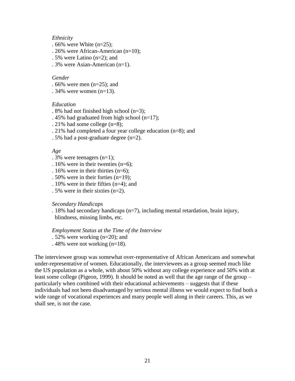#### *Ethnicity*

- *.* 66% were White (n=25);
- . 26% were African-American (n=10);
- . 5% were Latino (n=2); and
- . 3% were Asian-American (n=1).

#### *Gender*

- *.* 66% were men (n=25); and
- $.34\%$  were women (n=13).

#### *Education*

- . 8% had not finished high school (n=3);
- . 45% had graduated from high school (n=17);
- . 21% had some college (n=8);
- . 21% had completed a four year college education (n=8); and
- . 5% had a post-graduate degree (n=2).

#### *Age*

- . 3% were teenagers (n=1);
- . 16% were in their twenties (n=6);
- . 16% were in their thirties (n=6);
- . 50% were in their forties (n=19);
- . 10% were in their fifties (n=4); and
- . 5% were in their sixties (n=2).

#### *Secondary Handicaps*

*.* 18% had secondary handicaps (n=7), including mental retardation, brain injury, blindness, missing limbs, etc.

*Employment Status at the Time of the Interview*

- . 52% were working (n=20); and
- . 48% were not working (n=18).

The interviewee group was somewhat over-representative of African Americans and somewhat under-representative of women. Educationally, the interviewees as a group seemed much like the US population as a whole, with about 50% without any college experience and 50% with at least some college (Pigeon, 1999). It should be noted as well that the age range of the group – particularly when combined with their educational achievements – suggests that if these individuals had not been disadvantaged by serious mental illness we would expect to find both a wide range of vocational experiences and many people well along in their careers. This, as we shall see, is not the case.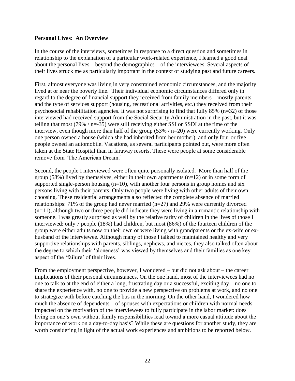#### **Personal Lives: An Overview**

In the course of the interviews, sometimes in response to a direct question and sometimes in relationship to the explanation of a particular work-related experience, I learned a good deal about the personal lives – beyond the demographics – of the interviewees. Several aspects of their lives struck me as particularly important in the context of studying past and future careers.

First, almost everyone was living in very constrained economic circumstances, and the majority lived at or near the poverty line. Their individual economic circumstances differed only in regard to the degree of financial support they received from family members – mostly parents – and the type of services support (housing, recreational activities, etc.) they received from their psychosocial rehabilitation agencies. It was not surprising to find that fully 85% (n=32) of those interviewed had received support from the Social Security Administration in the past, but it was telling that most (79% / n=-35) were still receiving either SSI or SSDI at the time of the interview, even though more than half of the group (53% / n=20) were currently working. Only one person owned a house (which she had inherited from her mother), and only four or five people owned an automobile. Vacations, as several participants pointed out, were more often taken at the State Hospital than in faraway resorts. These were people at some considerable remove from 'The American Dream.'

Second, the people I interviewed were often quite personally isolated. More than half of the group (58%) lived by themselves, either in their own apartments ( $n=12$ ) or in some form of supported single-person housing  $(n=10)$ , with another four persons in group homes and six persons living with their parents. Only two people were living with other adults of their own choosing. These residential arrangements also reflected the complete absence of married relationships: 71% of the group had never married (n=27) and 29% were currently divorced  $(n=11)$ , although two or three people did indicate they were living in a romantic relationship with someone. I was greatly surprised as well by the relative rarity of children in the lives of those I interviewed: only 7 people (18%) had children, but most (86%) of the fourteen children of the group were either adults now on their own or were living with grandparents or the ex-wife or exhusband of the interviewee. Although many of those I talked to maintained healthy and very supportive relationships with parents, siblings, nephews, and nieces, they also talked often about the degree to which their 'aloneness' was viewed by themselves and their families as one key aspect of the 'failure' of their lives.

From the employment perspective, however, I wondered – but did not ask about – the career implications of their personal circumstances. On the one hand, most of the interviewees had no one to talk to at the end of either a long, frustrating day or a successful, exciting day – no one to share the experience with, no one to provide a new perspective on problems at work, and no one to strategize with before catching the bus in the morning. On the other hand, I wondered how much the absence of dependents – of spouses with expectations or children with normal needs – impacted on the motivation of the interviewees to fully participate in the labor market: does living on one's own without family responsibilities lead toward a more casual attitude about the importance of work on a day-to-day basis? While these are questions for another study, they are worth considering in light of the actual work experiences and ambitions to be reported below.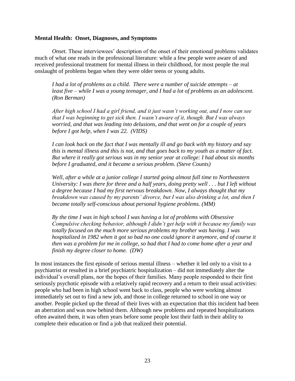#### **Mental Health: Onset, Diagnoses, and Symptoms**

*Onset.* These interviewees' description of the onset of their emotional problems validates much of what one reads in the professional literature: while a few people were aware of and received professional treatment for mental illness in their childhood, for most people the real onslaught of problems began when they were older teens or young adults.

*I had a lot of problems as a child. There were a number of suicide attempts – at least five – while I was a young teenager, and I had a lot of problems as an adolescent. (Ron Berman)*

*After high school I had a girl friend, and it just wasn't working out, and I now can see that I was beginning to get sick then. I wasn't aware of it, though. But I was always worried, and that was leading into delusions, and that went on for a couple of years before I got help, when I was 22. (VIDS)*

*I can look back on the fact that I was mentally ill and go back with my history and say this is mental illness and this is not, and that goes back to my youth as a matter of fact. But where it really got serious was in my senior year at college: I had about six months before I graduated, and it became a serious problem. (Steve Counts)*

*Well, after a while at a junior college I started going almost full time to Northeastern University: I was there for three and a half years, doing pretty well . . . but I left without a degree because I had my first nervous breakdown. Now, I always thought that my breakdown was caused by my parents' divorce, but I was also drinking a lot, and then I became totally self-conscious about personal hygiene problems. (MM)*

*By the time I was in high school I was having a lot of problems with Obsessive Compulsive checking behavior, although I didn't get help with it because my family was totally focused on the much more serious problems my brother was having. I was hospitalized in 1982 when it got so bad no one could ignore it anymore, and of course it then was a problem for me in college, so bad that I had to come home after a year and finish my degree closer to home. (DW)*

In most instances the first episode of serious mental illness – whether it led only to a visit to a psychiatrist or resulted in a brief psychiatric hospitalization – did not immediately alter the individual's overall plans, nor the hopes of their families. Many people responded to their first seriously psychotic episode with a relatively rapid recovery and a return to their usual activities: people who had been in high school went back to class, people who were working almost immediately set out to find a new job, and those in college returned to school in one way or another. People picked up the thread of their lives with an expectation that this incident had been an aberration and was now behind them. Although new problems and repeated hospitalizations often awaited them, it was often years before some people lost their faith in their ability to complete their education or find a job that realized their potential.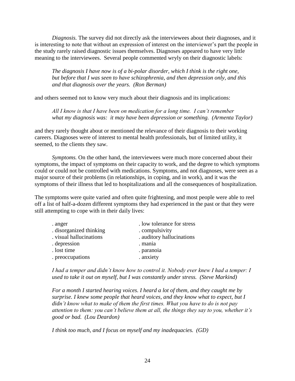*Diagnosis.* The survey did not directly ask the interviewees about their diagnoses, and it is interesting to note that without an expression of interest on the interviewer's part the people in the study rarely raised diagnostic issues themselves. Diagnoses appeared to have very little meaning to the interviewees. Several people commented wryly on their diagnostic labels:

*The diagnosis I have now is of a bi-polar disorder, which I think is the right one, but before that I was seen to have schizophrenia, and then depression only, and this and that diagnosis over the years. (Ron Berman)*

and others seemed not to know very much about their diagnosis and its implications:

*All I know is that I have been on medication for a long time. I can't remember what my diagnosis was: it may have been depression or something. (Armenta Taylor)*

and they rarely thought about or mentioned the relevance of their diagnosis to their working careers. Diagnoses were of interest to mental health professionals, but of limited utility, it seemed, to the clients they saw.

*Symptoms.* On the other hand, the interviewees were much more concerned about their symptoms, the impact of symptoms on their capacity to work, and the degree to which symptoms could or could not be controlled with medications. Symptoms, and not diagnoses, were seen as a major source of their problems (in relationships, in coping, and in work), and it was the symptoms of their illness that led to hospitalizations and all the consequences of hospitalization.

The symptoms were quite varied and often quite frightening, and most people were able to reel off a list of half-a-dozen different symptoms they had experienced in the past or that they were still attempting to cope with in their daily lives:

| . anger                 | . low tolerance for stress |
|-------------------------|----------------------------|
| disorganized thinking   | . compulsivity             |
| . visual hallucinations | . auditory hallucinations  |
| . depression            | . mania                    |
| . lost time             | . paranoia                 |
| . preoccupations        | . anxiety                  |
|                         |                            |

*I had a temper and didn't know how to control it. Nobody ever knew I had a temper: I used to take it out on myself, but I was constantly under stress. (Steve Markind)*

*For a month I started hearing voices. I heard a lot of them, and they caught me by surprise. I knew some people that heard voices, and they know what to expect, but I didn't know what to make of them the first times. What you have to do is not pay attention to them: you can't believe them at all, the things they say to you, whether it's good or bad. (Lou Deardon)*

*I think too much, and I focus on myself and my inadequacies. (GD)*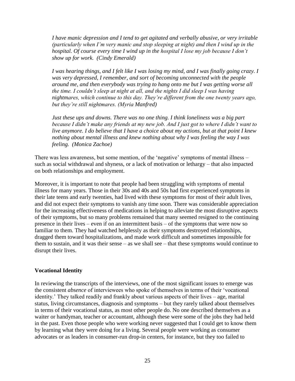*I have manic depression and I tend to get agitated and verbally abusive, or very irritable (particularly when I'm very manic and stop sleeping at night) and then I wind up in the hospital. Of course every time I wind up in the hospital I lose my job because I don't show up for work. (Cindy Emerald)*

*I was hearing things, and I felt like I was losing my mind, and I was finally going crazy. I was very depressed, I remember, and sort of becoming unconnected with the people around me, and then everybody was trying to hang onto me but I was getting worse all the time. I couldn't sleep at night at all, and the nights I did sleep I was having nightmares, which continue to this day. They're different from the one twenty years ago, but they're still nightmares. (Myria Manfred)*

*Just these ups and downs. There was no one thing. I think loneliness was a big part because I didn't make any friends at my new job. And I just got to where I didn't want to live anymore. I do believe that I have a choice about my actions, but at that point I knew nothing about mental illness and knew nothing about why I was feeling the way I was feeling. (Monica Zachoe)*

There was less awareness, but some mention, of the 'negative' symptoms of mental illness – such as social withdrawal and shyness, or a lack of motivation or lethargy – that also impacted on both relationships and employment.

Moreover, it is important to note that people had been struggling with symptoms of mental illness for many years. Those in their 30s and 40s and 50s had first experienced symptoms in their late teens and early twenties, had lived with these symptoms for most of their adult lives, and did not expect their symptoms to vanish any time soon. There was considerable appreciation for the increasing effectiveness of medications in helping to alleviate the most disruptive aspects of their symptoms, but so many problems remained that many seemed resigned to the continuing presence in their lives – even if on an intermittent basis – of the symptoms that were now so familiar to them. They had watched helplessly as their symptoms destroyed relationships, dragged them toward hospitalizations, and made work difficult and sometimes impossible for them to sustain, and it was their sense – as we shall see – that these symptoms would continue to disrupt their lives.

#### **Vocational Identity**

In reviewing the transcripts of the interviews, one of the most significant issues to emerge was the consistent *absence* of interviewees who spoke of themselves in terms of their 'vocational identity.' They talked readily and frankly about various aspects of their lives – age, marital status, living circumstances, diagnosis and symptoms – but they rarely talked about themselves in terms of their vocational status, as most other people do. No one described themselves as a waiter or handyman, teacher or accountant, although these were some of the jobs they had held in the past. Even those people who were working never suggested that I could get to know them by learning what they were doing for a living. Several people were working as consumer advocates or as leaders in consumer-run drop-in centers, for instance, but they too failed to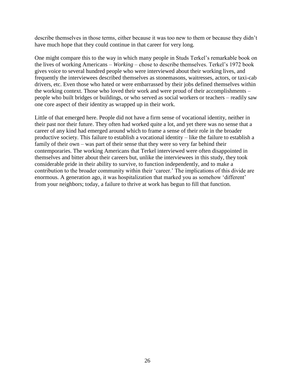describe themselves in those terms, either because it was too new to them or because they didn't have much hope that they could continue in that career for very long.

One might compare this to the way in which many people in Studs Terkel's remarkable book on the lives of working Americans – *Working –* chose to describe themselves. Terkel's 1972 book gives voice to several hundred people who were interviewed about their working lives, and frequently the interviewees described themselves as stonemasons, waitresses, actors, or taxi-cab drivers, etc. Even those who hated or were embarrassed by their jobs defined themselves within the working context. Those who loved their work and were proud of their accomplishments – people who built bridges or buildings, or who served as social workers or teachers – readily saw one core aspect of their identity as wrapped up in their work.

Little of that emerged here. People did not have a firm sense of vocational identity, neither in their past nor their future. They often had worked quite a lot, and yet there was no sense that a career of any kind had emerged around which to frame a sense of their role in the broader productive society. This failure to establish a vocational identity – like the failure to establish a family of their own – was part of their sense that they were so very far behind their contemporaries. The working Americans that Terkel interviewed were often disappointed in themselves and bitter about their careers but, unlike the interviewees in this study, they took considerable pride in their ability to survive, to function independently, and to make a contribution to the broader community within their 'career.' The implications of this divide are enormous. A generation ago, it was hospitalization that marked you as somehow 'different' from your neighbors; today, a failure to thrive at work has begun to fill that function.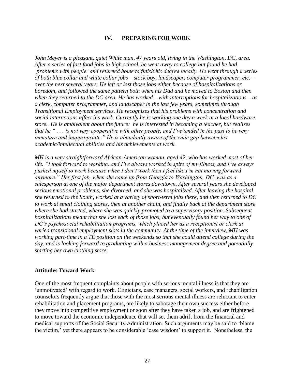#### **IV. PREPARING FOR WORK**

John Meyer is a pleasant, quiet White man, 47 years old, living in the Washington, DC, area. *After a series of fast food jobs in high school, he went away to college but found he had 'problems with people' and returned home to finish his degree locally. He went through a series of both blue collar and white collar jobs – stock boy, landscaper, computer programmer, etc. – over the next several years. He left or lost those jobs either because of hospitalizations or boredom, and followed the same pattern both when his Dad and he moved to Boston and then when they returned to the DC area. He has worked – with interruptions for hospitalizations – as a clerk, computer programmer, and landscaper in the last few years, sometimes through Transitional Employment services. He recognizes that his problems with concentration and social interactions affect his work. Currently he is working one day a week at a local hardware store. He is ambivalent about the future: he is interested in becoming a teacher, but realizes that he " . . . is not very cooperative with other people, and I've tended in the past to be very immature and inappropriate." He is abundantly aware of the wide gap between his academic/intellectual abilities and his achievements at work.*

*MH is a very straightforward African-American woman, aged 42, who has worked most of her life. "I look forward to working, and I've always worked in spite of my illness, and I've always pushed myself to work because when I don't work then I feel like I'm not moving forward anymore." Her first job, when she came up from Georgia to Washington, DC, was as a salesperson at one of the major department stores downtown. After several years she developed serious emotional problems, she divorced, and she was hospitalized. After leaving the hospital she returned to the South, worked at a variety of short-term jobs there, and then returned to DC to work at small clothing stores, then at another chain, and finally back at the department store where she had started, where she was quickly promoted to a supervisory position. Subsequent hospitalizations meant that she lost each of those jobs, but eventually found her way to one of DC's psychosocial rehabilitation programs, which placed her as a receptionist or clerk at varied transitional employment slots in the community. At the time of the interview, MH was working part-time in a TE position on the weekends so that she could attend college during the day, and is looking forward to graduating with a business management degree and potentially starting her own clothing store.*

#### **Attitudes Toward Work**

One of the most frequent complaints about people with serious mental illness is that they are 'unmotivated' with regard to work. Clinicians, case managers, social workers, and rehabilitation counselors frequently argue that those with the most serious mental illness are reluctant to enter rehabilitation and placement programs, are likely to sabotage their own success either before they move into competitive employment or soon after they have taken a job, and are frightened to move toward the economic independence that will set them adrift from the financial and medical supports of the Social Security Administration. Such arguments may be said to 'blame the victim,' yet there appears to be considerable 'case wisdom' to support it. Nonetheless, the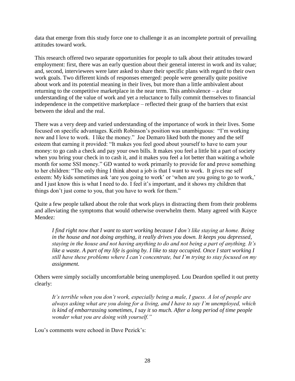data that emerge from this study force one to challenge it as an incomplete portrait of prevailing attitudes toward work.

This research offered two separate opportunities for people to talk about their attitudes toward employment: first, there was an early question about their general interest in work and its value; and, second, interviewees were later asked to share their specific plans with regard to their own work goals. Two different kinds of responses emerged: people were generally quite positive about work and its potential meaning in their lives, but more than a little ambivalent about returning to the competitive marketplace in the near term. This ambivalence – a clear understanding of the value of work and yet a reluctance to fully commit themselves to financial independence in the competitive marketplace – reflected their grasp of the barriers that exist between the ideal and the real.

There was a very deep and varied understanding of the importance of work in their lives. Some focused on specific advantages. Keith Robinson's position was unambiguous: "I'm working now and I love to work. I like the money." Joe Demaro liked both the money and the self esteem that earning it provided: "It makes you feel good about yourself to have to earn your money: to go cash a check and pay your own bills. It makes you feel a little bit a part of society when you bring your check in to cash it, and it makes you feel a lot better than waiting a whole month for some SSI money." GD wanted to work primarily to provide for and prove something to her children: "The only thing I think about a job is that I want to work. It gives me self esteem: My kids sometimes ask 'are you going to work' or 'when are you going to go to work,' and I just know this is what I need to do. I feel it's important, and it shows my children that things don't just come to you, that you have to work for them."

Quite a few people talked about the role that work plays in distracting them from their problems and alleviating the symptoms that would otherwise overwhelm them. Many agreed with Kayce Mendez:

*I find right now that I want to start working because I don't like staying at home. Being in the house and not doing anything, it really drives you down. It keeps you depressed, staying in the house and not having anything to do and not being a part of anything. It's like a waste. A part of my life is going by. I like to stay occupied. Once I start working I still have these problems where I can't concentrate, but I'm trying to stay focused on my assignment.*

Others were simply socially uncomfortable being unemployed*.* Lou Deardon spelled it out pretty clearly:

*It's terrible when you don't work, especially being a male, I guess. A lot of people are always asking what are you doing for a living, and I have to say I'm unemployed, which is kind of embarrassing sometimes, I say it so much. After a long period of time people wonder what you are doing with yourself."*

Lou's comments were echoed in Dave Pezick's: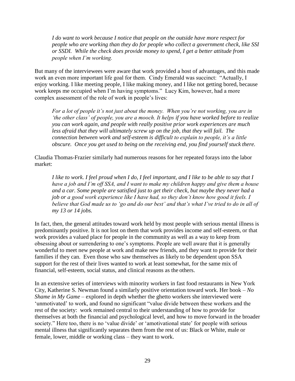*I do want to work because I notice that people on the outside have more respect for people who are working than they do for people who collect a government check, like SSI or SSDI. While the check does provide money to spend, I get a better attitude from people when I'm working.*

But many of the interviewees were aware that work provided a host of advantages, and this made work an even more important life goal for them. Cindy Emerald was succinct: "Actually, I enjoy working. I like meeting people, I like making money, and I like not getting bored, because work keeps me occupied when I'm having symptoms." Lucy Kim, however, had a more complex assessment of the role of work in people's lives:

*For a lot of people it's not just about the money. When you're not working, you are in 'the other class' of people, you are a mooch. It helps if you have worked before to realize you can work again, and people with really positive prior work experiences are much*  less afraid that they will ultimately screw up on the job, that they will fail. The *connection between work and self-esteem is difficult to explain to people, it's a little obscure. Once you get used to being on the receiving end, you find yourself stuck there.*

Claudia Thomas-Frazier similarly had numerous reasons for her repeated forays into the labor market:

*I like to work. I feel proud when I do, I feel important, and I like to be able to say that I have a job and I'm off SSA, and I want to make my children happy and give them a house and a car. Some people are satisfied just to get their check, but maybe they never had a job or a good work experience like I have had, so they don't know how good it feels. I believe that God made us to 'go and do our best' and that's what I've tried to do in all of my 13 or 14 jobs.*

In fact, then, the general attitudes toward work held by most people with serious mental illness is predominantly positive. It is not lost on them that work provides income and self-esteem, or that work provides a valued place for people in the community as well as a way to keep from obsessing about or surrendering to one's symptoms. People are well aware that it is generally wonderful to meet new people at work and make new friends, and they want to provide for their families if they can. Even those who saw themselves as likely to be dependent upon SSA support for the rest of their lives wanted to work at least somewhat, for the same mix of financial, self-esteem, social status, and clinical reasons as the others.

In an extensive series of interviews with minority workers in fast food restaurants in New York City, Katherine S. Newman found a similarly positive orientation toward work. Her book – *No Shame in My Game* – explored in depth whether the ghetto workers she interviewed were 'unmotivated' to work, and found no significant "value divide between these workers and the rest of the society: work remained central to their understanding of how to provide for themselves at both the financial and psychological level, and how to move forward in the broader society." Here too, there is no 'value divide' or 'amotivational state' for people with serious mental illness that significantly separates them from the rest of us: Black or White, male or female, lower, middle or working class – they want to work.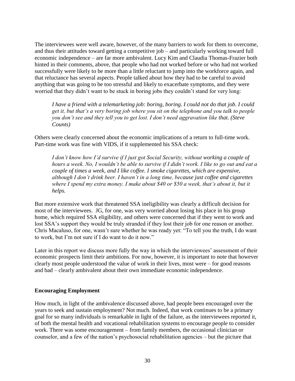The interviewees were well aware, however, of the many barriers to work for them to overcome, and thus their attitudes toward getting a competitive job – and particularly working toward full economic independence – are far more ambivalent. Lucy Kim and Claudia Thomas-Frazier both hinted in their comments, above, that people who had not worked before or who had not worked successfully were likely to be more than a little reluctant to jump into the workforce again, and that reluctance has several aspects. People talked about how they had to be careful to avoid anything that was going to be too stressful and likely to exacerbate symptoms, and they were worried that they didn't want to be stuck in boring jobs they couldn't stand for very long:

*I have a friend with a telemarketing job: boring, boring. I could not do that job. I could get it, but that's a very boring job where you sit on the telephone and you talk to people you don't see and they tell you to get lost. I don't need aggravation like that. (Steve Counts)*

Others were clearly concerned about the economic implications of a return to full-time work. Part-time work was fine with VIDS, if it supplemented his SSA check:

*I don't know how I'd survive if I just got Social Security, without working a couple of hours a week. No, I wouldn't be able to survive if I didn't work. I like to go out and eat a couple of times a week, and I like coffee. I smoke cigarettes, which are expensive, although I don't drink beer. I haven't in a long time, because just coffee and cigarettes*  where I spend my extra money. I make about \$40 or \$50 a week, that's about it, but it *helps.*

But more extensive work that threatened SSA ineligibility was clearly a difficult decision for most of the interviewees. JG, for one, was very worried about losing his place in his group home, which required SSA eligibility, and others were concerned that if they went to work and lost SSA's support they would be truly stranded if they lost their job for one reason or another. Chris Macaluso, for one, wasn't sure whether he was ready yet: "To tell you the truth, I do want to work, but I'm not sure if I do want to do it now."

Later in this report we discuss more fully the way in which the interviewees' assessment of their economic prospects limit their ambitions. For now, however, it is important to note that however clearly most people understood the value of work in their lives, most were – for good reasons and bad – clearly ambivalent about their own immediate economic independence.

#### **Encouraging Employment**

How much, in light of the ambivalence discussed above, had people been encouraged over the years to seek and sustain employment? Not much. Indeed, that work continues to be a primary goal for so many individuals is remarkable in light of the failure, as the interviewees reported it, of both the mental health and vocational rehabilitation systems to encourage people to consider work. There was some encouragement – from family members, the occasional clinician or counselor, and a few of the nation's psychosocial rehabilitation agencies – but the picture that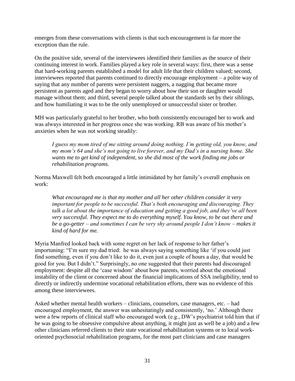emerges from these conversations with clients is that such encouragement is far more the exception than the rule.

On the positive side, several of the interviewees identified their families as the source of their continuing interest in work. Families played a key role in several ways: first, there was a sense that hard-working parents established a model for adult life that their children valued; second, interviewees reported that parents continued to directly encourage employment – a polite way of saying that any number of parents were persistent naggers, a nagging that became more persistent as parents aged and they began to worry about how their son or daughter would manage without them; and third, several people talked about the standards set by their siblings, and how humiliating it was to be the only unemployed or unsuccessful sister or brother.

MH was particularly grateful to her brother, who both consistently encouraged her to work and was always interested in her progress once she was working. RB was aware of his mother's anxieties when he was not working steadily:

*I guess my mom tired of me sitting around doing nothing. I'm getting old, you know, and my mom's 64 and she's not going to live forever, and my Dad's in a nursing home. She wants me to get kind of independent, so she did most of the work finding me jobs or rehabilitation programs.*

Norma Maxwell felt both encouraged a little intimidated by her family's overall emphasis on work:

*What encouraged me is that my mother and all her other children consider it very important for people to be successful. That's both encouraging and discouraging. They talk a lot about the importance of education and getting a good job, and they've all been very successful. They expect me to do everything myself. You know, to be out there and be a go-getter – and sometimes I can be very shy around people I don't know – makes it kind of hard for me.*

Myria Manfred looked back with some regret on her lack of response to her father's importuning: "I'm sure my dad tried: he was always saying something like 'if you could just find something, even if you don't like to do it, even just a couple of hours a day, that would be good for you. But I didn't." Surprisingly, no one suggested that their parents had discouraged employment: despite all the 'case wisdom' about how parents, worried about the emotional instability of the client or concerned about the financial implications of SSA ineligibility, tend to directly or indirectly undermine vocational rehabilitation efforts, there was no evidence of this among these interviewees.

Asked whether mental health workers – clinicians, counselors, case managers, etc. – had encouraged employment, the answer was unhesitatingly and consistently, 'no.' Although there were a few reports of clinical staff who encouraged work (e.g., DW's psychiatrist told him that if he was going to be obsessive compulsive about anything, it might just as well be a job) and a few other clinicians referred clients to their state vocational rehabilitation systems or to local workoriented psychosocial rehabilitation programs, for the most part clinicians and case managers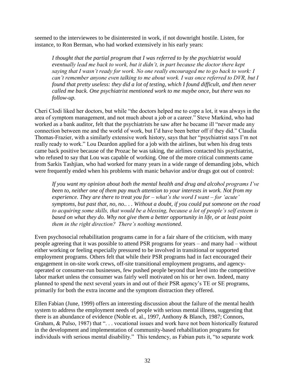seemed to the interviewees to be disinterested in work, if not downright hostile. Listen, for instance, to Ron Berman, who had worked extensively in his early years:

*I thought that the partial program that I was referred to by the psychiatrist would eventually lead me back to work, but it didn't, in part because the doctor there kept saying that I wasn't ready for work. No one really encouraged me to go back to work: I can't remember anyone even talking to me about work. I was once referred to DVR, but I found that pretty useless: they did a lot of testing, which I found difficult, and then never called me back. One psychiatrist mentioned work to me maybe once, but there was no follow-up.*

Cheri Clodi liked her doctors, but while "the doctors helped me to cope a lot, it was always in the area of symptom management, and not much about a job or a career." Steve Markind, who had worked as a bank auditor, felt that the psychiatrists he saw after he became ill "never made any connection between me and the world of work, but I'd have been better off if they did." Claudia Thomas-Frazier, with a similarly extensive work history, says that her "psychiatrist says I'm not really ready to work." Lou Deardon applied for a job with the airlines, but when his drug tests came back positive because of the Prozac he was taking, the airlines contacted his psychiatrist, who refused to say that Lou was capable of working. One of the more critical comments came from Sarkis Tashjian, who had worked for many years in a wide range of demanding jobs, which were frequently ended when his problems with manic behavior and/or drugs got out of control:

*If you want my opinion about both the mental health and drug and alcohol programs I've been to, neither one of them pay much attention to your interests in work. Not from my experience. They are there to treat you for – what's the word I want – for 'acute' symptoms, but past that, no, no.. . . Without a doubt, if you could put someone on the road to acquiring some skills, that would be a blessing, because a lot of people's self esteem is based on what they do. Why not give them a better opportunity in life, or at least point them in the right direction? There's nothing mentioned.*

Even psychosocial rehabilitation programs came in for a fair share of the criticism, with many people agreeing that it was possible to attend PSR programs for years – and many had – without either working or feeling especially pressured to be involved in transitional or supported employment programs. Others felt that while their PSR programs had in fact encouraged their engagement in on-site work crews, off-site transitional employment programs, and agencyoperated or consumer-run businesses, few pushed people beyond that level into the competitive labor market unless the consumer was fairly well motivated on his or her own. Indeed, many planned to spend the next several years in and out of their PSR agency's TE or SE programs, primarily for both the extra income and the symptom distraction they offered.

Ellen Fabian (June, 1999) offers an interesting discussion about the failure of the mental health system to address the employment needs of people with serious mental illness, suggesting that there is an abundance of evidence (Noble et. al., 1997, Anthony & Blanch, 1987; Connors, Graham, & Pulso, 1987) that ". . . vocational issues and work have not been historically featured in the development and implementation of community-based rehabilitation programs for individuals with serious mental disability." This tendency, as Fabian puts it, "to separate work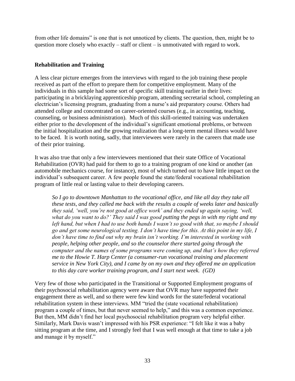from other life domains" is one that is not unnoticed by clients. The question, then, might be to question more closely who exactly – staff or client – is unmotivated with regard to work.

#### **Rehabilitation and Training**

A less clear picture emerges from the interviews with regard to the job training these people received as part of the effort to prepare them for competitive employment. Many of the individuals in this sample had some sort of specific skill training earlier in their lives: participating in a bricklaying apprenticeship program, attending secretarial school, completing an electrician's licensing program, graduating from a nurse's aid preparatory course. Others had attended college and concentrated on career-oriented courses (e.g., in accounting, teaching, counseling, or business administration). Much of this skill-oriented training was undertaken either prior to the development of the individual's significant emotional problems, or between the initial hospitalization and the growing realization that a long-term mental illness would have to be faced. It is worth noting, sadly, that interviewees were rarely in the careers that made use of their prior training.

It was also true that only a few interviewees mentioned that their state Office of Vocational Rehabilitation (OVR) had paid for them to go to a training program of one kind or another (an automobile mechanics course, for instance), most of which turned out to have little impact on the individual's subsequent career. A few people found the state/federal vocational rehabilitation program of little real or lasting value to their developing careers.

*So I go to downtown Manhattan to the vocational office, and like all day they take all these tests, and they called me back with the results a couple of weeks later and basically they said, 'well, you're not good at office work' and they ended up again saying, 'well, what do you want to do?' They said I was good putting the pegs in with my right and my left hand, but when I had to use both hands I wasn't so good with that, so maybe I should go and get some neurological testing. I don't have time for this. At this point in my life, I don't have time to find out why my brain isn't working. I'm interested in working with people, helping other people, and so the counselor there started going through the computer and the names of some programs were coming up, and that's how they referred me to the Howie T. Harp Center (a consumer-run vocational training and placement service in New York City), and I came by on my own and they offered me an application to this day care worker training program, and I start next week. (GD)*

Very few of those who participated in the Transitional or Supported Employment programs of their psychosocial rehabilitation agency were aware that OVR may have supported their engagement there as well, and so there were few kind words for the state/federal vocational rehabilitation system in these interviews. MM "tried the (state vocational rehabilitation) program a couple of times, but that never seemed to help," and this was a common experience. But then, MM didn't find her local psychosocial rehabilitation program very helpful either. Similarly, Mark Davis wasn't impressed with his PSR experience: "I felt like it was a baby sitting program at the time, and I strongly feel that I was well enough at that time to take a job and manage it by myself."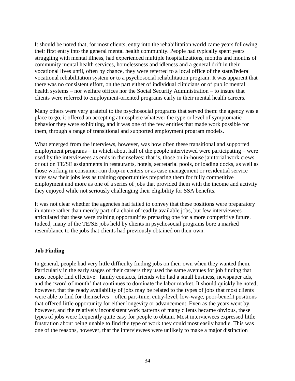It should be noted that, for most clients, entry into the rehabilitation world came years following their first entry into the general mental health community. People had typically spent years struggling with mental illness, had experienced multiple hospitalizations, months and months of community mental health services, homelessness and idleness and a general drift in their vocational lives until, often by chance, they were referred to a local office of the state/federal vocational rehabilitation system or to a psychosocial rehabilitation program. It was apparent that there was no consistent effort, on the part either of individual clinicians or of public mental health systems – nor welfare offices nor the Social Security Administration – to insure that clients were referred to employment-oriented programs early in their mental health careers.

Many others were very grateful to the psychosocial programs that served them: the agency was a place to go, it offered an accepting atmosphere whatever the type or level of symptomatic behavior they were exhibiting, and it was one of the few entities that made work possible for them, through a range of transitional and supported employment program models.

What emerged from the interviews, however, was how often these transitional and supported employment programs – in which about half of the people interviewed were participating – were used by the interviewees as ends in themselves: that is, those on in-house janitorial work crews or out on TE/SE assignments in restaurants, hotels, secretarial pools, or loading docks, as well as those working in consumer-run drop-in centers or as case management or residential service aides saw their jobs less as training opportunities preparing them for fully competitive employment and more as one of a series of jobs that provided them with the income and activity they enjoyed while not seriously challenging their eligibility for SSA benefits.

It was not clear whether the agencies had failed to convey that these positions were preparatory in nature rather than merely part of a chain of readily available jobs, but few interviewees articulated that these were training opportunities preparing one for a more competitive future. Indeed, many of the TE/SE jobs held by clients in psychosocial programs bore a marked resemblance to the jobs that clients had previously obtained on their own.

#### **Job Finding**

In general, people had very little difficulty finding jobs on their own when they wanted them. Particularly in the early stages of their careers they used the same avenues for job finding that most people find effective: family contacts, friends who had a small business, newspaper ads, and the 'word of mouth' that continues to dominate the labor market. It should quickly be noted, however, that the ready availability of jobs may be related to the types of jobs that most clients were able to find for themselves – often part-time, entry-level, low-wage, poor-benefit positions that offered little opportunity for either longevity or advancement. Even as the years went by, however, and the relatively inconsistent work patterns of many clients became obvious, these types of jobs were frequently quite easy for people to obtain. Most interviewees expressed little frustration about being unable to find the type of work they could most easily handle. This was one of the reasons, however, that the interviewees were unlikely to make a major distinction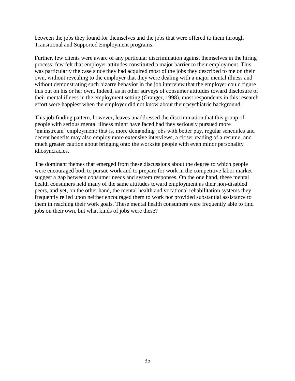between the jobs they found for themselves and the jobs that were offered to them through Transitional and Supported Employment programs.

Further, few clients were aware of any particular discrimination against themselves in the hiring process: few felt that employer attitudes constituted a major barrier to their employment. This was particularly the case since they had acquired most of the jobs they described to me on their own, without revealing to the employer that they were dealing with a major mental illness and without demonstrating such bizarre behavior in the job interview that the employer could figure this out on his or her own. Indeed, as in other surveys of consumer attitudes toward disclosure of their mental illness in the employment setting (Granger, 1998), most respondents in this research effort were happiest when the employer did not know about their psychiatric background.

This job-finding pattern, however, leaves unaddressed the discrimination that this group of people with serious mental illness might have faced had they seriously pursued more 'mainstream' employment: that is, more demanding jobs with better pay, regular schedules and decent benefits may also employ more extensive interviews, a closer reading of a resume, and much greater caution about bringing onto the worksite people with even minor personality idiosyncracies.

The dominant themes that emerged from these discussions about the degree to which people were encouraged both to pursue work and to prepare for work in the competitive labor market suggest a gap between consumer needs and system responses. On the one hand, these mental health consumers held many of the same attitudes toward employment as their non-disabled peers, and yet, on the other hand, the mental health and vocational rehabilitation systems they frequently relied upon neither encouraged them to work nor provided substantial assistance to them in reaching their work goals. These mental health consumers were frequently able to find jobs on their own, but what kinds of jobs were these?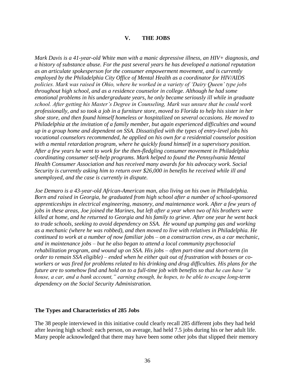#### **V. THE JOBS**

*Mark Davis is a 41-year-old White man with a manic depressive illness, an HIV+ diagnosis, and a history of substance abuse. For the past several years he has developed a national reputation as an articulate spokesperson for the consumer empowerment movement, and is currently employed by the Philadelphia City Office of Mental Health as a coordinator for HIV/AIDS policies. Mark was raised in Ohio, where he worked in a variety of 'Dairy Queen' type jobs throughout high school, and as a residence counselor in college. Although he had some emotional problems in his undergraduate years, he only became seriously ill while in graduate school. After getting his Master's Degree in Counseling, Mark was unsure that he could work professionally, and so took a job in a furniture store, moved to Florida to help his sister in her shoe store, and then found himself homeless or hospitalized on several occasions. He moved to Philadelphia at the invitation of a family member, but again experienced difficulties and wound up in a group home and dependent on SSA. Dissatisfied with the types of entry-level jobs his vocational counselors recommended, he applied on his own for a residential counselor position with a mental retardation program, where he quickly found himself in a supervisory position. After a few years he went to work for the then-fledgling consumer movement in Philadelphia coordinating consumer self-help programs. Mark helped to found the Pennsylvania Mental Health Consumer Association and has received many awards for his advocacy work. Social Security is currently asking him to return over \$26,000 in benefits he received while ill and unemployed, and the case is currently in dispute.*

*Joe Demaro is a 43-year-old African-American man, also living on his own in Philadelphia. Born and raised in Georgia, he graduated from high school after a number of school-sponsored apprenticeships in electrical engineering, masonry, and maintenance work. After a few years of jobs in these areas, Joe joined the Marines, but left after a year when two of his brothers were killed at home, and he returned to Georgia and his family to grieve. After one year he went back to trade schools, seeking to avoid dependency on SSA. He wound up pumping gas and working as a mechanic (where he was robbed), and then moved to live with relatives in Philadelphia. He continued to work at a number of now familiar jobs – on a construction crew, as a car mechanic, and in maintenance jobs – but he also began to attend a local community psychosocial rehabilitation program, and wound up on SSA. His jobs – often part-time and short-term (in order to remain SSA eligible) – ended when he either quit out of frustration with bosses or coworkers or was fired for problems related to his drinking and drug difficulties. His plans for the future are to somehow find and hold on to a full-time job with benefits so that he can have "a house, a car, and a bank account," earning enough, he hopes, to be able to escape long-term dependency on the Social Security Administration.*

#### **The Types and Characteristics of 285 Jobs**

The 38 people interviewed in this initiative could clearly recall 285 different jobs they had held after leaving high school: each person, on average, had held 7.5 jobs during his or her adult life. Many people acknowledged that there may have been some other jobs that slipped their memory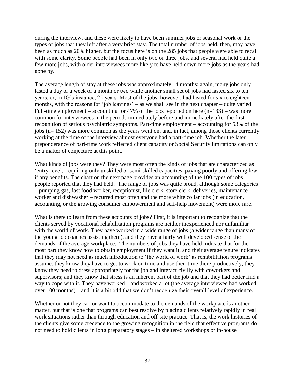during the interview, and these were likely to have been summer jobs or seasonal work or the types of jobs that they left after a very brief stay. The total number of jobs held, then, may have been as much as 20% higher, but the focus here is on the 285 jobs that people were able to recall with some clarity. Some people had been in only two or three jobs, and several had held quite a few more jobs, with older interviewees more likely to have held down more jobs as the years had gone by.

The average length of stay at these jobs was approximately 14 months: again, many jobs only lasted a day or a week or a month or two while another small set of jobs had lasted six to ten years, or, in JG's instance, 25 years. Most of the jobs, however, had lasted for six to eighteen months, with the reasons for 'job leavings' – as we shall see in the next chapter – quite varied. Full-time employment – accounting for 47% of the jobs reported on here  $(n=133)$  – was more common for interviewees in the periods immediately before and immediately after the first recognition of serious psychiatric symptoms. Part-time employment – accounting for 53% of the jobs (n= 152) was more common as the years went on, and, in fact, among those clients currently working at the time of the interview almost everyone had a part-time job. Whether the later preponderance of part-time work reflected client capacity or Social Security limitations can only be a matter of conjecture at this point.

What kinds of jobs were they? They were most often the kinds of jobs that are characterized as 'entry-level,' requiring only unskilled or semi-skilled capacities, paying poorly and offering few if any benefits. The chart on the next page provides an accounting of the 100 types of jobs people reported that they had held. The range of jobs was quite broad, although some categories – pumping gas, fast food worker, receptionist, file clerk, store clerk, deliveries, maintenance worker and dishwasher – recurred most often and the more white collar jobs (in education, accounting, or the growing consumer empowerment and self-help movement) were more rare.

What is there to learn from these accounts of jobs? First, it is important to recognize that the clients served by vocational rehabilitation programs are neither inexperienced nor unfamiliar with the world of work. They have worked in a wide range of jobs (a wider range than many of the young job coaches assisting them), and they have a fairly well developed sense of the demands of the average workplace. The numbers of jobs they have held indicate that for the most part they know how to obtain employment if they want it, and their average tenure indicates that they may not need as much introduction to 'the world of work' as rehabilitation programs assume: they know they have to get to work on time and use their time there productively; they know they need to dress appropriately for the job and interact civilly with coworkers and supervisors; and they know that stress is an inherent part of the job and that they had better find a way to cope with it. They have worked – and worked a lot (the average interviewee had worked over 100 months) – and it is a bit odd that we don't recognize their overall level of experience.

Whether or not they can or want to accommodate to the demands of the workplace is another matter, but that is one that programs can best resolve by placing clients relatively rapidly in real work situations rather than through education and off-site practice. That is, the work histories of the clients give some credence to the growing recognition in the field that effective programs do not need to hold clients in long preparatory stages – in sheltered workshops or in-house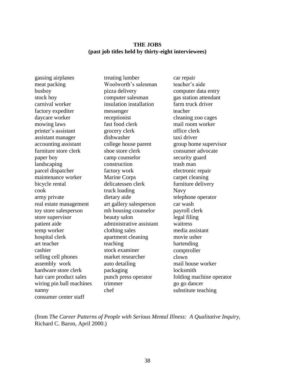#### **THE JOBS (past job titles held by thirty-eight interviewees)**

gassing airplanes meat packing busboy stock boy carnival worker factory expediter daycare worker mowing laws printer's assistant assistant manager accounting assistant furniture store clerk paper boy landscaping parcel dispatcher maintenance worker bicycle rental cook army private real estate management toy store salesperson store supervisor patient aide temp worker hospital clerk art teacher cashier selling cell phones assembly work hardware store clerk hair care product sales wiring pin ball machines nanny consumer center staff

treating lumber Woolworth's salesman pizza delivery computer salesman insulation installation messenger receptionist fast food clerk grocery clerk dishwasher college house parent shoe store clerk camp counselor construction factory work Marine Corps delicatessen clerk truck loading dietary aide art gallery salesperson mh housing counselor beauty salon administrative assistant clothing sales apartment cleaning teaching stock examiner market researcher auto detailing packaging punch press operator trimmer chef

car repair teacher's aide computer data entry gas station attendant farm truck driver teacher cleaning zoo cages mail room worker office clerk taxi driver group home supervisor consumer advocate security guard trash man electronic repair carpet cleaning furniture delivery Navy telephone operator car wash payroll clerk legal filing waitress media assistant movie usher bartending comptroller clown mail house worker locksmith folding machine operator go go dancer substitute teaching

(from *The Career Patterns of People with Serious Mental Illness: A Qualitative Inquiry,* Richard C. Baron, April 2000.)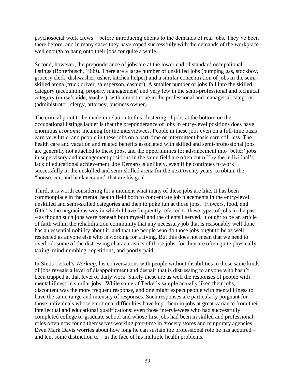psychosocial work crews – before introducing clients to the demands of real jobs. They've been there before, and in many cases they have coped successfully with the demands of the workplace well enough to hang onto their jobs for quite a while.

Second, however, the preponderance of jobs are at the lower end of standard occupational listings (Botterbusch, 1999). There are a large number of unskilled jobs (pumping gas, stockboy, grocery clerk, dishwasher, usher, kitchen helper) and a similar concentration of jobs in the semiskilled arena (truck driver, salesperson, cashier). A smaller number of jobs fall into the skilled category (accounting, property management) and very few in the semi-professional and technical category (nurse's aide, teacher), with almost none in the professional and managerial category (administrator, clergy, attorney, business owner).

The critical point to be made in relation to this clustering of jobs at the bottom on the occupational listings ladder is that the preponderance of jobs in entry-level positions does have enormous *economic* meaning for the interviewees. People in these jobs even on a full-time basis earn very little, and people in these jobs on a part-time or intermittent basis earn still less. The health care and vacation and related benefits associated with skilled and semi-professional jobs are generally not attached to these jobs, and the opportunities for advancement into 'better' jobs in supervisory and management positions in the same field are often cut off by the individual's lack of educational achievement. Joe Demaro is unlikely, even if he continues to work successfully in the unskilled and semi-skilled arena for the next twenty years, to obtain the "house, car, and bank account" that are his goal.

Third, it is worth considering for a moment what many of these jobs are like. It has been commonplace in the mental health field both to concentrate job placements in the entry-level unskilled and semi-skilled categories and then to poke fun at those jobs. "Flowers, food, and filth" is the ungracious way in which I have frequently referred to these types of jobs in the past – as though such jobs were beneath both myself and the clients I served. It ought to be an article of faith within the rehabilitation community that any necessary job that is reasonably well done has an essential nobility about it, and that the people who do those jobs ought to be as well respected as anyone else who is working for a living. But this does not mean that we need to overlook some of the distressing characteristics of those jobs, for they are often quite physically taxing, mind-numbing, repetitious, and poorly-paid.

In Studs Terkel's *Working*, his conversations with people without disabilities in those same kinds of jobs reveals a level of disappointment and despair that is distressing to anyone who hasn't been trapped at that level of daily work. Surely these are as well the responses of people with mental illness in similar jobs. While some of Terkel's sample actually liked their jobs, discontent was the more frequent response, and one might expect people with mental illness to have the same range and intensity of responses. Such responses are particularly poignant for those individuals whose emotional difficulties have kept them in jobs at great variance from their intellectual and educational qualifications: even those interviewees who had successfully completed college or graduate school and whose first jobs had been in skilled and professional roles often now found themselves working part-time in grocery stores and temporary agencies. Even Mark Davis worries about how long he can sustain the professional role he has acquired – and lent some distinction to  $-$  in the face of his multiple health problems.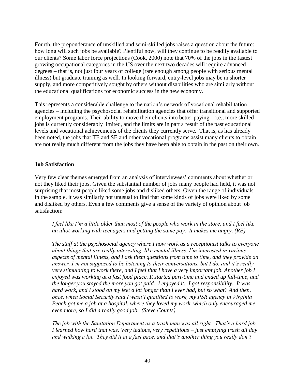Fourth, the preponderance of unskilled and semi-skilled jobs raises a question about the future: how long will such jobs be available? Plentiful now, will they continue to be readily available to our clients? Some labor force projections (Cook, 2000) note that 70% of the jobs in the fastest growing occupational categories in the US over the next two decades will require advanced degrees – that is, not just four years of college (rare enough among people with serious mental illness) but graduate training as well. In looking forward, entry-level jobs may be in shorter supply, and more competitively sought by others without disabilities who are similarly without the educational qualifications for economic success in the new economy.

This represents a considerable challenge to the nation's network of vocational rehabilitation agencies – including the psychosocial rehabilitation agencies that offer transitional and supported employment programs. Their ability to move their clients into better paying – i.e., more skilled – jobs is currently considerably limited, and the limits are in part a result of the past educational levels and vocational achievements of the clients they currently serve. That is, as has already been noted, the jobs that TE and SE and other vocational programs assist many clients to obtain are not really much different from the jobs they have been able to obtain in the past on their own.

### **Job Satisfaction**

Very few clear themes emerged from an analysis of interviewees' comments about whether or not they liked their jobs. Given the substantial number of jobs many people had held, it was not surprising that most people liked some jobs and disliked others. Given the range of individuals in the sample, it was similarly not unusual to find that some kinds of jobs were liked by some and disliked by others. Even a few comments give a sense of the variety of opinion about job satisfaction:

*I feel like I'm a little older than most of the people who work in the store, and I feel like an idiot working with teenagers and getting the same pay. It makes me angry. (RB)*

*The staff at the psychosocial agency where I now work as a receptionist talks to everyone about things that are really interesting, like mental illness. I'm interested in various aspects of mental illness, and I ask them questions from time to time, and they provide an answer. I'm not supposed to be listening to their conversations, but I do, and it's really very stimulating to work there, and I feel that I have a very important job. Another job I enjoyed was working at a fast food place. It started part-time and ended up full-time, and the longer you stayed the more you got paid. I enjoyed it. I got responsibility. It was hard work, and I stood on my feet a lot longer than I ever had, but so what? And then, once, when Social Security said I wasn't qualified to work, my PSR agency in Virginia Beach got me a job at a hospital, where they loved my work, which only encouraged me even more, so I did a really good job. (Steve Counts)*

*The job with the Sanitation Department as a trash man was all right. That's a hard job. I learned how hard that was. Very tedious, very repetitious – just emptying trash all day and walking a lot. They did it at a fast pace, and that's another thing you really don't*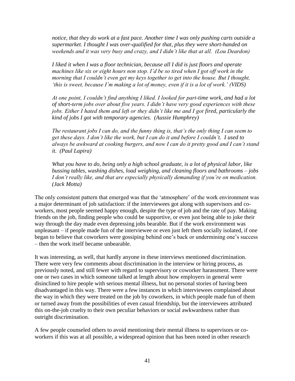*notice, that they do work at a fast pace. Another time I was only pushing carts outside a supermarket. I thought I was over-qualified for that, plus they were short-handed on weekends and it was very busy and crazy, and I didn't like that at all. (Lou Deardon)*

*I liked it when I was a floor technician, because all I did is just floors and operate machines like six or eight hours non stop. I'd be so tired when I got off work in the morning that I couldn't even get my keys together to get into the house. But I thought, 'this is sweet, because I'm making a lot of money, even if it is a lot of work.' (VIDS)*

*At one point, I couldn't find anything I liked. I looked for part-time work, and had a lot of short-term jobs over about five years. I didn't have very good experiences with these jobs. Either I hated them and left or they didn't like me and I got fired, particularly the kind of jobs I got with temporary agencies. (Aussie Humphrey)*

*The restaurant jobs I can do, and the funny thing is, that's the only thing I can seem to get these days. I don't like the work, but I can do it and before I couldn't. I used to always be awkward at cooking burgers, and now I can do it pretty good and I can't stand it. (Paul Lapira)*

*What you have to do, being only a high school graduate, is a lot of physical labor, like bussing tables, washing dishes, load weighing, and cleaning floors and bathrooms – jobs I don't really like, and that are especially physically demanding if you're on medication. (Jack Motta)*

The only consistent pattern that emerged was that the 'atmosphere' of the work environment was a major determinant of job satisfaction: if the interviewees got along with supervisors and coworkers, most people seemed happy enough, despite the type of job and the rate of pay. Making friends on the job, finding people who could be supportive, or even just being able to joke their way through the day made even depressing jobs bearable. But if the work environment was unpleasant – if people made fun of the interviewee or even just left them socially isolated, if one began to believe that coworkers were gossiping behind one's back or undermining one's success – then the work itself became unbearable.

It was interesting, as well, that hardly anyone in these interviews mentioned discrimination. There were very few comments about discrimination in the interview or hiring process, as previously noted, and still fewer with regard to supervisory or coworker harassment. There were one or two cases in which someone talked at length about how employers in general were disinclined to hire people with serious mental illness, but no personal stories of having been disadvantaged in this way. There were a few instances in which interviewees complained about the way in which they were treated on the job by coworkers, in which people made fun of them or turned away from the possibilities of even casual friendship, but the interviewees attributed this on-the-job cruelty to their own peculiar behaviors or social awkwardness rather than outright discrimination.

A few people counseled others to avoid mentioning their mental illness to supervisors or coworkers if this was at all possible, a widespread opinion that has been noted in other research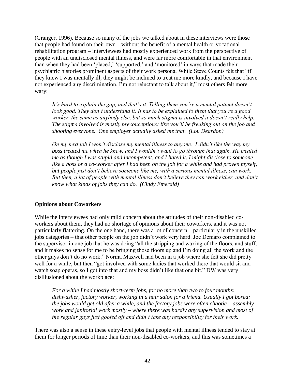(Granger, 1996). Because so many of the jobs we talked about in these interviews were those that people had found on their own – without the benefit of a mental health or vocational rehabilitation program – interviewees had mostly experienced work from the perspective of people with an undisclosed mental illness, and were far more comfortable in that environment than when they had been 'placed,' 'supported,' and 'monitored' in ways that made their psychiatric histories prominent aspects of their work persona. While Steve Counts felt that "if they knew I was mentally ill, they might be inclined to treat me more kindly, and because I have not experienced any discrimination, I'm not reluctant to talk about it," most others felt more wary:

*It's hard to explain the gap, and that's it. Telling them you're a mental patient doesn't look good. They don't understand it. It has to be explained to them that you're a good worker, the same as anybody else, but so much stigma is involved it doesn't really help. The stigma involved is mostly preconceptions: like you'll be freaking out on the job and shooting everyone. One employer actually asked me that. (Lou Deardon)*

*On my next job I won't disclose my mental illness to anyone. I didn't like the way my boss treated me when he knew, and I wouldn't want to go through that again. He treated me as though I was stupid and incompetent, and I hated it. I might disclose to someone*  like a boss or a co-worker after I had been on the job for a while and had proven myself, *but people just don't believe someone like me, with a serious mental illness, can work. But then, a lot of people with mental illness don't believe they can work either, and don't know what kinds of jobs they can do. (Cindy Emerald)*

## **Opinions about Coworkers**

While the interviewees had only mild concern about the attitudes of their non-disabled coworkers about them, they had no shortage of opinions about their coworkers, and it was not particularly flattering. On the one hand, there was a lot of concern – particularly in the unskilled jobs categories – that other people on the job didn't work very hard. Joe Demaro complained to the supervisor in one job that he was doing "all the stripping and waxing of the floors, and stuff, and it makes no sense for me to be bringing those floors up and I'm doing all the work and the other guys don't do no work." Norma Maxwell had been in a job where she felt she did pretty well for a while, but then "got involved with some ladies that worked there that would sit and watch soap operas, so I got into that and my boss didn't like that one bit." DW was very disillusioned about the workplace:

*For a while I had mostly short-term jobs, for no more than two to four months: dishwasher, factory worker, working in a hair salon for a friend. Usually I got bored: the jobs would get old after a while, and the factory jobs were often chaotic – assembly work and janitorial work mostly – where there was hardly any supervision and most of the regular guys just goofed off and didn't take any responsibility for their work.*

There was also a sense in these entry-level jobs that people with mental illness tended to stay at them for longer periods of time than their non-disabled co-workers, and this was sometimes a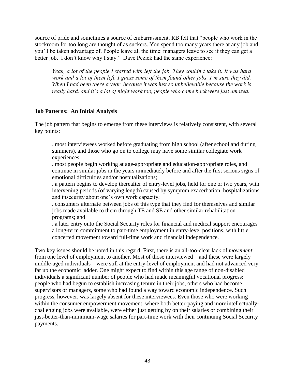source of pride and sometimes a source of embarrassment. RB felt that "people who work in the stockroom for too long are thought of as suckers. You spend too many years there at any job and you'll be taken advantage of. People leave all the time: managers leave to see if they can get a better job. I don't know why I stay." Dave Pezick had the same experience:

*Yeah, a lot of the people I started with left the job. They couldn't take it. It was hard work and a lot of them left. I guess some of them found other jobs. I'm sure they did. When I had been there a year, because it was just so unbelievable because the work is really hard, and it's a lot of night work too, people who came back were just amazed.*

### **Job Patterns: An Initial Analysis**

The job pattern that begins to emerge from these interviews is relatively consistent, with several key points:

. most interviewees worked before graduating from high school (after school and during summers), and those who go on to college may have some similar collegiate work experiences;

. most people begin working at age-appropriate and education-appropriate roles, and continue in similar jobs in the years immediately before and after the first serious signs of emotional difficulties and/or hospitalizations;

. a pattern begins to develop thereafter of entry-level jobs, held for one or two years, with intervening periods (of varying length) caused by symptom exacerbation, hospitalizations and insecurity about one's own work capacity;

. consumers alternate between jobs of this type that they find for themselves and similar jobs made available to them through TE and SE and other similar rehabilitation programs; and

. a later entry onto the Social Security roles for financial and medical support encourages a long-term commitment to part-time employment in entry-level positions, with little concerted movement toward full-time work and financial independence.

Two key issues should be noted in this regard. First, there is an all-too-clear lack of *movement*  from one level of employment to another. Most of those interviewed – and these were largely middle-aged individuals – were still at the entry-level of employment and had not advanced very far up the economic ladder. One might expect to find within this age range of non-disabled individuals a significant number of people who had made meaningful vocational progress: people who had begun to establish increasing tenure in their jobs, others who had become supervisors or managers, some who had found a way toward economic independence. Such progress, however, was largely absent for these interviewees. Even those who were working within the consumer empowerment movement, where both better-paying and moreintellectuallychallenging jobs were available, were either just getting by on their salaries or combining their just-better-than-minimum-wage salaries for part-time work with their continuing Social Security payments.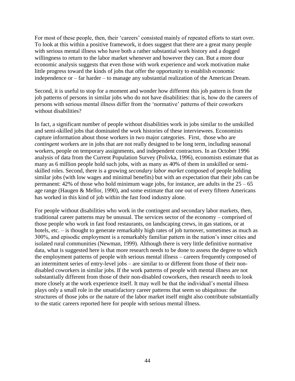For most of these people, then, their 'careers' consisted mainly of repeated efforts to start over. To look at this within a positive framework, it does suggest that there are a great many people with serious mental illness who have both a rather substantial work history and a dogged willingness to return to the labor market whenever and however they can. But a more dour economic analysis suggests that even those with work experience and work motivation make little progress toward the kinds of jobs that offer the opportunity to establish economic independence or – far harder – to manage any substantial realization of the American Dream.

Second, it is useful to stop for a moment and wonder how different this job pattern is from the job patterns of persons in similar jobs who do not have disabilities: that is, how do the careers of persons with serious mental illness differ from the 'normative' patterns of their coworkers without disabilities?

In fact, a significant number of people without disabilities work in jobs similar to the unskilled and semi-skilled jobs that dominated the work histories of these interviewees. Economists capture information about those workers in two major categories. First, those who are *contingent* workers are in jobs that are not really designed to be long term, including seasonal workers, people on temporary assignments, and independent contractors. In an October 1996 analysis of data from the Current Population Survey (Polivka, 1996), economists estimate that as many as 6 million people hold such jobs, with as many as 40% of them in unskilled or semiskilled roles. Second, there is a growing *secondary labor market* composed of people holding similar jobs (with low wages and minimal benefits) but with an expectation that their jobs can be permanent: 42% of those who hold minimum wage jobs, for instance, are adults in the  $25 - 65$ age range (Haugen & Mellor, 1990), and some estimate that one out of every fifteen Americans has worked in this kind of job within the fast food industry alone.

For people without disabilities who work in the contingent and secondary labor markets, then, traditional career patterns may be unusual. The services sector of the economy – comprised of those people who work in fast food restaurants, on landscaping crews, in gas stations, or at hotels, etc. – is thought to generate remarkably high rates of job turnover, sometimes as much as 300%, and episodic employment is a remarkably familiar pattern in the nation's inner cities and isolated rural communities (Newman, 1999). Although there is very little definitive normative data, what is suggested here is that more research needs to be done to assess the degree to which the employment patterns of people with serious mental illness – careers frequently composed of an intermittent series of entry-level jobs – are similar to or different from those of their nondisabled coworkers in similar jobs. If the work patterns of people with mental illness are not substantially different from those of their non-disabled coworkers, then research needs to look more closely at the work experience itself. It may well be that the individual's mental illness plays only a small role in the unsatisfactory career patterns that seem so ubiquitous: the structures of those jobs or the nature of the labor market itself might also contribute substantially to the static careers reported here for people with serious mental illness.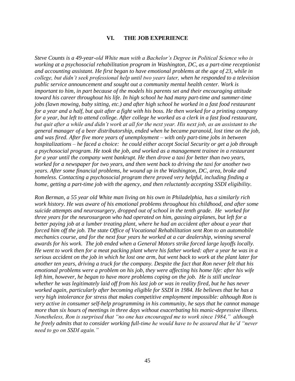#### **VI. THE JOB EXPERIENCE**

*Steve Counts is a 49-year-old White man with a Bachelor's Degree in Political Science who is working at a psychosocial rehabilitation program in Washington, DC, as a part-time receptionist and accounting assistant. He first began to have emotional problems at the age of 23, while in college, but didn't seek professional help until two years later, when he responded to a television public service announcement and sought out a community mental health center. Work is important to him, in part because of the models his parents set and their encouraging attitude toward his career throughout his life. In high school he had many part-time and summer-time jobs (lawn mowing, baby sitting, etc.) and after high school he worked in a fast food restaurant for a year and a half, but quit after a fight with his boss. He then worked for a printing company for a year, but left to attend college. After college he worked as a clerk in a fast food restaurant, but quit after a while and didn't work at all for the next year. His next job, as an assistant to the general manager of a beer distributorship, ended when he became paranoid, lost time on the job, and was fired. After five more years of unemployment – with only part-time jobs in between hospitalizations – he faced a choice: he could either accept Social Security or get a job through a psychosocial program. He took the job, and worked as a management trainee in a restaurant for a year until the company went bankrupt. He then drove a taxi for better than two years, worked for a newspaper for two years, and then went back to driving the taxi for another two years. After some financial problems, he wound up in the Washington, DC, area, broke and homeless. Contacting a psychosocial program there proved very helpful, including finding a home, getting a part-time job with the agency, and then reluctantly accepting SSDI eligibility.*

*Ron Berman, a 55 year old White man living on his own in Philadelphia, has a similarly rich work history. He was aware of his emotional problems throughout his childhood, and after some suicide attempts and neurosurgery, dropped out of school in the tenth grade. He worked for three years for the neurosurgeon who had operated on him, gassing airplanes, but left for a better paying job at a lumber treating plant, where he had an accident after about a year that forced him off the job. The state Office of Vocational Rehabilitation sent Ron to an automobile mechanics course, and for the next four years he worked at a car dealership, winning several awards for his work. The job ended when a General Motors strike forced large layoffs locally. He went to work then for a meat packing plant where his father worked: after a year he was in a serious accident on the job in which he lost one arm, but went back to work at the plant later for another ten years, driving a truck for the company. Despite the fact that Ron never felt that his emotional problems were a problem on his job, they were affecting his home life: after his wife left him, however, he began to have more problems coping on the job. He is still unclear whether he was legitimately laid off from his last job or was in reality fired, but he has never worked again, particularly after becoming eligible for SSDI in 1984. He believes that he has a very high intolerance for stress that makes competitive employment impossible: although Ron is very active in consumer self-help programming in his community, he says that he cannot manage more than six hours of meetings in three days without exacerbating his manic-depressive illness. Nonetheless, Ron is surprised that "no one has encouraged me to work since 1984," although he freely admits that to consider working full-time he would have to be assured that he'd "never need to go on SSDI again."*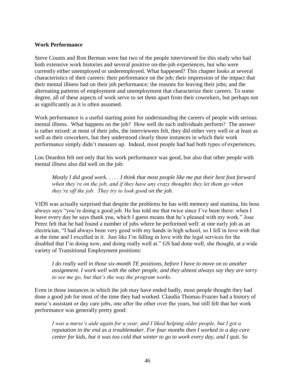#### **Work Performance**

Steve Counts and Ron Berman were but two of the people interviewed for this study who had both extensive work histories and several positive on-the-job experiences, but who were currently either unemployed or underemployed. What happened? This chapter looks at several characteristics of their careers: their performance on the job; their impression of the impact that their mental illness had on their job performance; the reasons for leaving their jobs; and the alternating patterns of employment and unemployment that characterize their careers. To some degree, all of these aspects of work serve to set them apart from their coworkers, but perhaps not as significantly as it is often assumed.

Work performance is a useful starting point for understanding the careers of people with serious mental illness. What happens on the job? How well do such individuals perform? The answer is rather mixed: at most of their jobs, the interviewees felt, they did either very well or at least as well as their coworkers, but they understood clearly those instances in which their work performance simply didn't measure up. Indeed, most people had had both types of experiences.

Lou Deardon felt not only that his work performance was good, but also that other people with mental illness also did well on the job:

*Mostly I did good work. . . . . I think that most people like me put their best foot forward when they're on the job, and if they have any crazy thoughts they let them go when they're off the job. They try to look good on the job.*

VIDS was actually surprised that despite the problems he has with memory and stamina, his boss always says "you're doing a good job. He has told me that twice since I've been there: when I leave every day he says thank you, which I guess means that he's pleased with my work." Jose Perez felt that he had found a number of jobs where he performed well: at one early job as an electrician, "I had always been very good with my hands in high school, so I fell in love with that at the time and I excelled in it. Just like I'm falling in love with the legal services for the disabled that I'm doing now, and doing really well at." GS had done well, she thought, at a wide variety of Transitional Employment positions:

*I do really well in those six-month TE positions, before I have to move on to another assignment. I work well with the other people, and they almost always say they are sorry to see me go, but that's the way the program works.*

Even in those instances in which the job may have ended badly, most people thought they had done a good job for most of the time they had worked. Claudia Thomas-Frazier had a history of nurse's assistant or day care jobs, one after the other over the years, but still felt that her work performance was generally pretty good:

*I was a nurse's aide again for a year, and I liked helping older people, but I got a reputation in the end as a troublemaker. For four months then I worked in a day care center for kids, but it was too cold that winter to go to work every day, and I quit. So*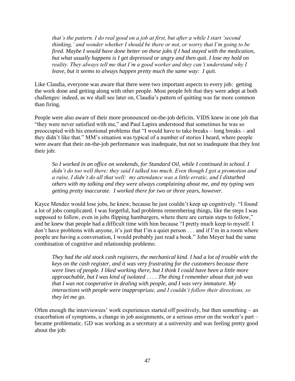*that's the pattern. I do real good on a job at first, but after a while I start 'second thinking,' and wonder whether I should be there or not, or worry that I'm going to be fired. Maybe I would have done better on these jobs if I had stayed with the medication, but what usually happens is I get depressed or angry and then quit. I lose my hold on reality. They always tell me that I'm a good worker and they can't understand why I leave, but it seems to always happen pretty much the same way: I quit.*

Like Claudia, everyone was aware that there were two important aspects to every job: getting the work done and getting along with other people. Most people felt that they were adept at both challenges: indeed, as we shall see later on, Claudia's pattern of quitting was far more common than firing.

People were also aware of their more pronounced on-the-job deficits. VIDS knew in one job that "they were never satisfied with me," and Paul Lapira understood that sometimes he was so preoccupied with his emotional problems that "I would have to take breaks – long breaks – and they didn't like that." MM's situation was typical of a number of stories I heard, where people were aware that their on-the-job performance was inadequate, but not so inadequate that they lost their job:

*So I worked in an office on weekends, for Standard Oil, while I continued in school. I didn't do too well there: they said I talked too much. Even though I got a promotion and a raise, I didn't do all that well: my attendance was a little erratic, and I disturbed others with my talking and they were always complaining about me, and my typing was getting pretty inaccurate. I worked there for two or three years, however.*

Kayce Mendez would lose jobs, he knew, because he just couldn't keep up cognitively. "I found a lot of jobs complicated. I was forgetful, had problems remembering things, like the steps I was supposed to follow, even in jobs flipping hamburgers, where there are certain steps to follow," and he knew that people had a difficult time with him because "I pretty much keep to myself. I don't have problems with anyone, it's just that I'm a quiet person . . . and if I'm in a room where people are having a conversation, I would probably just read a book." John Meyer had the same combination of cognitive and relationship problems:

*They had the old stock cash registers, the mechanical kind. I had a lot of trouble with the keys on the cash register, and it was very frustrating for the customers because there were lines of people. I liked working there, but I think I could have been a little more approachable, but I was kind of isolated . . . . The thing I remember about that job was that I was not cooperative in dealing with people, and I was very immature. My interactions with people were inappropriate, and I couldn't follow their directions, so they let me go.*

Often enough the interviewees' work experiences started off positively, but then something – an exacerbation of symptoms, a change in job assignments, or a serious error on the worker's part – became problematic. GD was working as a secretary at a university and was feeling pretty good about the job: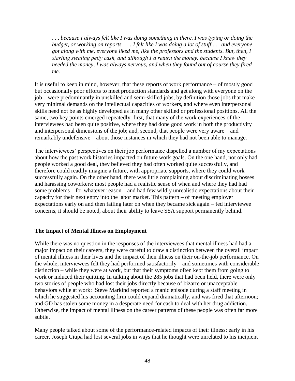. . . *because I always felt like I was doing something in there. I was typing or doing the budget, or working on reports. . . . I felt like I was doing a lot of stuff . . . and everyone got along with me, everyone liked me, like the professors and the students. But, then, I starting stealing petty cash, and although I'd return the money, because I knew they needed the money, I was always nervous, and when they found out of course they fired me.*

It is useful to keep in mind, however, that these reports of work performance – of mostly good but occasionally poor efforts to meet production standards and get along with everyone on the job – were predominantly in unskilled and semi-skilled jobs, by definition those jobs that make very minimal demands on the intellectual capacities of workers, and where even interpersonal skills need not be as highly developed as in many other skilled or professional positions. All the same, two key points emerged repeatedly: first, that many of the work experiences of the interviewees had been quite positive, where they had done good work in both the productivity and interpersonal dimensions of the job; and, second, that people were very aware – and remarkably undefensive – about those instances in which they had not been able to manage.

The interviewees' perspectives on their job performance dispelled a number of my expectations about how the past work histories impacted on future work goals. On the one hand, not only had people worked a good deal, they believed they had often worked quite successfully, and therefore could readily imagine a future, with appropriate supports, where they could work successfully again. On the other hand, there was little complaining about discriminating bosses and harassing coworkers: most people had a realistic sense of when and where they had had some problems – for whatever reason – and had few wildly unrealistic expectations about their capacity for their next entry into the labor market. This pattern – of meeting employer expectations early on and then failing later on when they became sick again – fed interviewee concerns, it should be noted, about their ability to leave SSA support permanently behind.

## **The Impact of Mental Illness on Employment**

While there was no question in the responses of the interviewees that mental illness had had a major impact on their careers, they were careful to draw a distinction between the overall impact of mental illness in their lives and the impact of their illness on their on-the-job performance. On the whole, interviewees felt they had performed satisfactorily – and sometimes with considerable distinction – while they were at work, but that their symptoms often kept them from going to work or induced their quitting. In talking about the 285 jobs that had been held, there were only two stories of people who had lost their jobs directly because of bizarre or unacceptable behaviors while at work: Steve Markind reported a manic episode during a staff meeting in which he suggested his accounting firm could expand dramatically, and was fired that afternoon; and GD has stolen some money in a desperate need for cash to deal with her drug addiction. Otherwise, the impact of mental illness on the career patterns of these people was often far more subtle.

Many people talked about some of the performance-related impacts of their illness: early in his career, Joseph Ciupa had lost several jobs in ways that he thought were unrelated to his incipient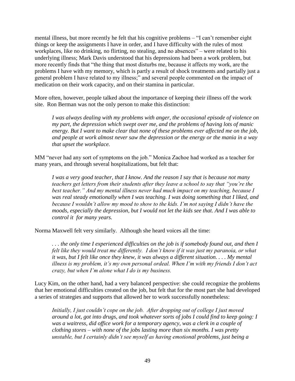mental illness, but more recently he felt that his cognitive problems – "I can't remember eight things or keep the assignments I have in order, and I have difficulty with the rules of most workplaces, like no drinking, no flirting, no stealing, and no absences" – were related to his underlying illness; Mark Davis understood that his depressions had been a work problem, but more recently finds that "the thing that most disturbs me, because it affects my work, are the problems I have with my memory, which is partly a result of shock treatments and partially just a general problem I have related to my illness;" and several people commented on the impact of medication on their work capacity, and on their stamina in particular.

More often, however, people talked about the importance of keeping their illness off the work site. Ron Berman was not the only person to make this distinction:

*I was always dealing with my problems with anger, the occasional episode of violence on my part, the depression which swept over me, and the problems of having lots of manic energy. But I want to make clear that none of these problems ever affected me on the job, and people at work almost never saw the depression or the energy or the mania in a way that upset the workplace.*

MM "never had any sort of symptoms on the job." Monica Zachoe had worked as a teacher for many years, and through several hospitalizations, but felt that:

*I was a very good teacher, that I know. And the reason I say that is because not many teachers get letters from their students after they leave a school to say that "you're the best teacher." And my mental illness never had much impact on my teaching, because I was real steady emotionally when I was teaching. I was doing something that I liked, and because I wouldn't allow my mood to show to the kids. I'm not saying I didn't have the moods, especially the depression, but I would not let the kids see that. And I was able to control it for many years.*

Norma Maxwell felt very similarly. Although she heard voices all the time:

*. . . the only time I experienced difficulties on the job is if somebody found out, and then I felt like they would treat me differently. I don't know if it was just my paranoia, or what it was, but I felt like once they knew, it was always a different situation. . . . My mental illness is my problem, it's my own personal ordeal. When I'm with my friends I don't act crazy, but when I'm alone what I do is my business.*

Lucy Kim, on the other hand, had a very balanced perspective: she could recognize the problems that her emotional difficulties created on the job, but felt that for the most part she had developed a series of strategies and supports that allowed her to work successfully nonetheless:

*Initially, I just couldn't cope on the job. After dropping out of college I just moved around a lot, got into drugs, and took whatever sorts of jobs I could find to keep going: I*  was a waitress, did office work for a temporary agency, was a clerk in a couple of *clothing stores – with none of the jobs lasting more than six months. I was pretty unstable, but I certainly didn't see myself as having emotional problems, just being a*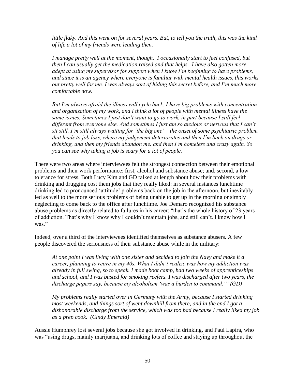*little flaky. And this went on for several years. But, to tell you the truth, this was the kind of life a lot of my friends were leading then.*

*I manage pretty well at the moment, though. I occasionally start to feel confused, but then I can usually get the medication raised and that helps. I have also gotten more adept at using my supervisor for support when I know I'm beginning to have problems, and since it is an agency where everyone is familiar with mental health issues, this works out pretty well for me. I was always sort of hiding this secret before, and I'm much more comfortable now.*

*But I'm always afraid the illness will cycle back. I have big problems with concentration and organization of my work, and I think a lot of people with mental illness have the same issues. Sometimes I just don't want to go to work, in part because I still feel different from everyone else. And sometimes I just am so anxious or nervous that I can't sit still. I'm still always waiting for 'the big one' – the onset of some psychiatric problem that leads to job loss, where my judgement deteriorates and then I'm back on drugs or drinking, and then my friends abandon me, and then I'm homeless and crazy again. So you can see why taking a job is scary for a lot of people.*

There were two areas where interviewees felt the strongest connection between their emotional problems and their work performance: first, alcohol and substance abuse; and, second, a low tolerance for stress. Both Lucy Kim and GD talked at length about how their problems with drinking and drugging cost them jobs that they really liked: in several instances lunchtime drinking led to pronounced 'attitude' problems back on the job in the afternoon, but inevitably led as well to the more serious problems of being unable to get up in the morning or simply neglecting to come back to the office after lunchtime. Joe Demaro recognized his substance abuse problems as directly related to failures in his career: "that's the whole history of 23 years of addiction. That's why I know why I couldn't maintain jobs, and still can't. I know how I was."

Indeed, over a third of the interviewees identified themselves as substance abusers. A few people discovered the seriousness of their substance abuse while in the military:

*At one point I was living with one sister and decided to join the Navy and make it a career, planning to retire in my 40s. What I didn't realize was how my addiction was already in full swing, so to speak. I made boot camp, had two weeks of apprenticeships and school, and I was busted for smoking reefers. I was discharged after two years, the discharge papers say, because my alcoholism 'was a burden to command.'" (GD)*

*My problems really started over in Germany with the Army, because I started drinking most weekends, and things sort of went downhill from there, and in the end I got a dishonorable discharge from the service, which was too bad because I really liked my job as a prep cook. (Cindy Emerald)*

Aussie Humphrey lost several jobs because she got involved in drinking, and Paul Lapira, who was "using drugs, mainly marijuana, and drinking lots of coffee and staying up throughout the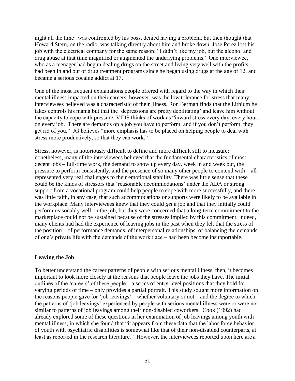night all the time" was confronted by his boss, denied having a problem, but then thought that Howard Stern, on the radio, was talking directly about him and broke down. Jose Perez lost his job with the electrical company for the same reason: "I didn't like my job, but the alcohol and drug abuse at that time magnified or augmented the underlying problems." One interviewee, who as a teenager had begun dealing drugs on the street and living very well with the profits, had been in and out of drug treatment programs since he began using drugs at the age of 12, and became a serious cocaine addict at 17.

One of the most frequent explanations people offered with regard to the way in which their mental illness impacted on their careers, however, was the low tolerance for stress that many interviewees believed was a characteristic of their illness. Ron Berman finds that the Lithium he takes controls his mania but that the 'depressions are pretty debilitating' and leave him without the capacity to cope with pressure. VIDS thinks of work as "inward stress every day, every hour, on every job. There are demands on a job you have to perform, and if you don't perform, they get rid of you." JG believes "more emphasis has to be placed on helping people to deal with stress more productively, so that they can work."

Stress, however, is notoriously difficult to define and more difficult still to measure: nonetheless, many of the interviewees believed that the fundamental characteristics of most decent jobs – full-time work, the demand to show up every day, week in and week out, the pressure to perform consistently, and the presence of so many other people to contend with – all represented very real challenges to their emotional stability. There was little sense that these could be the kinds of stressors that 'reasonable accommodations' under the ADA or strong support from a vocational program could help people to cope with more successfully, and there was little faith, in any case, that such accommodations or supports were likely to be available in the workplace. Many interviewees knew that they could *get* a job and that they initially could perform reasonably well on the job, but they were concerned that a long-term commitment to the marketplace could not be sustained because of the stresses implied by this commitment. Indeed, many clients had had the experience of leaving jobs in the past when they felt that the stress of the position – of performance demands, of interpersonal relationships, of balancing the demands of one's private life with the demands of the workplace – had been become insupportable.

#### **Leaving the Job**

To better understand the career patterns of people with serious mental illness, then, it becomes important to look more closely at the reasons that people leave the jobs they have. The initial outlines of the 'careers' of these people – a series of entry-level positions that they hold for varying periods of time – only provides a partial portrait. This study sought more information on the reasons people gave for 'job leavings' – whether voluntary or not – and the degree to which the patterns of 'job leavings' experienced by people with serious mental illness were or were not similar to patterns of job leavings among their non-disabled coworkers. Cook (1992) had already explored some of these questions in her examination of job leavings among youth with mental illness, in which she found that "it appears from these data that the labor force behavior of youth with psychiatric disabilities is somewhat like that of their non-disabled counterparts, at least as reported in the research literature." However, the interviewees reported upon here are a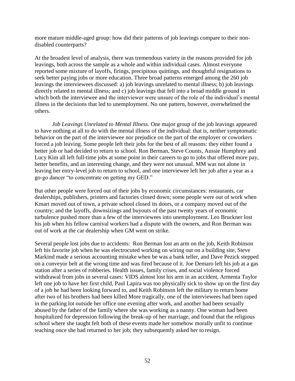more mature middle-aged group: how did their patterns of job leavings compare to their nondisabled counterparts?

At the broadest level of analysis, there was tremendous variety in the reasons provided for job leavings, both across the sample as a whole and within individual cases. Almost everyone reported some mixture of layoffs, firings, precipitous quittings, and thoughtful resignations to seek better paying jobs or more education. Three broad patterns emerged among the 260 job leavings the interviewees discussed: a) job leavings unrelated to mental illness; b) job leavings directly related to mental illness; and c) job leavings that fell into a broad middle ground in which both the interviewee and the interviewer were unsure of the role of the individual's mental illness in the decisions that led to unemployment. No one pattern, however, overwhelmed the others.

*Job Leavings Unrelated to Mental Illness.* One major group of the job leavings appeared to have nothing at all to do with the mental illness of the individual: that is, neither symptomatic behavior on the part of the interviewee nor prejudice on the part of the employer or coworkers forced a job leaving. Some people left their jobs for the best of all reasons: they either found a better job or had decided to return to school. Ron Berman, Steve Counts, Aussie Humphrey and Lucy Kim all left full-time jobs at some point in their careers to go to jobs that offered more pay, better benefits, and an interesting change, and they were not unusual. MM was not alone in leaving her entry-level job to return to school, and one interviewee left her job after a year as a go-go dancer "to concentrate on getting my GED."

But other people were forced out of their jobs by economic circumstances: restaurants, car dealerships, publishers, printers and factories closed down; some people were out of work when Kmart moved out of town, a private school closed its doors, or a company moved out of the country; and the layoffs, downsizings and buyouts of the past twenty years of economic turbulence pushed more than a few of the interviewees into unemployment. Leo Bruckner lost his job when his fellow carnival workers had a dispute with the owners, and Ron Berman was out of work at the car dealership when GM went on strike.

Several people lost jobs due to accidents: Ron Berman lost an arm on the job, Keith Robinson left his favorite job when he was electrocuted working on wiring out on a building site, Steve Markind made a serious accounting mistake when be was a bank teller, and Dave Pezick stepped on a conveyor belt at the wrong time and was fired because of it. Joe Demaro left his job at a gas station after a series of robberies. Health issues, family crises, and social violence forced withdrawal from jobs in several cases: VIDS almost lost his arm in an accident, Armenta Taylor left one job to have her first child, Paul Lapira was too physically sick to show up on the first day of a job he had been looking forward to, and Keith Robinson left the military to return home after two of his brothers had been killed More tragically, one of the interviewees had been raped in the parking lot outside her office one evening after work, and another had been sexually abused by the father of the family where she was working as a nanny. One woman had been hospitalized for depression following the break-up of her marriage, and found that the religious school where she taught felt both of these events made her somehow morally unfit to continue teaching once she had returned to her job; they subsequently asked her to resign.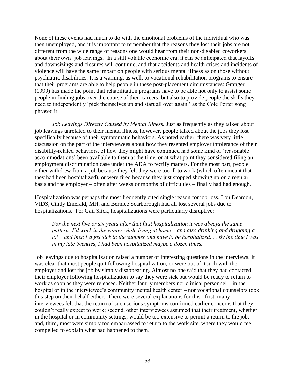None of these events had much to do with the emotional problems of the individual who was then unemployed, and it is important to remember that the reasons they lost their jobs are not different from the wide range of reasons one would hear from their non-disabled coworkers about their own 'job leavings.' In a still volatile economic era, it can be anticipated that layoffs and downsizings and closures will continue, and that accidents and health crises and incidents of violence will have the same impact on people with serious mental illness as on those without psychiatric disabilities. It is a warning, as well, to vocational rehabilitation programs to ensure that their programs are able to help people in these post-placement circumstances: Granger (1999) has made the point that rehabilitation programs have to be able not only to assist some people in finding jobs over the course of their careers, but also to provide people the skills they need to independently 'pick themselves up and start all over again,' as the Cole Porter song phrased it.

*Job Leavings Directly Caused by Mental Illness.* Just as frequently as they talked about job leavings unrelated to their mental illness, however, people talked about the jobs they lost specifically because of their symptomatic behaviors. As noted earlier, there was very little discussion on the part of the interviewees about how they resented employer intolerance of their disability-related behaviors, of how they might have continued had some kind of 'reasonable accommodations' been available to them at the time, or at what point they considered filing an employment discrimination case under the ADA to rectify matters. For the most part, people either withdrew from a job because they felt they were too ill to work (which often meant that they had been hospitalized), or were fired because they just stopped showing up on a regular basis and the employer – often after weeks or months of difficulties – finally had had enough.

Hospitalization was perhaps the most frequently cited single reason for job loss. Lou Deardon, VIDS, Cindy Emerald, MH, and Bernice Scarborough had all lost several jobs due to hospitalizations. For Gail Slick, hospitalizations were particularly disruptive:

*For the next five or six years after that first hospitalization it was always the same pattern: I'd work in the winter while living at home – and also drinking and drugging a lot – and then I'd get sick in the summer and have to be hospitalized. . . By the time I was in my late twenties, I had been hospitalized maybe a dozen times.*

Job leavings due to hospitalization raised a number of interesting questions in the interviews. It was clear that most people quit following hospitalization, or were out of touch with the employer and lost the job by simply disappearing. Almost no one said that they had contacted their employer following hospitalization to say they were sick but would be ready to return to work as soon as they were released. Neither family members nor clinical personnel – in the hospital or in the interviewee's community mental health center – nor vocational counselors took this step on their behalf either. There were several explanations for this: first, many interviewees felt that the return of such serious symptoms confirmed earlier concerns that they couldn't really expect to work; second, other interviewees assumed that their treatment, whether in the hospital or in community settings, would be too extensive to permit a return to the job; and, third, most were simply too embarrassed to return to the work site, where they would feel compelled to explain what had happened to them.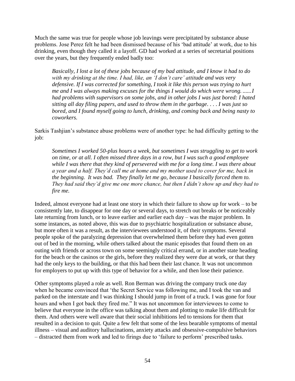Much the same was true for people whose job leavings were precipitated by substance abuse problems. Jose Perez felt he had been dismissed because of his 'bad attitude' at work, due to his drinking, even though they called it a layoff. GD had worked at a series of secretarial positions over the years, but they frequently ended badly too:

*Basically, I lost a lot of these jobs because of my bad attitude, and I know it had to do with my drinking at the time. I had, like, an 'I don't care' attitude and was very defensive. If I was corrected for something, I took it like this person was trying to hurt me and I was always making excuses for the things I would do which were wrong. ......I had problems with supervisors on some jobs, and in other jobs I was just bored: I hated sitting all day filing papers, and used to throw them in the garbage*. . . . *I was just so bored, and I found myself going to lunch, drinking, and coming back and being nasty to coworkers.*

Sarkis Tashjian's substance abuse problems were of another type: he had difficulty getting to the job:

*Sometimes I worked 50-plus hours a week, but sometimes I was struggling to get to work on time, or at all. I often missed three days in a row, but I was such a good employee while I was there that they kind of persevered with me for a long time. I was there about a year and a half. They'd call me at home and my mother used to cover for me, back in the beginning. It was bad. They finally let me go, because I basically forced them to. They had said they'd give me one more chance, but then I didn't show up and they had to fire me.*

Indeed, almost everyone had at least one story in which their failure to show up for work – to be consistently late, to disappear for one day or several days, to stretch out breaks or be noticeably late returning from lunch, or to leave earlier and earlier each day – was the major problem. In some instances, as noted above, this was due to psychiatric hospitalization or substance abuse, but more often it was a result, as the interviewees understood it, of their symptoms. Several people spoke of the paralyzing depression that overwhelmed them before they had even gotten out of bed in the morning, while others talked about the manic episodes that found them on an outing with friends or across town on some seemingly critical errand, or in another state heading for the beach or the casinos or the girls, before they realized they were due at work, or that they had the only keys to the building, or that this had been their last chance. It was not uncommon for employers to put up with this type of behavior for a while, and then lose their patience.

Other symptoms played a role as well. Ron Berman was driving the company truck one day when he became convinced that 'the Secret Service was following me, and I took the van and parked on the interstate and I was thinking I should jump in front of a truck. I was gone for four hours and when I got back they fired me." It was not uncommon for interviewees to come to believe that everyone in the office was talking about them and plotting to make life difficult for them. And others were well aware that their social inhibitions led to tensions for them that resulted in a decision to quit. Quite a few felt that some of the less bearable symptoms of mental illness – visual and auditory hallucinations, anxiety attacks and obsessive-compulsive behaviors – distracted them from work and led to firings due to 'failure to perform' prescribed tasks.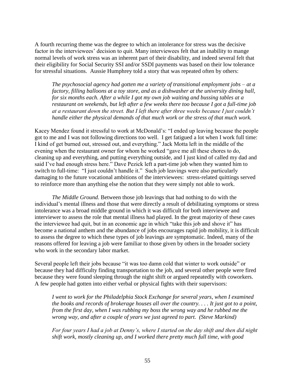A fourth recurring theme was the degree to which an intolerance for stress was the decisive factor in the interviewees' decision to quit. Many interviewees felt that an inability to mange normal levels of work stress was an inherent part of their disability, and indeed several felt that their eligibility for Social Security SSI and/or SSDI payments was based on their low tolerance for stressful situations. Aussie Humphrey told a story that was repeated often by others:

*The psychosocial agency had gotten me a variety of transitional employment jobs – at a factory, filling balloons at a toy store, and as a dishwasher at the university dining hall, for six months each. After a while I got my own job waiting and bussing tables at a restaurant on weekends, but left after a few weeks there too because I got a full-time job at a restaurant down the street. But I left there after three weeks because I just couldn't handle either the physical demands of that much work or the stress of that much work.*

Kacey Mendez found it stressful to work at McDonald's: "I ended up leaving because the people got to me and I was not following directions too well. I get fatigued a lot when I work full time: I kind of get burned out, stressed out, and everything." Jack Motta left in the middle of the evening when the restaurant owner for whom he worked "gave me all these chores to do, cleaning up and everything, and putting everything outside, and I just kind of called my dad and said I've had enough stress here." Dave Pezick left a part-time job when they wanted him to switch to full-time: "I just couldn't handle it." Such job leavings were also particularly damaging to the future vocational ambitions of the interviewees: stress-related quittings served to reinforce more than anything else the notion that they were simply not able to work.

*The Middle Ground.* Between those job leavings that had nothing to do with the individual's mental illness and those that were directly a result of debilitating symptoms or stress intolerance was a broad middle ground in which it was difficult for both interviewee and interviewer to assess the role that mental illness had played. In the great majority of these cases the interviewee had quit, but in an economic age in which "take this job and shove it" has become a national anthem and the abundance of jobs encourages rapid job mobility, it is difficult to assess the degree to which these types of job leavings are symptomatic. Indeed, many of the reasons offered for leaving a job were familiar to those given by others in the broader society who work in the secondary labor market.

Several people left their jobs because "it was too damn cold that winter to work outside" or because they had difficulty finding transportation to the job, and several other people were fired because they were found sleeping through the night shift or argued repeatedly with coworkers. A few people had gotten into either verbal or physical fights with their supervisors:

*I went to work for the Philadelphia Stock Exchange for several years, when I examined the books and records of brokerage houses all over the country. . . . It just got to a point, from the first day, when I was rubbing my boss the wrong way and he rubbed me the wrong way, and after a couple of years we just agreed to part. (Steve Markind)*

*For four years I had a job at Denny's, where I started on the day shift and then did night shift work, mostly cleaning up, and I worked there pretty much full time, with good*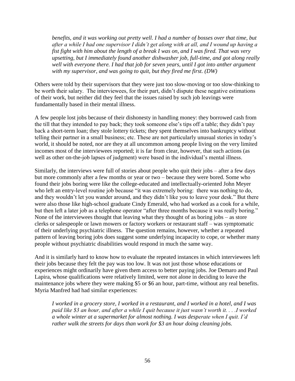*benefits, and it was working out pretty well. I had a number of bosses over that time, but after a while I had one supervisor I didn't get along with at all, and I wound up having a fist fight with him about the length of a break I was on, and I was fired. That was very upsetting, but I immediately found another dishwasher job, full-time, and got along really well with everyone there. I had that job for seven years, until I got into anther argument with my supervisor, and was going to quit, but they fired me first. (DW)*

Others were told by their supervisors that they were just too slow-moving or too slow-thinking to be worth their salary. The interviewees, for their part, didn't dispute these negative estimations of their work, but neither did they feel that the issues raised by such job leavings were fundamentally based in their mental illness.

A few people lost jobs because of their dishonesty in handling money: they borrowed cash from the till that they intended to pay back; they took someone else's tips off a table; they didn't pay back a short-term loan; they stole lottery tickets; they spent themselves into bankruptcy without telling their partner in a small business; etc. These are not particularly unusual stories in today's world, it should be noted, nor are they at all uncommon among people living on the very limited incomes most of the interviewees reported; it is far from clear, however, that such actions (as well as other on-the-job lapses of judgment) were based in the individual's mental illness.

Similarly, the interviews were full of stories about people who quit their jobs – after a few days but more commonly after a few months or year or two – because they were bored. Some who found their jobs boring were like the college-educated and intellectually-oriented John Meyer who left an entry-level routine job because "it was extremely boring: there was nothing to do, and they wouldn't let you wander around, and they didn't like you to leave your desk." But there were also those like high-school graduate Cindy Emerald, who had worked as a cook for a while, but then left a later job as a telephone operator "after three months because it was really boring." None of the interviewees thought that leaving what they thought of as boring jobs  $-$  as store clerks or salespeople or lawn mowers or factory workers or restaurant staff – was symptomatic of their underlying psychiatric illness. The question remains, however, whether a repeated pattern of leaving boring jobs does suggest some underlying incapacity to cope, or whether many people without psychiatric disabilities would respond in much the same way.

And it is similarly hard to know how to evaluate the repeated instances in which interviewees left their jobs because they felt the pay was too low. It was not just those whose educations or experiences might ordinarily have given them access to better paying jobs. Joe Demaro and Paul Lapira, whose qualifications were relatively limited, were not alone in deciding to leave the maintenance jobs where they were making \$5 or \$6 an hour, part-time, without any real benefits. Myria Manfred had had similar experiences:

*I worked in a grocery store, I worked in a restaurant, and I worked in a hotel, and I was paid like \$3 an hour, and after a while I quit because it just wasn't worth it. . . .I worked a whole winter at a supermarket for almost nothing. I was desperate when I quit. I'd rather walk the streets for days than work for \$3 an hour doing cleaning jobs.*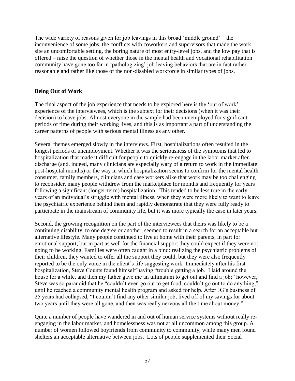The wide variety of reasons given for job leavings in this broad 'middle ground' – the inconvenience of some jobs, the conflicts with coworkers and supervisors that made the work site an uncomfortable setting, the boring nature of most entry-level jobs, and the low pay that is offered – raise the question of whether those in the mental health and vocational rehabilitation community have gone too far in 'pathologizing' job leaving behaviors that are in fact rather reasonable and rather like those of the non-disabled workforce in similar types of jobs.

# **Being Out of Work**

The final aspect of the job experience that needs to be explored here is the 'out of work' experience of the interviewees, which is the subtext for their decisions (when it was their decision) to leave jobs. Almost everyone in the sample had been unemployed for significant periods of time during their working lives, and this is as important a part of understanding the career patterns of people with serious mental illness as any other.

Several themes emerged slowly in the interviews. First, hospitalizations often resulted in the longest periods of unemployment. Whether it was the seriousness of the symptoms that led to hospitalization that made it difficult for people to quickly re-engage in the labor market after discharge (and, indeed, many clinicians are especially wary of a return to work in the immediate post-hospital months) or the way in which hospitalization seems to confirm for the mental health consumer, family members, clinicians and case workers alike that work may be too challenging to reconsider, many people withdrew from the marketplace for months and frequently for years following a significant (longer-term) hospitalization. This tended to be less true in the early years of an individual's struggle with mental illness, when they were more likely to want to leave the psychiatric experience behind them and rapidly demonstrate that they were fully ready to participate in the mainstream of community life, but it was more typically the case in later years.

Second, the growing recognition on the part of the interviewees that theirs was likely to be a continuing disability, to one degree or another, seemed to result in a search for an acceptable but alternative lifestyle. Many people continued to live at home with their parents, in part for emotional support, but in part as well for the financial support they could expect if they were not going to be working. Families were often caught in a bind: realizing the psychiatric problems of their children, they wanted to offer all the support they could, but they were also frequently reported to be the only voice in the client's life suggesting work. Immediately after his first hospitalization, Steve Counts found himself having "trouble getting a job. I laid around the house for a while, and then my father gave me an ultimatum to get out and find a job;" however, Steve was so paranoid that he "couldn't even go out to get food, couldn't go out to do anything," until he reached a community mental health program and asked for help. After JG's business of 25 years had collapsed, "I couldn't find any other similar job, lived off of my savings for about two years until they were all gone, and then was really nervous all the time about money."

Quite a number of people have wandered in and out of human service systems without really reengaging in the labor market, and homelessness was not at all uncommon among this group. A number of women followed boyfriends from community to community, while many men found shelters an acceptable alternative between jobs. Lots of people supplemented their Social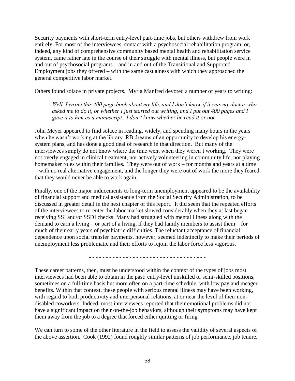Security payments with short-term entry-level part-time jobs, but others withdrew from work entirely. For most of the interviewees, contact with a psychosocial rehabilitation program, or, indeed, any kind of comprehensive community based mental health and rehabilitation service system, came rather late in the course of their struggle with mental illness, but people were in and out of psychosocial programs – and in and out of the Transitional and Supported Employment jobs they offered – with the same casualness with which they approached the general competitive labor market.

Others found solace in private projects. Myria Manfred devoted a number of years to writing:

*Well, I wrote this 400 page book about my life, and I don't know if it was my doctor who asked me to do it, or whether I just started out writing, and I put out 400 pages and I gave it to him as a manuscript. I don't know whether he read it or not.*

John Meyer appeared to find solace in reading, widely, and spending many hours in the years when he wasn't working at the library. RB dreams of an opportunity to develop his energysystem plans, and has done a good deal of research in that direction. But many of the interviewees simply do not know where the time went when they weren't working. They were not overly engaged in clinical treatment, nor actively volunteering in community life, nor playing homemaker roles within their families. They were out of work – for months and years at a time – with no real alternative engagement, and the longer they were out of work the more they feared that they would never be able to work again.

Finally, one of the major inducements to long-term unemployment appeared to be the availability of financial support and medical assistance from the Social Security Administration, to be discussed in greater detail in the next chapter of this report. It did seem that the repeated efforts of the interviewees to re-enter the labor market slowed considerably when they at last began receiving SSI and/or SSDI checks. Many had struggled with mental illness along with the demand to earn a living – or part of a living, if they had family members to assist them – for much of their early years of psychiatric difficulties. The reluctant acceptance of financial dependence upon social transfer payments, however, seemed indistinctly to make their periods of unemployment less problematic and their efforts to rejoin the labor force less vigorous.

- - - - - - - - - - - - - - - - - - - - - - - - - - - - - - - - - - -

These career patterns, then, must be understood within the context of the types of jobs most interviewees had been able to obtain in the past: entry-level unskilled or semi-skilled positions, sometimes on a full-time basis but more often on a part-time schedule, with low pay and meager benefits. Within that context, these people with serious mental illness may have been working, with regard to both productivity and interpersonal relations, at or near the level of their nondisabled coworkers. Indeed, most interviewees reported that their emotional problems did not have a significant impact on their on-the-job behaviors, although their symptoms may have kept them away from the job to a degree that forced either quitting or firing.

We can turn to some of the other literature in the field to assess the validity of several aspects of the above assertion. Cook (1992) found roughly similar patterns of job performance, job tenure,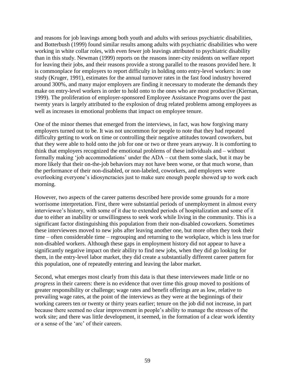and reasons for job leavings among both youth and adults with serious psychiatric disabilities, and Botterbush (1999) found similar results among adults with psychiatric disabilities who were working in white collar roles, with even fewer job leavings attributed to psychiatric disability than in this study. Newman (1999) reports on the reasons inner-city residents on welfare report for leaving their jobs, and their reasons provide a strong parallel to the reasons provided here. It is commonplace for employers to report difficulty in holding onto entry-level workers: in one study (Kruger, 1991), estimates for the annual turnover rates in the fast food industry hovered around 300%, and many major employers are finding it necessary to moderate the demands they make on entry-level workers in order to hold onto to the ones who are most productive (Kiernan, 1999). The proliferation of employer-sponsored Employee Assistance Programs over the past twenty years is largely attributed to the explosion of drug related problems among employees as well as increases in emotional problems that impact on employee tenure.

One of the minor themes that emerged from the interviews, in fact, was how forgiving many employers turned out to be. It was not uncommon for people to note that they had repeated difficulty getting to work on time or controlling their negative attitudes toward coworkers, but that they were able to hold onto the job for one or two or three years anyway. It is comforting to think that employers recognized the emotional problems of these individuals and – without formally making 'job accommodations' under the ADA – cut them some slack, but it may be more likely that their on-the-job behaviors may not have been worse, or that much worse, than the performance of their non-disabled, or non-labeled, coworkers, and employers were overlooking everyone's idiosyncracies just to make sure enough people showed up to work each morning.

However, two aspects of the career patterns described here provide some grounds for a more worrisome interpretation. First, there were substantial periods of unemployment in almost every interviewee's history, with some of it due to extended periods of hospitalization and some of it due to either an inability or unwillingness to seek work while living in the community. This is a significant factor distinguishing this population from their non-disabled coworkers. Sometimes these interviewees moved to new jobs after leaving another one, but more often they took their time – often considerable time – regrouping and returning to the workplace, which is less true for non-disabled workers. Although these gaps in employment history did not appear to have a significantly negative impact on their ability to find new jobs, when they did go looking for them, in the entry-level labor market, they did create a substantially different career pattern for this population, one of repeatedly entering and leaving the labor market.

Second, what emerges most clearly from this data is that these interviewees made little or no *progress* in their careers: there is no evidence that over time this group moved to positions of greater responsibility or challenge; wage rates and benefit offerings are as low, relative to prevailing wage rates, at the point of the interviews as they were at the beginnings of their working careers ten or twenty or thirty years earlier; tenure on the job did not increase, in part because there seemed no clear improvement in people's ability to manage the stresses of the work site; and there was little development, it seemed, in the formation of a clear work identity or a sense of the 'arc' of their careers.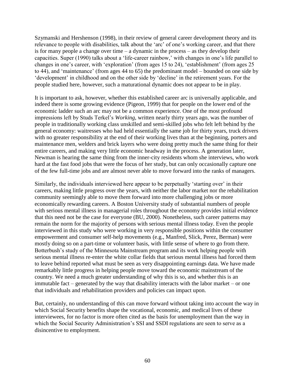Szymanski and Hershenson (1998), in their review of general career development theory and its relevance to people with disabilities, talk about the 'arc' of one's working career, and that there is for many people a change over time – a dynamic in the process – as they develop their capacities. Super (1990) talks about a 'life-career rainbow,' with changes in one's life parallel to changes in one's career, with 'exploration' (from ages 15 to 24), 'establishment' (from ages 25 to 44), and 'maintenance' (from ages 44 to 65) the predominant model – bounded on one side by 'development' in childhood and on the other side by 'decline' in the retirement years. For the people studied here, however, such a maturational dynamic does not appear to be in play.

It is important to ask, however, whether this established career arc is universally applicable, and indeed there is some growing evidence (Pigeon, 1999) that for people on the lower end of the economic ladder such an arc may not be a common experience. One of the most profound impressions left by Studs Terkel's *Working,* written nearly thirty years ago, was the number of people in traditionally working class unskilled and semi-skilled jobs who felt left behind by the general economy: waitresses who had held essentially the same job for thirty years, truck drivers with no greater responsibility at the end of their working lives than at the beginning, porters and maintenance men, welders and brick layers who were doing pretty much the same thing for their entire careers, and making very little economic headway in the process. A generation later, Newman is hearing the same thing from the inner-city residents whom she interviews, who work hard at the fast food jobs that were the focus of her study, but can only occasionally capture one of the few full-time jobs and are almost never able to move forward into the ranks of managers.

Similarly, the individuals interviewed here appear to be perpetually 'starting over' in their careers, making little progress over the years, with neither the labor market nor the rehabilitation community seemingly able to move them forward into more challenging jobs or more economically rewarding careers. A Boston University study of substantial numbers of people with serious mental illness in managerial roles throughout the economy provides initial evidence that this need not be the case for everyone (BU, 2000). Nonetheless, such career patterns may remain the norm for the majority of persons with serious mental illness today. Even the people interviewed in this study who were working in very responsible positions within the consumer empowerment and consumer self-help movements (e.g., Manfred, Slick, Perez, Berman) were mostly doing so on a part-time or volunteer basis, with little sense of where to go from there. Botterbush's study of the Minnesota Mainstream program and its work helping people with serious mental illness re-enter the white collar fields that serious mental illness had forced them to leave behind reported what must be seen as very disappointing earnings data. We have made remarkably little progress in helping people move toward the economic mainstream of the country. We need a much greater understanding of why this is so, and whether this is an immutable fact – generated by the way that disability interacts with the labor market – or one that individuals and rehabilitation providers and policies can impact upon.

But, certainly, no understanding of this can move forward without taking into account the way in which Social Security benefits shape the vocational, economic, and medical lives of these interviewees, for no factor is more often cited as the basis for unemployment than the way in which the Social Security Administration's SSI and SSDI regulations are seen to serve as a disincentive to employment.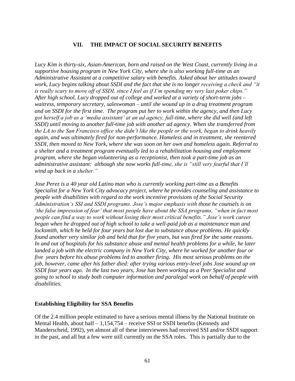## **VII. THE IMPACT OF SOCIAL SECURITY BENEFITS**

*Lucy Kim is thirty-six, Asian-American, born and raised on the West Coast, currently living in a supportive housing program in New York City, where she is also working full-time as an Administrative Assistant at a competitive salary with benefits. Asked about her attitudes toward work, Lucy begins talking about SSDI and the fact that she is no longer receiving a check and "it is really scary to move off of SSDI, since I feel as if I'm spending my very last poker chips." After high school, Lucy dropped out of college and worked at a variety of short-term jobs – waitress, temporary secretary, saleswoman – until she wound up in a drug treatment program and on SSDI for the first time. The program put her to work within the agency, and then Lucy got herself a job as a 'media assistant' at an ad agency, full-time, where she did well (and left SSDI) until moving to another full-time job with another ad agency. When she transferred from the LA to the San Francisco office she didn't like the people or the work, began to drink heavily again, and was ultimately fired for non-performance. Homeless and in treatment, she reentered SSDI, then moved to New York, where she was soon on her own and homeless again. Referral to a shelter and a treatment program eventually led to a rehabilitation housing and employment program, where she began volunteering as a receptionist, then took a part-time job as an administrative assistant: although she now works full-time, she is "still very fearful that I'll wind up back in a shelter."*

*Jose Perez is a 40 year old Latino man who is currently working part-time as a Benefits Specialist for a New York City advocacy project, where he provides counseling and assistance to people with disabilities with regard to the work incentive provisions of the Social Security Administration's SSI and SSDI programs. Jose's major emphasis with those he counsels is on 'the false impression of fear' that most people have about the SSA programs, "when in fact most people can find a way to work without losing their most critical benefits." Jose's work career began when he dropped out of high school to take a well-paid job as a maintenance man and locksmith, which he held for four years but lost due to substance abuse problems. He quickly found another very similar job and held that for five years, but was fired for the same reasons. In and out of hospitals for his substance abuse and mental health problems for a while, he later landed a job with the electric company in New York City, where he worked for another four or five years before his abuse problems led to another firing. His most serious problems on the job, however, came after his father died: after trying various entry-level jobs Jose wound up on SSDI four years ago. In the last two years, Jose has been working as a Peer Specialist and going to school to study both computer information and paralegal work on behalf of people with disabilities.*

#### **Establishing Eligibility for SSA Benefits**

Of the 2.4 million people estimated to have a serious mental illness by the National Institute on Mental Health, about half – 1,154,754 – receive SSI or SSDI benefits (Kennedy and Manderscheid, 1992), yet almost all of these interviewees had received SSI and/or SSDI support in the past, and all but a few were still currently on the SSA roles. This is partially due to the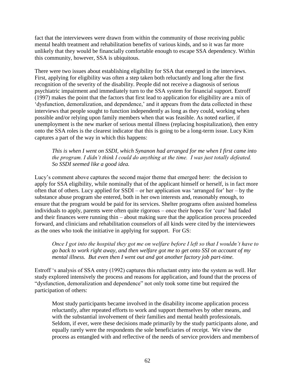fact that the interviewees were drawn from within the community of those receiving public mental health treatment and rehabilitation benefits of various kinds, and so it was far more unlikely that they would be financially comfortable enough to escape SSA dependency. Within this community, however, SSA is ubiquitous.

There were two issues about establishing eligibility for SSA that emerged in the interviews. First, applying for eligibility was often a step taken both reluctantly and long after the first recognition of the severity of the disability. People did not receive a diagnosis of serious psychiatric impairment and immediately turn to the SSA system for financial support. Estroff (1997) makes the point that the factors that first lead to application for eligibility are a mix of 'dysfunction, demoralization, and dependence,' and it appears from the data collected in these interviews that people sought to function independently as long as they could, working when possible and/or relying upon family members when that was feasible. As noted earlier, if unemployment is the new marker of serious mental illness (replacing hospitalization), then entry onto the SSA roles is the clearest indicator that this is going to be a long-term issue. Lucy Kim captures a part of the way in which this happens:

*This is when I went on SSDI, which Synanon had arranged for me when I first came into the program. I didn't think I could do anything at the time. I was just totally defeated. So SSDI seemed like a good idea.*

Lucy's comment above captures the second major theme that emerged here: the decision to apply for SSA eligibility, while nominally that of the applicant himself or herself, is in fact more often that of others. Lucy applied for SSDI – or her application was 'arranged for' her – by the substance abuse program she entered, both in her own interests and, reasonably enough, to ensure that the program would be paid for its services. Shelter programs often assisted homeless individuals to apply, parents were often quite rigorous – once their hopes for 'cure' had faded and their finances were running thin – about making sure that the application process proceeded forward, and clinicians and rehabilitation counselors of all kinds were cited by the interviewees as the ones who took the initiative in applying for support. For GS:

*Once I got into the hospital they got me on welfare before I left so that I wouldn't have to go back to work right away, and then welfare got me to get onto SSI on account of my mental illness. But even then I went out and got another factory job part-time.*

Estroff 's analysis of SSA entry (1992) captures this reluctant entry into the system as well. Her study explored intensively the process and reasons for application, and found that the process of "dysfunction, demoralization and dependence" not only took some time but required the participation of others:

Most study participants became involved in the disability income application process reluctantly, after repeated efforts to work and support themselves by other means, and with the substantial involvement of their families and mental health professionals. Seldom, if ever, were these decisions made primarily by the study participants alone, and equally rarely were the respondents the sole beneficiaries of receipt. We view the process as entangled with and reflective of the needs of service providers and membersof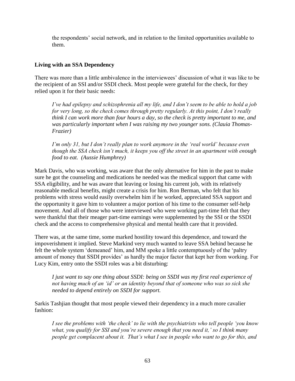the respondents' social network, and in relation to the limited opportunities available to them.

# **Living with an SSA Dependency**

There was more than a little ambivalence in the interviewees' discussion of what it was like to be the recipient of an SSI and/or SSDI check. Most people were grateful for the check, for they relied upon it for their basic needs:

*I've had epilepsy and schizophrenia all my life, and I don't seem to be able to hold a job for very long, so the check comes through pretty regularly. At this point, I don't really think I can work more than four hours a day, so the check is pretty important to me, and was particularly important when I was raising my two younger sons. (Clauia Thomas-Frazier)*

*I'm only 31, but I don't really plan to work anymore in the 'real world' because even though the SSA check isn't much, it keeps you off the street in an apartment with enough food to eat. (Aussie Humphrey)*

Mark Davis, who was working, was aware that the only alternative for him in the past to make sure he got the counseling and medications he needed was the medical support that came with SSA eligibility, and he was aware that leaving or losing his current job, with its relatively reasonable medical benefits, might create a crisis for him. Ron Berman, who felt that his problems with stress would easily overwhelm him if he worked, appreciated SSA support and the opportunity it gave him to volunteer a major portion of his time to the consumer self-help movement. And all of those who were interviewed who were working part-time felt that they were thankful that their meager part-time earnings were supplemented by the SSI or the SSDI check and the access to comprehensive physical and mental health care that it provided.

There was, at the same time, some marked hostility toward this dependence, and toward the impoverishment it implied. Steve Markind very much wanted to leave SSA behind because he felt the whole system 'demeaned' him, and MM spoke a little contemptuously of the 'paltry amount of money that SSDI provides' as hardly the major factor that kept her from working. For Lucy Kim, entry onto the SSDI roles was a bit disturbing:

*I just want to say one thing about SSDI: being on SSDI was my first real experience of not having much of an 'id' or an identity beyond that of someone who was so sick she needed to depend entirely on SSDI for support.*

Sarkis Tashjian thought that most people viewed their dependency in a much more cavalier fashion:

*I see the problems with 'the check' to lie with the psychiatrists who tell people 'you know what, you qualify for SSI and you're severe enough that you need it,' so I think many people get complacent about it. That's what I see in people who want to go for this, and*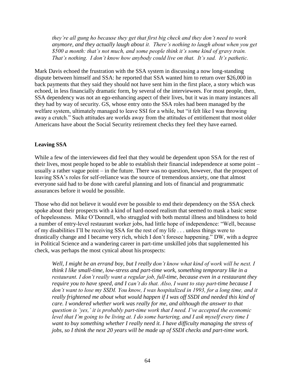*they're all gung ho because they get that first big check and they don't need to work anymore, and they actually laugh about it. There's nothing to laugh about when you get \$500 a month: that's not much, and some people think it's some kind of gravy train. That's nothing. I don't know how anybody could live on that. It's sad. It's pathetic.*

Mark Davis echoed the frustration with the SSA system in discussing a now long-standing dispute between himself and SSA: he reported that SSA wanted him to return over \$26,000 in back payments that they said they should not have sent him in the first place, a story which was echoed, in less financially dramatic form, by several of the interviewees. For most people, then, SSA dependency was not an ego-enhancing aspect of their lives, but it was in many instances all they had by way of security. GS, whose entry onto the SSA roles had been managed by the welfare system, ultimately managed to leave SSI for a while, but "it felt like I was throwing away a crutch." Such attitudes are worlds away from the attitudes of entitlement that most older Americans have about the Social Security retirement checks they feel they have earned.

### **Leaving SSA**

While a few of the interviewees did feel that they would be dependent upon SSA for the rest of their lives, most people hoped to be able to establish their financial independence at some point – usually a rather vague point – in the future. There was no question, however, that the prospect of leaving SSA's roles for self-reliance was the source of tremendous anxiety, one that almost everyone said had to be done with careful planning and lots of financial and programmatic assurances before it would be possible.

Those who did not believe it would ever be possible to end their dependency on the SSA check spoke about their prospects with a kind of hard-nosed realism that seemed to mask a basic sense of hopelessness. Mike O'Donnell, who struggled with both mental illness and blindness to hold a number of entry-level restaurant worker jobs, had little hope of independence: "Well, because of my disabilities I'll be receiving SSA for the rest of my life . . . unless things were to drastically change and I became very rich, which I don't foresee happening." DW, with a degree in Political Science and a wandering career in part-time unskilled jobs that supplemented his check, was perhaps the most cynical about his prospects:

*Well, I might be an errand boy, but I really don't know what kind of work will be next. I think I like small-time, low-stress and part-time work, something temporary like in a restaurant. I don't really want a regular job, full-time, because even in a restaurant they require you to have speed, and I can't do that. Also, I want to stay part-time because I don't want to lose my SSDI. You know, I was hospitalized in 1993, for a long time, and it*  really frightened me about what would happen if I was off SSDI and needed this kind of *care. I wondered whether work was really for me, and although the answer to that question is 'yes,' it is probably part-time work that I need. I've accepted the economic level that I'm going to be living at. I do some bartering, and I ask myself every time I want to buy something whether I really need it. I have difficulty managing the stress of jobs, so I think the next 20 years will be made up of SSDI checks and part-time work.*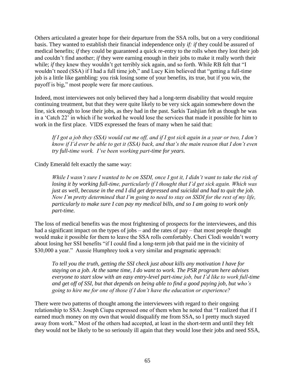Others articulated a greater hope for their departure from the SSA rolls, but on a very conditional basis. They wanted to establish their financial independence only *if: if* they could be assured of medical benefits; *if* they could be guaranteed a quick re-entry to the rolls when they lost their job and couldn't find another; *if* they were earning enough in their jobs to make it really worth their while; *if* they knew they wouldn't get terribly sick again, and so forth. While RB felt that "I wouldn't need (SSA) if I had a full time job," and Lucy Kim believed that "getting a full-time job is a little like gambling: you risk losing some of your benefits, its true, but if you win, the payoff is big," most people were far more cautious.

Indeed, most interviewees not only believed they had a long-term disability that would require continuing treatment, but that they were quite likely to be very sick again somewhere down the line, sick enough to lose their jobs, as they had in the past. Sarkis Tashjian felt as though he was in a 'Catch 22' in which if he worked he would lose the services that made it possible for him to work in the first place. VIDS expressed the fears of many when he said that:

*If I got a job they (SSA) would cut me off, and if I got sick again in a year or two, I don't know if I'd ever be able to get it (SSA) back, and that's the main reason that I don't even try full-time work. I've been working part-time for years.*

Cindy Emerald felt exactly the same way:

*While I wasn't sure I wanted to be on SSDI, once I got it, I didn't want to take the risk of losing it by working full-time, particularly if I thought that I'd get sick again. Which was just as well, because in the end I did get depressed and suicidal and had to quit the job. Now I'm pretty determined that I'm going to need to stay on SSDI for the rest of my life, particularly to make sure I can pay my medical bills, and so I am going to work only part-time.*

The loss of medical benefits was the most frightening of prospects for the interviewees, and this had a significant impact on the types of jobs – and the rates of pay – that most people thought would make it possible for them to leave the SSA rolls comfortably. Cheri Clodi wouldn't worry about losing her SSI benefits "if I could find a long-term job that paid me in the vicinity of \$30,000 a year." Aussie Humphrey took a very similar and pragmatic approach:

*To tell you the truth, getting the SSI check just about kills any motivation I have for staying on a job. At the same time, I do want to work. The PSR program here advises everyone to start slow with an easy entry-level part-time job, but I'd like to work full-time and get off of SSI, but that depends on being able to find a good paying job, but who's going to hire me for one of those if I don't have the education or experience?*

There were two patterns of thought among the interviewees with regard to their ongoing relationship to SSA: Joseph Ciupa expressed one of them when he noted that "I realized that if I earned much money on my own that would disqualify me from SSA, so I pretty much stayed away from work." Most of the others had accepted, at least in the short-term and until they felt they would not be likely to be so seriously ill again that they would lose their jobs and need SSA,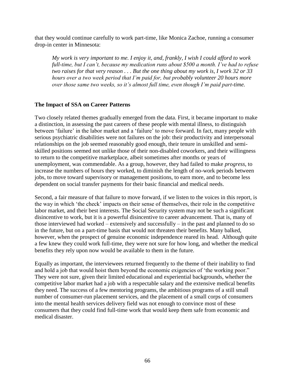that they would continue carefully to work part-time, like Monica Zachoe, running a consumer drop-in center in Minnesota:

*My work is very important to me. I enjoy it, and, frankly, I wish I could afford to work full-time, but I can't, because my medication runs about \$500 a month. I've had to refuse two raises for that very reason . . . But the one thing about my work is, I work 32 or 33 hours over a two week period that I'm paid for, but probably volunteer 20 hours more over those same two weeks, so it's almost full time, even though I'm paid part-time.*

## **The Impact of SSA on Career Patterns**

Two closely related themes gradually emerged from the data. First, it became important to make a distinction, in assessing the past careers of these people with mental illness, to distinguish between 'failure' in the labor market and a 'failure' to move forward. In fact, many people with serious psychiatric disabilities were not failures on the job: their productivity and interpersonal relationships on the job seemed reasonably good enough, their tenure in unskilled and semiskilled positions seemed not unlike those of their non-disabled coworkers, and their willingness to return to the competitive marketplace, albeit sometimes after months or years of unemployment, was commendable. As a group, however, they had failed to make *progress*, to increase the numbers of hours they worked, to diminish the length of no-work periods between jobs, to move toward supervisory or management positions, to earn more, and to become less dependent on social transfer payments for their basic financial and medical needs.

Second, a fair measure of that failure to move forward, if we listen to the voices in this report, is the way in which 'the check' impacts on their sense of themselves, their role in the competitive labor market, and their best interests. The Social Security system may not be such a significant disincentive to work, but it is a powerful disincentive to career advancement. That is, many of those interviewed had worked – extensively and successfully – in the past and planned to do so in the future, but on a part-time basis that would not threaten their benefits. Many balked, however, when the prospect of genuine economic independence reared its head. Although quite a few knew they could work full-time, they were not sure for how long, and whether the medical benefits they rely upon now would be available to them in the future.

Equally as important, the interviewees returned frequently to the theme of their inability to find and hold a job that would hoist them beyond the economic exigencies of 'the working poor." They were not sure, given their limited educational and experiential backgrounds, whether the competitive labor market had a job with a respectable salary and the extensive medical benefits they need. The success of a few mentoring programs, the ambitious programs of a still small number of consumer-run placement services, and the placement of a small corps of consumers into the mental health services delivery field was not enough to convince most of these consumers that they could find full-time work that would keep them safe from economic and medical disaster.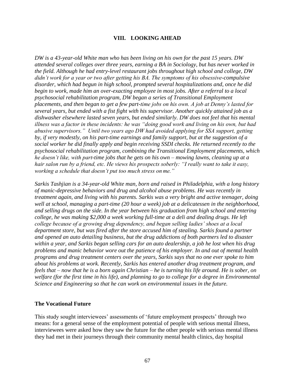### **VIII. LOOKING AHEAD**

*DW is a 43-year-old White man who has been living on his own for the past 15 years. DW attended several colleges over three years, earning a BA in Sociology, but has never worked in the field. Although he had entry-level restaurant jobs throughout high school and college, DW didn't work for a year or two after getting his BA. The symptoms of his obsessive-compulsive disorder, which had begun in high school, prompted several hospitalizations and, once he did begin to work, made him an over-exacting employee in most jobs. After a referral to a local psychosocial rehabilitation program, DW began a series of Transitional Employment placements, and then began to get a few part-time jobs on his own. A job at Denny's lasted for several years, but ended with a fist fight with his supervisor. Another quickly attained job as a dishwasher elsewhere lasted seven years, but ended similarly. DW does not feel that his mental illness was a factor in these incidents: he was "doing good work and living on his own, but had abusive supervisors." Until two years ago DW had avoided applying for SSA support, getting by, if very modestly, on his part-time earnings and family support, but at the suggestion of a social worker he did finally apply and begin receiving SSDI checks. He returned recently to the psychosocial rehabilitation program, combining the Transitional Employment placements, which he doesn't like, with part-time jobs that he gets on his own – mowing lawns, cleaning up at a hair salon run by a friend, etc. He views his prospects soberly: "I really want to take it easy, working a schedule that doesn't put too much stress on me."*

*Sarkis Tashjian is a 34-year-old White man, born and raised in Philadelphia, with a long history of manic-depressive behaviors and drug and alcohol abuse problems. He was recently in treatment again, and living with his parents. Sarkis was a very bright and active teenager, doing well at school, managing a part-time (20 hour a week) job at a delicatessen in the neighborhood, and selling drugs on the side. In the year between his graduation from high school and entering college, he was making \$2,000 a week working full-time at a deli and dealing drugs. He left college because of a growing drug dependency, and began selling ladies' shoes at a local department store, but was fired after the store accused him of stealing. Sarkis found a partner and opened an auto detailing business, but the drug addictions of both partners led to disaster within a year, and Sarkis began selling cars for an auto dealership, a job he lost when his drug problems and manic behavior wore out the patience of his employer. In and out of mental health programs and drug treatment centers over the years, Sarkis says that no one ever spoke to him about his problems at work. Recently, Sarkis has entered another drug treatment program, and feels that – now that he is a born again Christian – he is turning his life around. He is sober, on welfare (for the first time in his life), and planning to go to college for a degree in Environmental Science and Engineering so that he can work on environmental issues in the future.*

#### **The Vocational Future**

This study sought interviewees' assessments of 'future employment prospects' through two means: for a general sense of the employment potential of people with serious mental illness, interviewees were asked how they saw the future for the other people with serious mental illness they had met in their journeys through their community mental health clinics, day hospital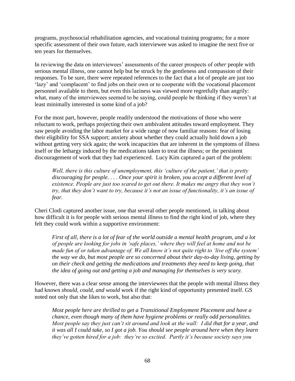programs, psychosocial rehabilitation agencies, and vocational training programs; for a more specific assessment of their own future, each interviewee was asked to imagine the next five or ten years for themselves.

In reviewing the data on interviewees' assessments of the career prospects of *other* people with serious mental illness, one cannot help but be struck by the gentleness and compassion of their responses. To be sure, there were repeated references to the fact that a lot of people are just too 'lazy' and 'complacent' to find jobs on their own or to cooperate with the vocational placement personnel available to them, but even this laziness was viewed more regretfully than angrily: what, many of the interviewees seemed to be saying, could people be thinking if they weren't at least minimally interested in some kind of a job?

For the most part, however, people readily understood the motivations of those who were reluctant to work, perhaps projecting their own ambivalent attitudes toward employment. They saw people avoiding the labor market for a wide range of now familiar reasons: fear of losing their eligibility for SSA support; anxiety about whether they could actually hold down a job without getting very sick again; the work incapacities that are inherent in the symptoms of illness itself or the lethargy induced by the medications taken to treat the illness; or the persistent discouragement of work that they had experienced. Lucy Kim captured a part of the problem:

*Well, there is this culture of unemployment, this 'culture of the patient,' that is pretty discouraging for people. . . . Once your spirit is broken, you accept a different level of existence. People are just too scared to get out there. It makes me angry that they won't try, that they don't want to try, because it's not an issue of functionality, it's an issue of fear.*

Cheri Clodi captured another issue, one that several other people mentioned, in talking about how difficult it is for people with serious mental illness to find the right kind of job, where they felt they could work within a supportive environment:

*First of all, there is a lot of fear of the world outside a mental health program, and a lot of people are looking for jobs in 'safe places,' where they will feel at home and not be made fun of or taken advantage of. We all know it's not quite right to 'live off the system' the way we do, but most people are so concerned about their day-to-day living, getting by on their check and getting the medications and treatments they need to keep going, that the idea of going out and getting a job and managing for themselves is very scary.*

However, there was a clear sense among the interviewees that the people with mental illness they had known *should, could, and would* work if the right kind of opportunity presented itself. GS noted not only that she likes to work, but also that:

*Most people here are thrilled to get a Transitional Employment Placement and have a chance, even though many of them have hygiene problems or really odd personalities. Most people say they just can't sit around and look at the wall: I did that for a year, and it was all I could take, so I got a job. You should see people around here when they learn they've gotten hired for a job: they're so excited. Partly it's because society says you*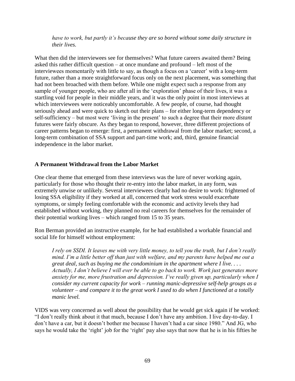*have to work, but partly it's because they are so bored without some daily structure in their lives.*

What then did the interviewees see for themselves? What future careers awaited them? Being asked this rather difficult question – at once mundane and profound – left most of the interviewees momentarily with little to say, as though a focus on a 'career' with a long-term future, rather than a more straightforward focus only on the next placement, was something that had not been broached with them before. While one might expect such a response from any sample of younger people, who are after all in the 'exploration' phase of their lives, it was a startling void for people in their middle years, and it was the only point in most interviews at which interviewees were noticeably uncomfortable. A few people, of course, had thought seriously ahead and were quick to sketch out their plans – for either long-term dependency or self-sufficiency – but most were 'living in the present' to such a degree that their more *distant*  futures were fairly obscure. As they began to respond, however, three different projections of career patterns began to emerge: first, a permanent withdrawal from the labor market; second, a long-term combination of SSA support and part-time work; and, third, genuine financial independence in the labor market.

## **A Permanent Withdrawal from the Labor Market**

One clear theme that emerged from these interviews was the lure of never working again, particularly for those who thought their re-entry into the labor market, in any form, was extremely unwise or unlikely. Several interviewees clearly had no desire to work: frightened of losing SSA eligibility if they worked at all, concerned that work stress would exacerbate symptoms, or simply feeling comfortable with the economic and activity levels they had established without working, they planned no real careers for themselves for the remainder of their potential working lives – which ranged from 15 to 35 years.

Ron Berman provided an instructive example, for he had established a workable financial and social life for himself without employment:

*I rely on SSDI. It leaves me with very little money, to tell you the truth, but I don't really mind. I'm a little better off than just with welfare, and my parents have helped me out a great deal, such as buying me the condominium in the apartment where I live. . . . Actually, I don't believe I will ever be able to go back to work. Work just generates more anxiety for me, more frustration and depression. I've really given up, particularly when I consider my current capacity for work – running manic-depressive self-help groups as a volunteer – and compare it to the great work I used to do when I functioned at a totally manic level.*

VIDS was very concerned as well about the possibility that he would get sick again if he worked: "I don't really think about it that much, because I don't have any ambition. I live day-to-day. I don't have a car, but it doesn't bother me because I haven't had a car since 1980." And JG, who says he would take the 'right' job for the 'right' pay also says that now that he is in his fifties he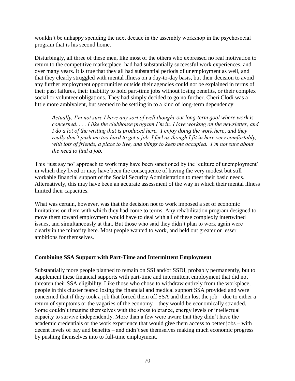wouldn't be unhappy spending the next decade in the assembly workshop in the psychosocial program that is his second home.

Disturbingly, all three of these men, like most of the others who expressed no real motivation to return to the competitive marketplace, had had substantially successful work experiences, and over many years. It is true that they all had substantial periods of unemployment as well, and that they clearly struggled with mental illness on a day-to-day basis, but their decision to avoid any further employment opportunities outside their agencies could not be explained in terms of their past failures, their inability to hold part-time jobs without losing benefits, or their complex social or volunteer obligations. They had simply decided to go no further. Cheri Clodi was a little more ambivalent, but seemed to be settling in to a kind of long-term dependency:

*Actually, I'm not sure I have any sort of well thought-out long-term goal where work is concerned. . . . I like the clubhouse program I'm in. I love working on the newsletter, and I do a lot of the writing that is produced here. I enjoy doing the work here, and they really don't push me too hard to get a job. I feel as though I fit in here very comfortably, with lots of friends, a place to live, and things to keep me occupied. I'm not sure about the need to find a job.*

This 'just say no' approach to work may have been sanctioned by the 'culture of unemployment' in which they lived or may have been the consequence of having the very modest but still workable financial support of the Social Security Administration to meet their basic needs. Alternatively, this may have been an accurate assessment of the way in which their mental illness limited their capacities.

What was certain, however, was that the decision not to work imposed a set of economic limitations on them with which they had come to terms. Any rehabilitation program designed to move them toward employment would have to deal with all of these complexly intertwined issues, and simultaneously at that. But those who said they didn't plan to work again were clearly in the minority here. Most people wanted to work, and held out greater or lesser ambitions for themselves.

## **Combining SSA Support with Part-Time and Intermittent Employment**

Substantially more people planned to remain on SSI and/or SSDI, probably permanently, but to supplement these financial supports with part-time and intermittent employment that did not threaten their SSA eligibility. Like those who chose to withdraw entirely from the workplace, people in this cluster feared losing the financial and medical support SSA provided and were concerned that if they took a job that forced them off SSA and then lost the job – due to either a return of symptoms or the vagaries of the economy – they would be economically stranded. Some couldn't imagine themselves with the stress tolerance, energy levels or intellectual capacity to survive independently. More than a few were aware that they didn't have the academic credentials or the work experience that would give them access to better jobs – with decent levels of pay and benefits – and didn't see themselves making much economic progress by pushing themselves into to full-time employment.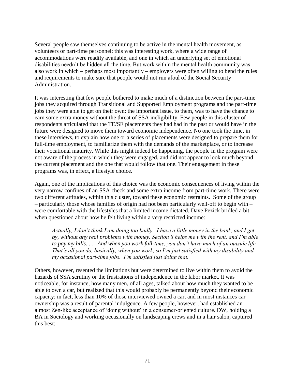Several people saw themselves continuing to be active in the mental health movement, as volunteers or part-time personnel: this was interesting work, where a wide range of accommodations were readily available, and one in which an underlying set of emotional disabilities needn't be hidden all the time. But work within the mental health community was also work in which – perhaps most importantly – employers were often willing to bend the rules and requirements to make sure that people would not run afoul of the Social Security Administration.

It was interesting that few people bothered to make much of a distinction between the part-time jobs they acquired through Transitional and Supported Employment programs and the part-time jobs they were able to get on their own: the important issue, to them, was to have the chance to earn some extra money without the threat of SSA ineligibility. Few people in this cluster of respondents articulated that the TE/SE placements they had had in the past or would have in the future were designed to move them toward economic independence. No one took the time, in these interviews, to explain how one or a series of placements were designed to prepare them for full-time employment, to familiarize them with the demands of the marketplace, or to increase their vocational maturity. While this might indeed be happening, the people in the program were not aware of the process in which they were engaged, and did not appear to look much beyond the current placement and the one that would follow that one. Their engagement in these programs was, in effect, a lifestyle choice.

Again, one of the implications of this choice was the economic consequences of living within the very narrow confines of an SSA check and some extra income from part-time work. There were two different attitudes, within this cluster, toward these economic restraints. Some of the group – particularly those whose families of origin had not been particularly well-off to begin with – were comfortable with the lifestyles that a limited income dictated. Dave Pezick bridled a bit when questioned about how he felt living within a very restricted income:

*Actually, I don't think I am doing too badly. I have a little money in the bank, and I get by, without any real problems with money. Section 8 helps me with the rent, and I'm able to pay my bills. . . . And when you work full-time, you don't have much of an outside life. That's all you do, basically, when you work, so I'm just satisfied with my disability and my occasional part-time jobs. I'm satisfied just doing that.*

Others, however, resented the limitations but were determined to live within them to avoid the hazards of SSA scrutiny or the frustrations of independence in the labor market. It was noticeable, for instance, how many men, of all ages, talked about how much they wanted to be able to own a car, but realized that this would probably be permanently beyond their economic capacity: in fact, less than 10% of those interviewed owned a car, and in most instances car ownership was a result of parental indulgence. A few people, however, had established an almost Zen-like acceptance of 'doing without' in a consumer-oriented culture. DW, holding a BA in Sociology and working occasionally on landscaping crews and in a hair salon, captured this best: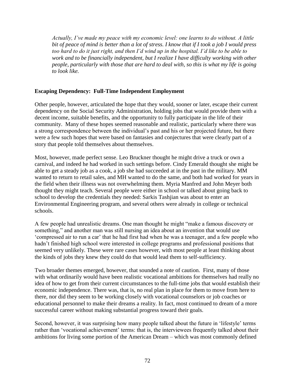*Actually, I've made my peace with my economic level: one learns to do without. A little bit of peace of mind is better than a lot of stress. I know that if I took a job I would press*  too hard to do it just right, and then I'd wind up in the hospital. I'd like to be able to *work and to be financially independent, but I realize I have difficulty working with other people, particularly with those that are hard to deal with, so this is what my life is going to look like.*

# **Escaping Dependency: Full-Time Independent Employment**

Other people, however, articulated the hope that they would, sooner or later, escape their current dependency on the Social Security Administration, holding jobs that would provide them with a decent income, suitable benefits, and the opportunity to fully participate in the life of their community. Many of these hopes seemed reasonable and realistic, particularly where there was a strong correspondence between the individual's past and his or her projected future, but there were a few such hopes that were based on fantasies and conjectures that were clearly part of a story that people told themselves about themselves.

Most, however, made perfect sense. Leo Bruckner thought he might drive a truck or own a carnival, and indeed he had worked in such settings before. Cindy Emerald thought she might be able to get a steady job as a cook, a job she had succeeded at in the past in the military. MM wanted to return to retail sales, and MH wanted to do the same, and both had worked for years in the field when their illness was not overwhelming them. Myria Manfred and John Meyer both thought they might teach. Several people were either in school or talked about going back to school to develop the credentials they needed: Sarkis Tashjian was about to enter an Environmental Engineering program, and several others were already in college or technical schools.

A few people had unrealistic dreams. One man thought he might "make a famous discovery or something," and another man was still nursing an idea about an invention that would use 'compressed air to run a car' that he had first had when he was a teenager, and a few people who hadn't finished high school were interested in college programs and professional positions that seemed very unlikely. These were rare cases however, with most people at least thinking about the kinds of jobs they knew they could do that would lead them to self-sufficiency.

Two broader themes emerged, however, that sounded a note of caution. First, many of those with what ordinarily would have been realistic vocational ambitions for themselves had really no idea of how to get from their current circumstances to the full-time jobs that would establish their economic independence. There was, that is, no real plan in place for them to move from here to there, nor did they seem to be working closely with vocational counselors or job coaches or educational personnel to make their dreams a reality. In fact, most continued to dream of a more successful career without making substantial progress toward their goals.

Second, however, it was surprising how many people talked about the future in 'lifestyle' terms rather than 'vocational achievement' terms: that is, the interviewees frequently talked about their ambitions for living some portion of the American Dream – which was most commonly defined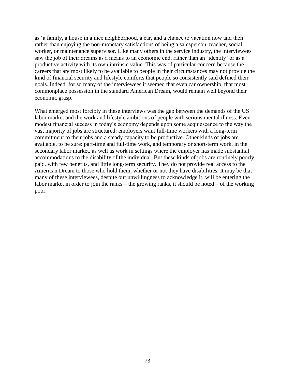as 'a family, a house in a nice neighborhood, a car, and a chance to vacation now and then' – rather than enjoying the non-monetary satisfactions of being a salesperson, teacher, social worker, or maintenance supervisor. Like many others in the service industry, the interviewees saw the job of their dreams as a means to an economic end, rather than an 'identity' or as a productive activity with its own intrinsic value. This was of particular concern because the careers that are most likely to be available to people in their circumstances may not provide the kind of financial security and lifestyle comforts that people so consistently said defined their goals. Indeed, for so many of the interviewees it seemed that even car ownership, that most commonplace possession in the standard American Dream, would remain well beyond their economic grasp.

What emerged most forcibly in these interviews was the gap between the demands of the US labor market and the work and lifestyle ambitions of people with serious mental illness. Even modest financial success in today's economy depends upon some acquiescence to the way the vast majority of jobs are structured: employers want full-time workers with a long-term commitment to their jobs and a steady capacity to be productive. Other kinds of jobs are available, to be sure: part-time and full-time work, and temporary or short-term work, in the secondary labor market, as well as work in settings where the employer has made substantial accommodations to the disability of the individual. But these kinds of jobs are routinely poorly paid, with few benefits, and little long-term security. They do not provide real access to the American Dream to those who hold them, whether or not they have disabilities. It may be that many of these interviewees, despite our unwillingness to acknowledge it, will be entering the labor market in order to join the ranks – the growing ranks, it should be noted – of the working poor.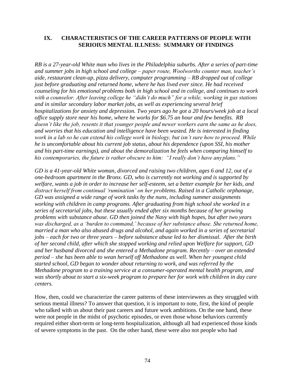# **IX. CHARACTERISTICS OF THE CAREER PATTERNS OF PEOPLE WITH SERIOIUS MENTAL ILLNESS: SUMMARY OF FINDINGS**

*RB is a 27-year-old White man who lives in the Philadelphia suburbs. After a series of part-time and summer jobs in high school and college – paper route, Woolworths counter man, teacher's aide, restaurant clean-up, pizza delivery, computer programming – RB dropped out of college just before graduating and returned home, where he has lived ever since. He had received counseling for his emotional problems both in high school and in college, and continues to work with a counselor. After leaving college he "didn't do much" for a while, working in gas stations and in similar secondary labor market jobs, as well as experiencing several brief hospitalizations for anxiety and depression. Two years ago he got a 20 hours/week job at a local office supply store near his home, where he works for \$6.75 an hour and few benefits. RB doesn't like the job, resents it that younger people and newer workers earn the same as he does, and worries that his education and intelligence have been wasted. He is interested in finding work in a lab so he can extend his college work in biology, but isn't sure how to proceed. While he is uncomfortable about his current job status, about his dependence (upon SSI, his mother and his part-time earnings), and about the demoralization he feels when comparing himself to his contemporaries, the future is rather obscure to him: "I really don't have anyplans."*

*GD is a 41-year-old White woman, divorced and raising two children, ages 6 and 12, out of a one-bedroom apartment in the Bronx. GD, who is currently not working and is supported by welfare, wants a job in order to increase her self-esteem, set a better example for her kids, and distract herself from continual 'rumination' on her problems. Raised in a Catholic orphanage, GD was assigned a wide range of work tasks by the nuns, including summer assignments working with children in camp programs. After graduating from high school she worked in a series of secretarial jobs, but these usually ended after six months because of her growing problems with substance abuse. GD then joined the Navy with high hopes, but after two years was discharged, as a 'burden to command,' because of her substance abuse. She returned home, married a man who also abused drugs and alcohol, and again worked in a series of secretarial jobs – each for two or three years – before substance abuse led to her dismissal. After the birth of her second child, after which she stopped working and relied upon Welfare for support, GD and her husband divorced and she entered a Methadone program. Recently – over an extended period – she has been able to wean herself off Methadone as well. When her youngest child started school, GD began to wonder about returning to work, and was referred by the Methadone program to a training service at a consumer-operated mental health program, and was shortly about to start a six-week program to prepare her for work with children in day care centers.*

How, then, could we characterize the career patterns of these interviewees as they struggled with serious mental illness? To answer that question, it is important to note, first, the kind of people who talked with us about their past careers and future work ambitions. On the one hand, these were not people in the midst of psychotic episodes, or even those whose behaviors currently required either short-term or long-term hospitalization, although all had experienced those kinds of severe symptoms in the past. On the other hand, these were also not people who had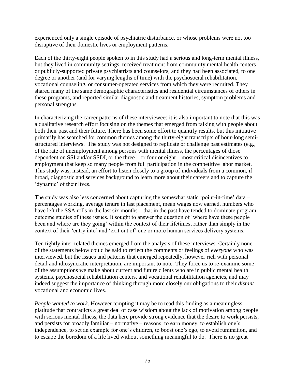experienced only a single episode of psychiatric disturbance, or whose problems were not too disruptive of their domestic lives or employment patterns.

Each of the thirty-eight people spoken to in this study had a serious and long-term mental illness, but they lived in community settings, received treatment from community mental health centers or publicly-supported private psychiatrists and counselors, and they had been associated, to one degree or another (and for varying lengths of time) with the psychosocial rehabilitation, vocational counseling, or consumer-operated services from which they were recruited. They shared many of the same demographic characteristics and residential circumstances of others in these programs, and reported similar diagnostic and treatment histories, symptom problems and personal strengths.

In characterizing the career patterns of these interviewees it is also important to note that this was a qualitative research effort focusing on the themes that emerged from talking with people about both their past and their future. There has been some effort to quantify results, but this initiative primarily has searched for common themes among the thirty-eight transcripts of hour-long semistructured interviews. The study was not designed to replicate or challenge past estimates (e.g., of the rate of unemployment among persons with mental illness, the percentages of those dependent on SSI and/or SSDI, or the three – or four or eight – most critical disincentives to employment that keep so many people from full participation in the competitive labor market. This study was, instead, an effort to listen closely to a group of individuals from a common, if broad, diagnostic and services background to learn more about their careers and to capture the 'dynamic' of their lives.

The study was also less concerned about capturing the somewhat static 'point-in-time' data – percentages working, average tenure in last placement, mean wages now earned, numbers who have left the SSA rolls in the last six months – that in the past have tended to dominate program outcome studies of these issues. It sought to answer the question of 'where have these people been and where are they going' within the context of their lifetimes, rather than simply in the context of their 'entry into' and 'exit out of' one or more human services delivery systems.

Ten tightly inter-related themes emerged from the analysis of these interviews. Certainly none of the statements below could be said to reflect the comments or feelings of *everyone* who was interviewed, but the issues and patterns that emerged repeatedly, however rich with personal detail and idiosyncratic interpretation, are important to note. They force us to re-examine some of the assumptions we make about current and future clients who are in public mental health systems, psychosocial rehabilitation centers, and vocational rehabilitation agencies, and may indeed suggest the importance of thinking through more closely our obligations to their *distant*  vocational and economic lives.

*People wanted to work.* However tempting it may be to read this finding as a meaningless platitude that contradicts a great deal of case wisdom about the lack of motivation among people with serious mental illness, the data here provide strong evidence that the desire to work persists, and persists for broadly familiar – normative – reasons: to earn money, to establish one's independence, to set an example for one's children, to boost one's ego, to avoid rumination, and to escape the boredom of a life lived without something meaningful to do. There is no great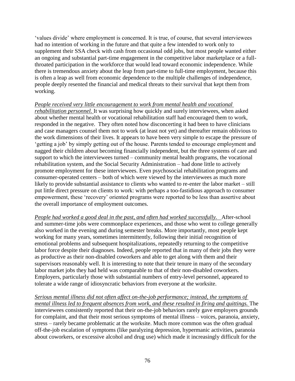'values divide' where employment is concerned. It is true, of course, that several interviewees had no intention of working in the future and that quite a few intended to work only to supplement their SSA check with cash from occasional odd jobs, but most people wanted either an ongoing and substantial part-time engagement in the competitive labor marketplace or a fullthroated participation in the workforce that would lead toward economic independence. While there is tremendous anxiety about the leap from part-time to full-time employment, because this is often a leap as well from economic dependence to the multiple challenges of independence, people deeply resented the financial and medical threats to their survival that kept them from working.

*People received very little encouragement to work from mental health and vocational rehabilitation personnel.* It was surprising how quickly and surely interviewees, when asked about whether mental health or vocational rehabilitation staff had encouraged them to work, responded in the negative. They often noted how disconcerting it had been to have clinicians and case managers counsel them not to work (at least not yet) and thereafter remain oblivious to the work dimensions of their lives. It appears to have been very simple to escape the pressure of 'getting a job' by simply getting out of the house. Parents tended to encourage employment and nagged their children about becoming financially independent, but the three systems of care and support to which the interviewees turned – community mental health programs, the vocational rehabilitation system, and the Social Security Administration – had done little to actively promote employment for these interviewees. Even psychosocial rehabilitation programs and consumer-operated centers – both of which were viewed by the interviewees as much more likely to provide substantial assistance to clients who wanted to re-enter the labor market – still put little direct pressure on clients to work: with perhaps a too-fastidious approach to consumer empowerment, these 'recovery' oriented programs were reported to be less than assertive about the overall importance of employment outcomes.

*People had worked a good deal in the past, and often had worked successfully.* After-school and summer-time jobs were commonplace experiences, and those who went to college generally also worked in the evening and during semester breaks. More importantly, most people kept working for many years, sometimes intermittently, following their initial recognition of emotional problems and subsequent hospitalizations, repeatedly returning to the competitive labor force despite their diagnoses. Indeed, people reported that in many of their jobs they were as productive as their non-disabled coworkers and able to get along with them and their supervisors reasonably well. It is interesting to note that their tenure in many of the secondary labor market jobs they had held was comparable to that of their non-disabled coworkers. Employers, particularly those with substantial numbers of entry-level personnel, appeared to tolerate a wide range of idiosyncratic behaviors from everyone at the worksite.

*Serious mental illness did not often affect on-the-job performance; instead, the symptoms of mental illness led to frequent absences from work, and these resulted in firing and quittings.* The interviewees consistently reported that their on-the-job behaviors rarely gave employers grounds for complaint, and that their most serious symptoms of mental illness – voices, paranoia, anxiety, stress – rarely became problematic at the worksite. Much more common was the often gradual off-the-job escalation of symptoms (like paralyzing depression, hypermanic activities, paranoia about coworkers, or excessive alcohol and drug use) which made it increasingly difficult for the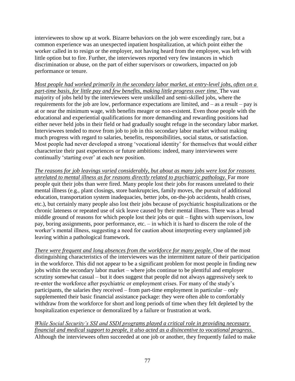interviewees to show up at work. Bizarre behaviors on the job were exceedingly rare, but a common experience was an unexpected inpatient hospitalization, at which point either the worker called in to resign or the employer, not having heard from the employee, was left with little option but to fire. Further, the interviewees reported very few instances in which discrimination or abuse, on the part of either supervisors or coworkers, impacted on job performance or tenure.

*Most people had worked primarily in the secondary labor market, at entry-level jobs, often on a part-time basis, for little pay and few benefits, making little progress over time. The vast* majority of jobs held by the interviewees were unskilled and semi-skilled jobs, where the requirements for the job are low, performance expectations are limited, and – as a result – pay is at or near the minimum wage, with benefits meager or non-existent. Even those people with the educational and experiential qualifications for more demanding and rewarding positions had either never held jobs in their field or had gradually sought refuge in the secondary labor market. Interviewees tended to move from job to job in this secondary labor market without making much progress with regard to salaries, benefits, responsibilities, social status, or satisfaction. Most people had never developed a strong 'vocational identity' for themselves that would either characterize their past experiences or future ambitions: indeed, many interviewees were continually 'starting over' at each new position.

*The reasons for job leavings varied considerably, but about as many jobs were lost for reasons unrelated to mental illness as for reasons directly related to psychiatric pathology.* Far more people quit their jobs than were fired. Many people lost their jobs for reasons unrelated to their mental illness (e.g., plant closings, store bankruptcies, family moves, the pursuit of additional education, transportation system inadequacies, better jobs, on-the-job accidents, health crises, etc.), but certainly many people also lost their jobs because of psychiatric hospitalizations or the chronic lateness or repeated use of sick leave caused by their mental illness. There was a broad middle ground of reasons for which people lost their jobs or quit – fights with supervisors, low pay, boring assignments, poor performance, etc. – in which it is hard to discern the role of the worker's mental illness, suggesting a need for caution about interpreting every unplanned job leaving within a pathological framework.

*There were frequent and long absences from the workforce for many people.* One of the most distinguishing characteristics of the interviewees was the intermittent nature of their participation in the workforce. This did not appear to be a significant problem for most people in finding new jobs within the secondary labor market – where jobs continue to be plentiful and employer scrutiny somewhat casual – but it does suggest that people did not always aggressively seek to re-enter the workforce after psychiatric or employment crises. For many of the study's participants, the salaries they received – from part-time employment in particular – only supplemented their basic financial assistance package: they were often able to comfortably withdraw from the workforce for short and long periods of time when they felt depleted by the hospitalization experience or demoralized by a failure or frustration at work.

# *While Social Security's SSI and SSDI programs played a critical role in providing necessary financial and medical support to people, it also acted as a disincentive to vocational progress.*  Although the interviewees often succeeded at one job or another, they frequently failed to make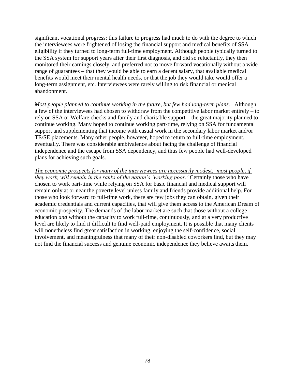significant vocational progress: this failure to progress had much to do with the degree to which the interviewees were frightened of losing the financial support and medical benefits of SSA eligibility if they turned to long-term full-time employment. Although people typically turned to the SSA system for support years after their first diagnosis, and did so reluctantly, they then monitored their earnings closely, and preferred not to move forward vocationally without a wide range of guarantees – that they would be able to earn a decent salary, that available medical benefits would meet their mental health needs, or that the job they would take would offer a long-term assignment, etc. Interviewees were rarely willing to risk financial or medical abandonment.

*Most people planned to continue working in the future, but few had long-term plans.* Although a few of the interviewees had chosen to withdraw from the competitive labor market entirely – to rely on SSA or Welfare checks and family and charitable support – the great majority planned to continue working. Many hoped to continue working part-time, relying on SSA for fundamental support and supplementing that income with casual work in the secondary labor market and/or TE/SE placements. Many other people, however, hoped to return to full-time employment, eventually. There was considerable ambivalence about facing the challenge of financial independence and the escape from SSA dependency, and thus few people had well-developed plans for achieving such goals.

*The economic prospects for many of the interviewees are necessarily modest: most people, if they work, will remain in the ranks of the nation's 'working poor.'* Certainly those who have chosen to work part-time while relying on SSA for basic financial and medical support will remain only at or near the poverty level unless family and friends provide additional help. For those who look forward to full-time work, there are few jobs they can obtain, given their academic credentials and current capacities, that will give them access to the American Dream of economic prosperity. The demands of the labor market are such that those without a college education *and* without the capacity to work full-time, continuously, and at a very productive level are likely to find it difficult to find well-paid employment. It is possible that many clients will nonetheless find great satisfaction in working, enjoying the self-confidence, social involvement, and meaningfulness that many of their non-disabled coworkers find, but they may not find the financial success and genuine economic independence they believe awaits them.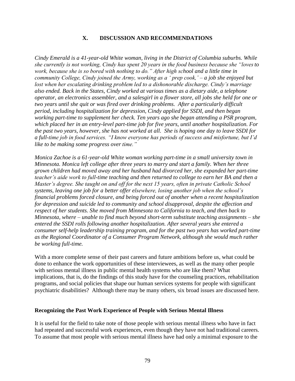# **X. DISCUSSION AND RECOMMENDATIONS**

*Cindy Emerald is a 41-year-old White woman, living in the District of Columbia suburbs. While she currently is not working, Cindy has spent 20 years in the food business because she "lovesto work, because she is so bored with nothing to do." After high school and a little time in community College, Cindy joined the Army, working as a ' prep cook,' – a job she enjoyed but lost when her escalating drinking problem led to a dishonorable discharge. Cindy's marriage also ended. Back in the States, Cindy worked at various times as a dietary aide, a telephone operator, an electronics assembler, and a salesgirl in a flower store, all jobs she held for one or two years until she quit or was fired over drinking problems. After a particularly difficult period, including hospitalization for depression, Cindy applied for SSDI, and then began working part-time to supplement her check. Ten years ago she began attending a PSR program, which placed her in an entry-level part-time job for five years, until another hospitalization. For the past two years, however, she has not worked at all. She is hoping one day to leave SSDI for a full-time job in food services. "I know everyone has periods of success and misfortune, but I'd like to be making some progress over time."*

*Monica Zachoe is a 61-year-old White woman working part-time in a small university town in Minnesota. Monica left college after three years to marry and start a family. When her three grown children had moved away and her husband had divorced her, she expanded her part-time teacher's aide work to full-time teaching and then returned to college to earn her BA and then a Master's degree. She taught on and off for the next 15 years, often in private Catholic School systems, leaving one job for a better offer elsewhere, losing another job when the school's financial problems forced closure, and being forced out of another when a recent hospitalization for depression and suicide led to community and school disapproval, despite the affection and respect of her students. She moved from Minnesota to California to teach, and then back to Minnesota, where – unable to find much beyond short-term substitute teaching assignments – she entered the SSDI rolls following another hospitalization. After several years she entered a consumer self-help leadership training program, and for the past two years has worked part-time as the Regional Coordinator of a Consumer Program Network, although she would much rather be working full-time.*

With a more complete sense of their past careers and future ambitions before us, what could be done to enhance the work opportunities of these interviewees, as well as the many other people with serious mental illness in public mental health systems who are like them? What implications, that is, do the findings of this study have for the counseling practices, rehabilitation programs, and social policies that shape our human services systems for people with significant psychiatric disabilities? Although there may be many others, six broad issues are discussed here.

#### **Recognizing the Past Work Experience of People with Serious Mental Illness**

It is useful for the field to take note of those people with serious mental illness who have in fact had repeated and successful work experiences, even though they have not had traditional careers. To assume that most people with serious mental illness have had only a minimal exposure to the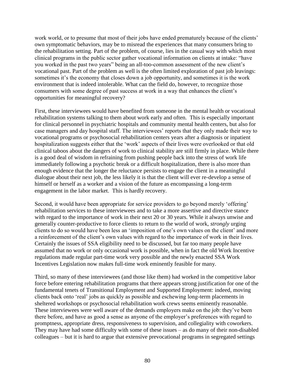work world, or to presume that most of their jobs have ended prematurely because of the clients' own symptomatic behaviors, may be to misread the experiences that many consumers bring to the rehabilitation setting. Part of the problem, of course, lies in the casual way with which most clinical programs in the public sector gather vocational information on clients at intake: "have you worked in the past two years" being an all-too-common assessment of the new client's vocational past. Part of the problem as well is the often limited exploration of past job leavings: sometimes it's the economy that closes down a job opportunity, and sometimes it is the work environment that is indeed intolerable. What can the field do, however, to recognize those consumers with some degree of past success at work in a way that enhances the client's opportunities for meaningful recovery?

First, these interviewees would have benefited from someone in the mental health or vocational rehabilitation systems talking to them about work early and often. This is especially important for clinical personnel in psychiatric hospitals and community mental health centers, but also for case managers and day hospital staff. The interviewees' reports that they only made their way to vocational programs or psychosocial rehabilitation centers years after a diagnosis or inpatient hospitalization suggests either that the 'work' aspects of their lives were overlooked or that old clinical taboos about the dangers of work to clinical stability are still firmly in place. While there is a good deal of wisdom in refraining from pushing people back into the stress of work life immediately following a psychotic break or a difficult hospitalization, there is also more than enough evidence that the longer the reluctance persists to engage the client in a meaningful dialogue about their next job, the less likely it is that the client will ever re-develop a sense of himself or herself as a worker and a vision of the future as encompassing a long-term engagement in the labor market. This is hardly recovery.

Second, it would have been appropriate for service providers to go beyond merely 'offering' rehabilitation services to these interviewees and to take a more assertive and directive stance with regard to the importance of work in their next 20 or 30 years. While it always unwise and generally counter-productive to force clients to return to the world of work, *strongly* urging clients to do so would have been less an 'imposition of one's own values on the client' and more a reinforcement of the client's own values with regard to the importance of work in their lives. Certainly the issues of SSA eligibility need to be discussed, but far too many people have assumed that no work or only occasional work is possible, when in fact the old Work Incentive regulations made regular part-time work very possible and the newly enacted SSA Work Incentives Legislation now makes full-time work eminently feasible for many.

Third, so many of these interviewees (and those like them) had worked in the competitive labor force before entering rehabilitation programs that there appears strong justification for one of the fundamental tenets of Transitional Employment and Supported Employment: indeed, moving clients back onto 'real' jobs as quickly as possible and eschewing long-term placements in sheltered workshops or psychosocial rehabilitation work crews seems eminently reasonable. These interviewees were well aware of the demands employers make on the job: they've been there before, and have as good a sense as anyone of the employer's preferences with regard to promptness, appropriate dress, responsiveness to supervision, and collegiality with coworkers. They may have had some difficulty with some of these issues – as do many of their non-disabled colleagues – but it is hard to argue that extensive prevocational programs in segregated settings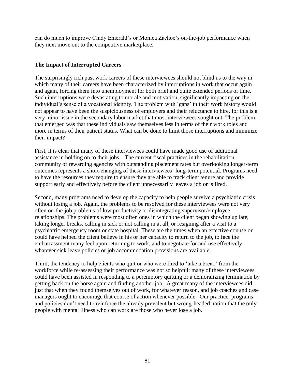can do much to improve Cindy Emerald's or Monica Zachoe's on-the-job performance when they next move out to the competitive marketplace.

# **The Impact of Interrupted Careers**

The surprisingly rich past work careers of these interviewees should not blind us to the way in which many of their careers have been characterized by interruptions in work that occur again and again, forcing them into unemployment for both brief and quite extended periods of time. Such interruptions were devastating to morale and motivation, significantly impacting on the individual's sense of a vocational identity. The problem with 'gaps' in their work history would not appear to have been the suspiciousness of employers and their reluctance to hire, for this is a very minor issue in the secondary labor market that most interviewees sought out. The problem that emerged was that these individuals saw themselves less in terms of their work roles and more in terms of their patient status. What can be done to limit those interruptions and minimize their impact?

First, it is clear that many of these interviewees could have made good use of additional assistance in holding on to their jobs. The current fiscal practices in the rehabilitation community of rewarding agencies with outstanding placement rates but overlooking longer-term outcomes represents a short-changing of these interviewees' long-term potential. Programs need to have the resources they require to ensure they are able to track client tenure and provide support early and effectively before the client unnecessarily leaves a job or is fired.

Second, many programs need to develop the capacity to help people survive a psychiatric crisis without losing a job. Again, the problems to be resolved for these interviewees were not very often on-the-job problems of low productivity or disintegrating supervisor/employee relationships. The problems were most often ones in which the client began showing up late, taking longer breaks, calling in sick or not calling in at all, or resigning after a visit to a psychiatric emergency room or state hospital. These are the times when an effective counselor could have helped the client believe in his or her capacity to return to the job, to face the embarrassment many feel upon returning to work, and to negotiate for and use effectively whatever sick leave policies or job accommodation provisions are available.

Third, the tendency to help clients who quit or who were fired to 'take a break' from the workforce while re-assessing their performance was not so helpful: many of these interviewees could have been assisted in responding to a peremptory quitting or a demoralizing termination by getting back on the horse again and finding another job. A great many of the interviewees did just that when they found themselves out of work, for whatever reason, and job coaches and case managers ought to encourage that course of action whenever possible. Our practice, programs and policies don't need to reinforce the already prevalent but wrong-headed notion that the only people with mental illness who can work are those who never lose a job.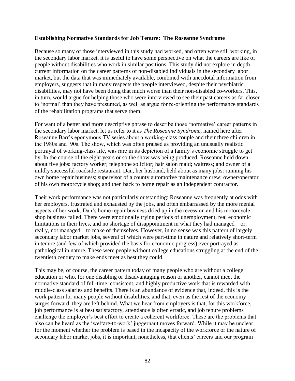#### **Establishing Normative Standards for Job Tenure: The Roseanne Syndrome**

Because so many of those interviewed in this study had worked, and often were still working, in the secondary labor market, it is useful to have some perspective on what the careers are like of people without disabilities who work in similar positions. This study did not explore in depth current information on the career patterns of non-disabled individuals in the secondary labor market, but the data that was immediately available, combined with anecdotal information from employers, suggests that in many respects the people interviewed, despite their psychiatric disabilities, may not have been doing that much worse than their non-disabled co-workers. This, in turn, would argue for helping those who were interviewed to see their past careers as far closer to 'normal' than they have presumed, as well as argue for re-orienting the performance standards of the rehabilitation programs that serve them.

For want of a better and more descriptive phrase to describe those 'normative' career patterns in the secondary labor market, let us refer to it as *The Roseanne Syndrome,* named here after Roseanne Barr's eponymous TV series about a working-class couple and their three children in the 1980s and '90s. The show, which was often praised as providing an unusually realistic portrayal of working-class life, was rare in its depiction of a family's economic struggle to get by. In the course of the eight years or so the show was being produced, Roseanne held down about five jobs: factory worker; telephone solicitor; hair salon maid; waitress; and owner of a mildly successful roadside restaurant. Dan, her husband, held about as many jobs: running his own home repair business; supervisor of a county automotive maintenance crew; owner/operator of his own motorcycle shop; and then back to home repair as an independent contractor.

Their work performance was not particularly outstanding: Roseanne was frequently at odds with her employers, frustrated and exhausted by the jobs, and often embarrassed by the more menial aspects of her work. Dan's home repair business dried up in the recession and his motorcycle shop business failed. There were emotionally trying periods of unemployment, real economic limitations in their lives, and no shortage of disappointment in what they had managed – or, really, not managed – to make of themselves. However, in no sense was this pattern of largely secondary labor market jobs, several of which were part-time in nature and relatively short-term in tenure (and few of which provided the basis for economic progress) ever portrayed as pathological in nature. These were people without college educations struggling at the end of the twentieth century to make ends meet as best they could.

This may be, of course, the career pattern today of many people who are without a college education or who, for one disabling or disadvantaging reason or another, cannot meet the normative standard of full-time, consistent, and highly productive work that is rewarded with middle-class salaries and benefits. There is an abundance of evidence that, indeed, this is the work pattern for many people without disabilities, and that, even as the rest of the economy surges forward, they are left behind. What we hear from employers is that, for this workforce, job performance is at best satisfactory, attendance is often erratic, and job tenure problems challenge the employer's best effort to create a coherent workforce. These are the problems that also can be heard as the 'welfare-to-work' juggernaut moves forward. While it may be unclear for the moment whether the problem is based in the incapacity of the workforce or the nature of secondary labor market jobs, it is important, nonetheless, that clients' careers and our program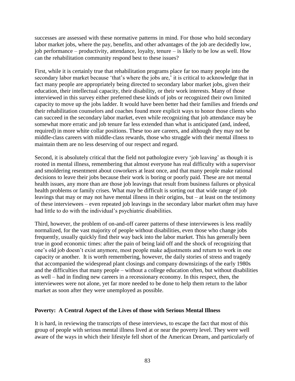successes are assessed with these normative patterns in mind. For those who hold secondary labor market jobs, where the pay, benefits, and other advantages of the job are decidedly low, job performance – productivity, attendance, loyalty, tenure – is likely to be low as well. How can the rehabilitation community respond best to these issues?

First, while it is certainly true that rehabilitation programs place far too many people into the secondary labor market because 'that's where the jobs are,' it is critical to acknowledge that in fact many people are appropriately being directed to secondary labor market jobs, given their education, their intellectual capacity, their disability, or their work interests. Many of those interviewed in this survey either preferred these kinds of jobs or recognized their own limited capacity to move up the jobs ladder. It would have been better had their families and friends *and*  their rehabilitation counselors and coaches found more explicit ways to honor those clients who can succeed in the secondary labor market, even while recognizing that job attendance may be somewhat more erratic and job tenure far less extended than what is anticipated (and, indeed, required) in more white collar positions. These too are careers, and although they may not be middle-class careers with middle-class rewards, those who struggle with their mental illness to maintain them are no less deserving of our respect and regard.

Second, it is absolutely critical that the field not pathologize every 'job leaving' as though it is rooted in mental illness, remembering that almost everyone has real difficulty with a supervisor and smoldering resentment about coworkers at least once, and that many people make rational decisions to leave their jobs because their work is boring or poorly paid. These are not mental health issues, any more than are those job leavings that result from business failures or physical health problems or family crises. What may be difficult is sorting out that wide range of job leavings that may or may not have mental illness in their origins, but – at least on the testimony of these interviewees – even repeated job leavings in the secondary labor market often may have had little to do with the individual's psychiatric disabilities.

Third, however, the problem of on-and-off career patterns of these interviewees is less readily normalized, for the vast majority of people without disabilities, even those who change jobs frequently, usually quickly find their way back into the labor market. This has generally been true in good economic times: after the pain of being laid off and the shock of recognizing that one's old job doesn't exist anymore, most people make adjustments and return to work in one capacity or another. It is worth remembering, however, the daily stories of stress and tragedy that accompanied the widespread plant closings and company downsizings of the early 1980s and the difficulties that many people – without a college education often, but without disabilities as well – had in finding new careers in a recessionary economy. In this respect, then, the interviewees were not alone, yet far more needed to be done to help them return to the labor market as soon after they were unemployed as possible.

# **Poverty: A Central Aspect of the Lives of those with Serious Mental Illness**

It is hard, in reviewing the transcripts of these interviews, to escape the fact that most of this group of people with serious mental illness lived at or near the poverty level. They were well aware of the ways in which their lifestyle fell short of the American Dream, and particularly of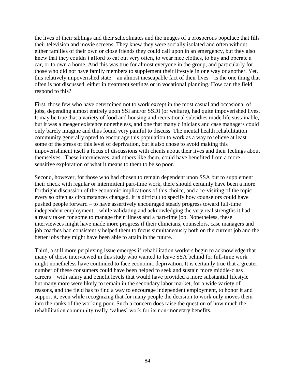the lives of their siblings and their schoolmates and the images of a prosperous populace that fills their television and movie screens. They knew they were socially isolated and often without either families of their own or close friends they could call upon in an emergency, but they also knew that they couldn't afford to eat out very often, to wear nice clothes, to buy and operate a car, or to own a home. And this was true for almost everyone in the group, and particularly for those who did not have family members to supplement their lifestyle in one way or another. Yet, this relatively impoverished state – an almost inescapable fact of their lives – is the one thing that often is not discussed, either in treatment settings or in vocational planning. How can the field respond to this?

First, those few who have determined not to work except in the most casual and occasional of jobs, depending almost entirely upon SSI and/or SSDI (or welfare), had quite impoverished lives. It may be true that a variety of food and housing and recreational subsidies made life sustainable, but it was a meager existence nonetheless, and one that many clinicians and case managers could only barely imagine and thus found very painful to discuss. The mental health rehabilitation community generally opted to encourage this population to work as a way to relieve at least some of the stress of this level of deprivation, but it also chose to avoid making this impoverishment itself a focus of discussions with clients about their lives and their feelings about themselves. These interviewees, and others like them, could have benefited from a more sensitive exploration of what it means to them to be so poor.

Second, however, for those who had chosen to remain dependent upon SSA but to supplement their check with regular or intermittent part-time work, there should certainly have been a more forthright discussion of the economic implications of this choice, and a re-visiting of the topic every so often as circumstances changed. It is difficult to specify how counselors could have pushed people forward – to have assertively encouraged steady progress toward full-time independent employment – while validating and acknowledging the very real strengths it had already taken for some to manage their illness and a part-time job. Nonetheless, these interviewees might have made more progress if their clinicians, counselors, case managers and job coaches had consistently helped them to focus simultaneously both on the current job and the better jobs they might have been able to attain in the future.

Third, a still more perplexing issue emerges if rehabilitation workers begin to acknowledge that many of those interviewed in this study who wanted to leave SSA behind for full-time work might nonetheless have continued to face economic deprivation. It is certainly true that a greater number of these consumers could have been helped to seek and sustain more middle-class careers – with salary and benefit levels that would have provided a more substantial lifestyle – but many more were likely to remain in the secondary labor market, for a wide variety of reasons, and the field has to find a way to encourage independent employment, to honor it and support it, even while recognizing that for many people the decision to work only moves them into the ranks of the working poor. Such a concern does raise the question of how much the rehabilitation community really 'values' work for its non-monetary benefits.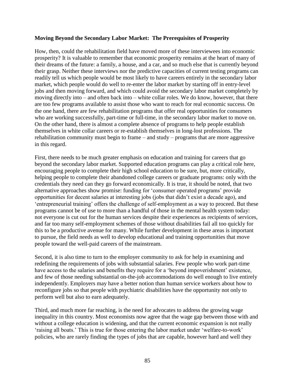#### **Moving Beyond the Secondary Labor Market: The Prerequisites of Prosperity**

How, then, could the rehabilitation field have moved more of these interviewees into economic prosperity? It is valuable to remember that economic prosperity remains at the heart of many of their dreams of the future: a family, a house, and a car, and so much else that is currently beyond their grasp. Neither these interviews nor the predictive capacities of current testing programs can readily tell us which people would be most likely to have careers entirely in the secondary labor market, which people would do well to re-enter the labor market by starting off in entry-level jobs and then moving forward, and which could avoid the secondary labor market completely by moving directly into – and often back into – white collar roles. We do know, however, that there are too few programs available to assist those who want to reach for real economic success. On the one hand, there are few rehabilitation programs that offer real opportunities for consumers who are working successfully, part-time or full-time, in the secondary labor market to move on. On the other hand, there is almost a complete absence of programs to help people establish themselves in white collar careers or re-establish themselves in long-lost professions. The rehabilitation community must begin to frame – and study – programs that are more aggressive in this regard.

First, there needs to be much greater emphasis on education and training for careers that go beyond the secondary labor market. Supported education programs can play a critical role here, encouraging people to complete their high school education to be sure, but, more critically, helping people to complete their abandoned college careers or graduate programs: only with the credentials they need can they go forward economically. It is true, it should be noted, that two alternative approaches show promise: funding for 'consumer operated programs' provide opportunities for decent salaries at interesting jobs (jobs that didn't exist a decade ago), and 'entrepreneurial training' offers the challenge of self-employment as a way to proceed. But these programs cannot be of use to more than a handful of those in the mental health system today: not everyone is cut out for the human services despite their experiences as recipients of services, and far too many self-employment schemes of those without disabilities fail all too quickly for this to be a productive avenue for many. While further development in these areas is important to pursue, the field needs as well to develop educational and training opportunities that move people toward the well-paid careers of the mainstream.

Second, it is also time to turn to the employer community to ask for help in examining and redefining the requirements of jobs with substantial salaries. Few people who work part-time have access to the salaries and benefits they require for a 'beyond impoverishment' existence, and few of those needing substantial on-the-job accommodations do well enough to live entirely independently. Employers may have a better notion than human service workers about how to reconfigure jobs so that people with psychiatric disabilities have the opportunity not only to perform well but also to earn adequately.

Third, and much more far reaching, is the need for advocates to address the growing wage inequality in this country. Most economists now agree that the wage gap between those with and without a college education is widening, and that the current economic expansion is not really 'raising all boats.' This is true for those entering the labor market under 'welfare-to-work' policies, who are rarely finding the types of jobs that are capable, however hard and well they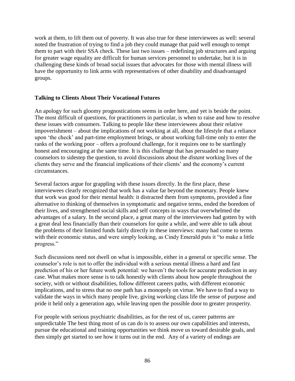work at them, to lift them out of poverty. It was also true for these interviewees as well: several noted the frustration of trying to find a job they could manage that paid well enough to tempt them to part with their SSA check. These last two issues – redefining job structures and arguing for greater wage equality are difficult for human services personnel to undertake, but it is in challenging these kinds of broad social issues that advocates for those with mental illness will have the opportunity to link arms with representatives of other disability and disadvantaged groups.

# **Talking to Clients About Their Vocational Futures**

An apology for such gloomy prognostications seems in order here, and yet is beside the point. The most difficult of questions, for practitioners in particular, is when to raise and how to resolve these issues with consumers. Talking to people like these interviewees about their relative impoverishment – about the implications of not working at all, about the lifestyle that a reliance upon 'the check' and part-time employment brings, or about working full-time only to enter the ranks of the working poor – offers a profound challenge, for it requires one to be startlingly honest and encouraging at the same time. It is this challenge that has persuaded so many counselors to sidestep the question, to avoid discussions about the *distant* working lives of the clients they serve and the financial implications of their clients' and the economy's current circumstances.

Several factors argue for grappling with these issues directly. In the first place, these interviewees clearly recognized that work has a value far beyond the monetary. People knew that work was good for their mental health: it distracted them from symptoms, provided a fine alternative to thinking of themselves in symptomatic and negative terms, ended the boredom of their lives, and strengthened social skills and self concepts in ways that overwhelmed the advantages of a salary. In the second place, a great many of the interviewees had gotten by with a great deal less financially than their counselors for quite a while, and were able to talk about the problems of their limited funds fairly directly in these interviews: many had come to terms with their economic status, and were simply looking, as Cindy Emerald puts it "to make a little" progress."

Such discussions need not dwell on what is impossible, either in a general or specific sense. The counselor's role is not to offer the individual with a serious mental illness a hard and fast prediction of his or her future work potential: we haven't the tools for accurate prediction in any case. What makes more sense is to talk honestly with clients about how people throughout the society, with or without disabilities, follow different careers paths, with different economic implications, and to stress that no one path has a monopoly on virtue. We have to find a way to validate the ways in which many people live, giving working class life the sense of purpose and pride it held only a generation ago, while leaving open the possible door to greater prosperity.

For people with serious psychiatric disabilities, as for the rest of us, career patterns are unpredictable The best thing most of us can do is to assess our own capabilities and interests, pursue the educational and training opportunities we think move us toward desirable goals, and then simply get started to see how it turns out in the end. Any of a variety of endings are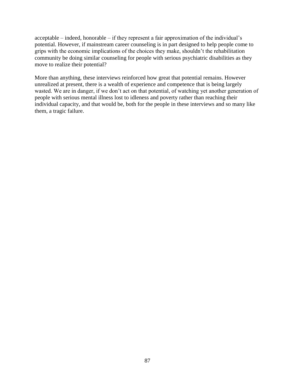acceptable – indeed, honorable – if they represent a fair approximation of the individual's potential. However, if mainstream career counseling is in part designed to help people come to grips with the economic implications of the choices they make, shouldn't the rehabilitation community be doing similar counseling for people with serious psychiatric disabilities as they move to realize their potential?

More than anything, these interviews reinforced how great that potential remains. However unrealized at present, there is a wealth of experience and competence that is being largely wasted. We are in danger, if we don't act on that potential, of watching yet another generation of people with serious mental illness lost to idleness and poverty rather than reaching their individual capacity, and that would be, both for the people in these interviews and so many like them, a tragic failure.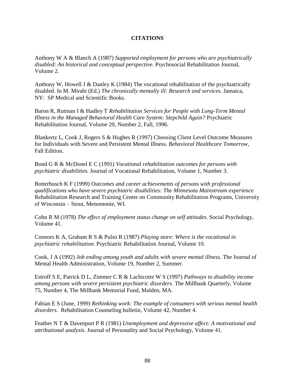# **CITATIONS**

Anthony W A & Blanch A (1987) *Supported employment for persons who are psychiatrically disabled: An historical and conceptual perspective.* Psychosocial Rehabilitation Journal, Volume 2.

Anthony W, Howell J & Danley K (1984) The vocational rehabilitation of the psychiatrically disabled. In M. Mirabi (Ed.) *The chronically mentally ill: Research and services.* Jamaica, NY: SP Medical and Scientific Books.

Baron R, Rutman I & Hadley T *Rehabilitation Services for People with Long-Term Mental Illness in the Managed Behavioral Health Care System: Stepchild Again?* Psychiatric Rehabilitation Journal, Volume 20, Number 2, Fall, 1996.

Blankertz L, Cook J, Rogers S & Hughes R (1997) Choosing Client Level Outcome Measures for Individuals with Severe and Persistent Mental Illness. *Behavioral Healthcare Tomorrow,*  Fall Edition.

Bond G R & McDonel E C (1991) *Vocational rehabilitation outcomes for persons with psychiatric disabilities.* Journal of Vocational Rehabilitation, Volume 1, Number 3.

Botterbusch K F (1999) *Outcomes and career achievements of persons with professional qualifications who have severe psychiatric disabilities: The Minnesota Mainstream experience*  Rehabilitation Research and Training Center on Community Rehabilitation Programs, University of Wisconsin – Stout, Menomonie, WI.

Cohn R M (1978) *The effect of employment status change on self attitudes.* Social Psychology, Volume 41.

Connors K A, Graham R S & Pulso R (1987) *Playing store: Where is the vocational in psychiatric rehabilitation.* Psychiatric Rehabilitation Journal, Volume 10.

Cook, J A (1992) *Job ending among youth and adults with severe mental illness.* The Journal of Mental Health Administration, Volume 19, Number 2, Summer.

Estroff S E, Patrick D L, Zimmer C R & Lachicotte W S (1997) *Pathways to disability income among persons with severe persistent psychiatric disorders.* The Millbank Quarterly, Volume 75, Number 4, The Millbank Memorial Fund, Malden, MA.

Fabian E S (June, 1999) *Rethinking work: The example of consumers with serious mental health disorders.* Rehabilitation Counseling bulletin, Volume 42, Number 4.

Feather N T & Davenport P R (1981) *Unemployment and depressive affect: A motivational and attributional analysis.* Journal of Personality and Social Psychology, Volume 41.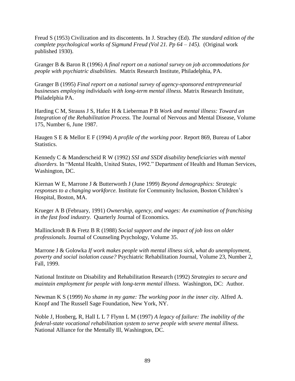Freud S (1953) Civilization and its discontents. In J. Strachey (Ed). *The standard edition of the complete psychological works of Sigmund Freud (Vol 21. Pp 64 – 145).* (Original work published 1930).

Granger B & Baron R (1996) *A final report on a national survey on job accommodations for people with psychiatric disabilities.* Matrix Research Institute, Philadelphia, PA.

Granger B (1995) *Final report on a national survey of agency-sponsored entrepreneurial businesses employing individuals with long-term mental illness.* Matrix Research Institute, Philadelphia PA.

Harding C M, Strauss J S, Hafez H & Lieberman P B *Work and mental illness: Toward an Integration of the Rehabilitation Process.* The Journal of Nervous and Mental Disease, Volume 175, Number 6, June 1987.

Haugen S E & Mellor E F (1994) *A profile of the working poor.* Report 869, Bureau of Labor Statistics.

Kennedy C & Manderscheid R W (1992) *SSI and SSDI disability beneficiaries with mental disorders.* In "Mental Health, United States, 1992." Department of Health and Human Services, Washington, DC.

Kiernan W E, Marrone J & Butterworth J (June 1999) *Beyond demographics: Strategic responses to a changing workforce.* Institute for Community Inclusion, Boston Children's Hospital, Boston, MA.

Krueger A B (February, 1991) *Ownership, agency, and wages: An examination of franchising in the fast food industry.* Quarterly Journal of Economics.

Mallinckrodt B & Fretz B R (1988) *Social support and the impact of job loss on older professionals.* Journal of Counseling Psychology, Volume 35.

Marrone J & Golowka *If work makes people with mental illness sick, what do unemployment, poverty and social isolation cause?* Psychiatric Rehabilitation Journal, Volume 23, Number 2, Fall, 1999.

National Institute on Disability and Rehabilitation Research (1992) *Strategies to secure and maintain employment for people with long-term mental illness.* Washington, DC: Author.

Newman K S (1999) *No shame in my game: The working poor in the inner city.* Alfred A. Knopf and The Russell Sage Foundation, New York, NY.

Noble J, Honberg, R, Hall L L 7 Flynn L M (1997) *A legacy of failure: The inability of the federal-state vocational rehabilitation system to serve people with severe mental illness.* National Alliance for the Mentally Ill, Washington, DC.